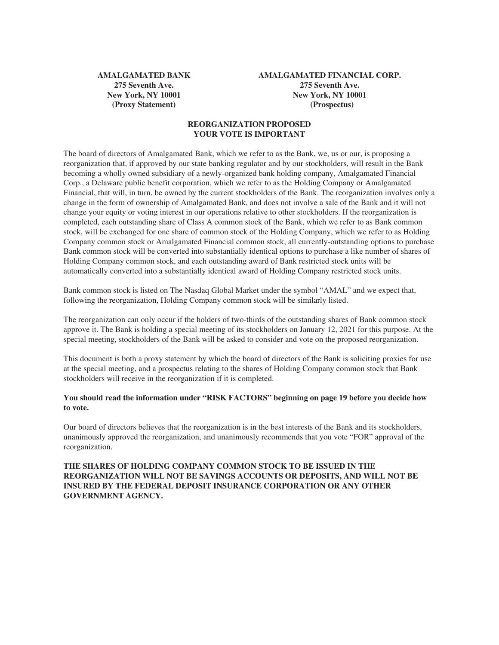**AMALGAMATED BANK 275 Seventh Ave. New York, NY 10001 (Proxy Statement)**

**AMALGAMATED FINANCIAL CORP. 275 Seventh Ave. New York, NY 10001 (Prospectus)**

# **REORGANIZATION PROPOSED YOUR VOTE IS IMPORTANT**

The board of directors of Amalgamated Bank, which we refer to as the Bank, we, us or our, is proposing a reorganization that, if approved by our state banking regulator and by our stockholders, will result in the Bank becoming a wholly owned subsidiary of a newly-organized bank holding company, Amalgamated Financial Corp., a Delaware public benefit corporation, which we refer to as the Holding Company or Amalgamated Financial, that will, in turn, be owned by the current stockholders of the Bank. The reorganization involves only a change in the form of ownership of Amalgamated Bank, and does not involve a sale of the Bank and it will not change your equity or voting interest in our operations relative to other stockholders. If the reorganization is completed, each outstanding share of Class A common stock of the Bank, which we refer to as Bank common stock, will be exchanged for one share of common stock of the Holding Company, which we refer to as Holding Company common stock or Amalgamated Financial common stock, all currently-outstanding options to purchase Bank common stock will be converted into substantially identical options to purchase a like number of shares of Holding Company common stock, and each outstanding award of Bank restricted stock units will be automatically converted into a substantially identical award of Holding Company restricted stock units.

Bank common stock is listed on The Nasdaq Global Market under the symbol "AMAL" and we expect that, following the reorganization, Holding Company common stock will be similarly listed.

The reorganization can only occur if the holders of two-thirds of the outstanding shares of Bank common stock approve it. The Bank is holding a special meeting of its stockholders on January 12, 2021 for this purpose. At the special meeting, stockholders of the Bank will be asked to consider and vote on the proposed reorganization.

This document is both a proxy statement by which the board of directors of the Bank is soliciting proxies for use at the special meeting, and a prospectus relating to the shares of Holding Company common stock that Bank stockholders will receive in the reorganization if it is completed.

# **You should read the information under "RISK FACTORS" beginning on page 19 before you decide how to vote.**

Our board of directors believes that the reorganization is in the best interests of the Bank and its stockholders, unanimously approved the reorganization, and unanimously recommends that you vote "FOR" approval of the reorganization.

# **THE SHARES OF HOLDING COMPANY COMMON STOCK TO BE ISSUED IN THE REORGANIZATION WILL NOT BE SAVINGS ACCOUNTS OR DEPOSITS, AND WILL NOT BE INSURED BY THE FEDERAL DEPOSIT INSURANCE CORPORATION OR ANY OTHER GOVERNMENT AGENCY.**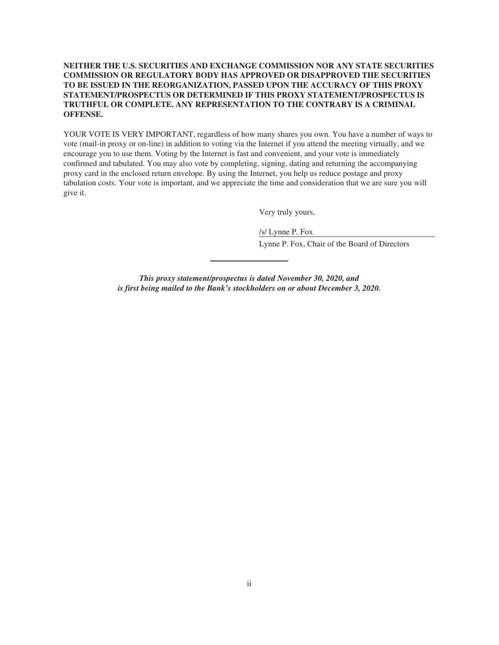# **NEITHER THE U.S. SECURITIES AND EXCHANGE COMMISSION NOR ANY STATE SECURITIES COMMISSION OR REGULATORY BODY HAS APPROVED OR DISAPPROVED THE SECURITIES TO BE ISSUED IN THE REORGANIZATION, PASSED UPON THE ACCURACY OF THIS PROXY STATEMENT/PROSPECTUS OR DETERMINED IF THIS PROXY STATEMENT/PROSPECTUS IS TRUTHFUL OR COMPLETE. ANY REPRESENTATION TO THE CONTRARY IS A CRIMINAL OFFENSE.**

YOUR VOTE IS VERY IMPORTANT, regardless of how many shares you own. You have a number of ways to vote (mail-in proxy or on-line) in addition to voting via the Internet if you attend the meeting virtually, and we encourage you to use them. Voting by the Internet is fast and convenient, and your vote is immediately confirmed and tabulated. You may also vote by completing, signing, dating and returning the accompanying proxy card in the enclosed return envelope. By using the Internet, you help us reduce postage and proxy tabulation costs. Your vote is important, and we appreciate the time and consideration that we are sure you will give it.

Very truly yours,

/s/ Lynne P. Fox

Lynne P. Fox, Chair of the Board of Directors

*This proxy statement/prospectus is dated November 30, 2020, and is first being mailed to the Bank's stockholders on or about December 3, 2020.*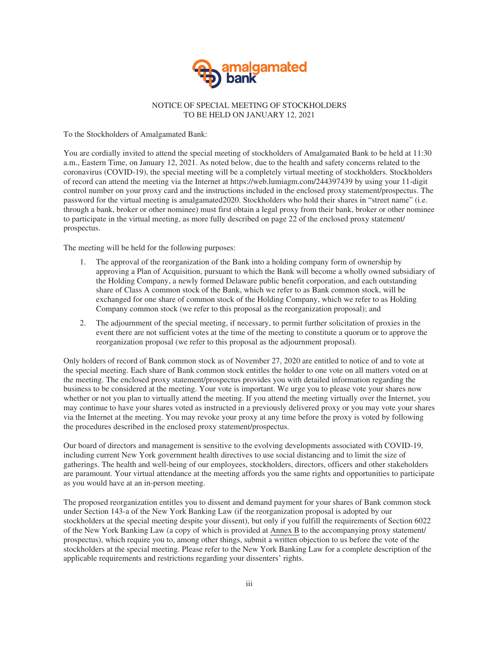

# NOTICE OF SPECIAL MEETING OF STOCKHOLDERS TO BE HELD ON JANUARY 12, 2021

To the Stockholders of Amalgamated Bank:

You are cordially invited to attend the special meeting of stockholders of Amalgamated Bank to be held at 11:30 a.m., Eastern Time, on January 12, 2021. As noted below, due to the health and safety concerns related to the coronavirus (COVID-19), the special meeting will be a completely virtual meeting of stockholders. Stockholders of record can attend the meeting via the Internet at https://web.lumiagm.com/244397439 by using your 11-digit control number on your proxy card and the instructions included in the enclosed proxy statement/prospectus. The password for the virtual meeting is amalgamated2020. Stockholders who hold their shares in "street name" (i.e. through a bank, broker or other nominee) must first obtain a legal proxy from their bank, broker or other nominee to participate in the virtual meeting, as more fully described on page 22 of the enclosed proxy statement/ prospectus.

The meeting will be held for the following purposes:

- 1. The approval of the reorganization of the Bank into a holding company form of ownership by approving a Plan of Acquisition, pursuant to which the Bank will become a wholly owned subsidiary of the Holding Company, a newly formed Delaware public benefit corporation, and each outstanding share of Class A common stock of the Bank, which we refer to as Bank common stock, will be exchanged for one share of common stock of the Holding Company, which we refer to as Holding Company common stock (we refer to this proposal as the reorganization proposal); and
- 2. The adjournment of the special meeting, if necessary, to permit further solicitation of proxies in the event there are not sufficient votes at the time of the meeting to constitute a quorum or to approve the reorganization proposal (we refer to this proposal as the adjournment proposal).

Only holders of record of Bank common stock as of November 27, 2020 are entitled to notice of and to vote at the special meeting. Each share of Bank common stock entitles the holder to one vote on all matters voted on at the meeting. The enclosed proxy statement/prospectus provides you with detailed information regarding the business to be considered at the meeting. Your vote is important. We urge you to please vote your shares now whether or not you plan to virtually attend the meeting. If you attend the meeting virtually over the Internet, you may continue to have your shares voted as instructed in a previously delivered proxy or you may vote your shares via the Internet at the meeting. You may revoke your proxy at any time before the proxy is voted by following the procedures described in the enclosed proxy statement/prospectus.

Our board of directors and management is sensitive to the evolving developments associated with COVID-19, including current New York government health directives to use social distancing and to limit the size of gatherings. The health and well-being of our employees, stockholders, directors, officers and other stakeholders are paramount. Your virtual attendance at the meeting affords you the same rights and opportunities to participate as you would have at an in-person meeting.

The proposed reorganization entitles you to dissent and demand payment for your shares of Bank common stock under Section 143-a of the New York Banking Law (if the reorganization proposal is adopted by our stockholders at the special meeting despite your dissent), but only if you fulfill the requirements of Section 6022 of the New York Banking Law (a copy of which is provided at Annex B to the accompanying proxy statement/ prospectus), which require you to, among other things, submit a written objection to us before the vote of the stockholders at the special meeting. Please refer to the New York Banking Law for a complete description of the applicable requirements and restrictions regarding your dissenters' rights.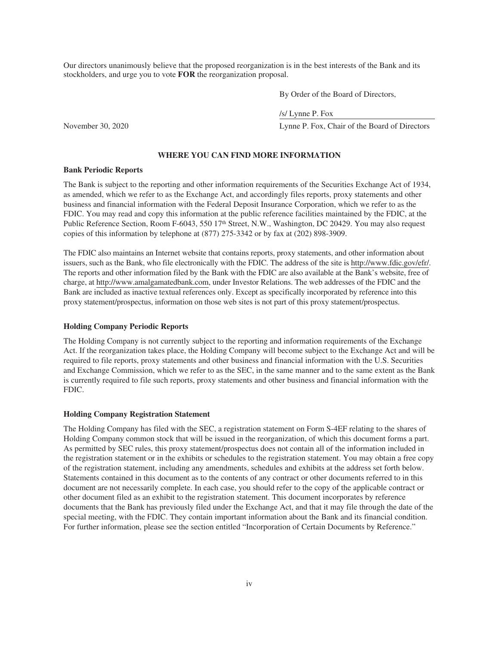Our directors unanimously believe that the proposed reorganization is in the best interests of the Bank and its stockholders, and urge you to vote **FOR** the reorganization proposal.

By Order of the Board of Directors,

/s/ Lynne P. Fox

November 30, 2020 Lynne P. Fox, Chair of the Board of Directors

#### **WHERE YOU CAN FIND MORE INFORMATION**

### **Bank Periodic Reports**

The Bank is subject to the reporting and other information requirements of the Securities Exchange Act of 1934, as amended, which we refer to as the Exchange Act, and accordingly files reports, proxy statements and other business and financial information with the Federal Deposit Insurance Corporation, which we refer to as the FDIC. You may read and copy this information at the public reference facilities maintained by the FDIC, at the Public Reference Section, Room F-6043, 550 17<sup>th</sup> Street, N.W., Washington, DC 20429. You may also request copies of this information by telephone at (877) 275-3342 or by fax at (202) 898-3909.

The FDIC also maintains an Internet website that contains reports, proxy statements, and other information about issuers, such as the Bank, who file electronically with the FDIC. The address of the site is http://www.fdic.gov/efr/. The reports and other information filed by the Bank with the FDIC are also available at the Bank's website, free of charge, at http://www.amalgamatedbank.com, under Investor Relations. The web addresses of the FDIC and the Bank are included as inactive textual references only. Except as specifically incorporated by reference into this proxy statement/prospectus, information on those web sites is not part of this proxy statement/prospectus.

### **Holding Company Periodic Reports**

The Holding Company is not currently subject to the reporting and information requirements of the Exchange Act. If the reorganization takes place, the Holding Company will become subject to the Exchange Act and will be required to file reports, proxy statements and other business and financial information with the U.S. Securities and Exchange Commission, which we refer to as the SEC, in the same manner and to the same extent as the Bank is currently required to file such reports, proxy statements and other business and financial information with the FDIC.

#### **Holding Company Registration Statement**

The Holding Company has filed with the SEC, a registration statement on Form S-4EF relating to the shares of Holding Company common stock that will be issued in the reorganization, of which this document forms a part. As permitted by SEC rules, this proxy statement/prospectus does not contain all of the information included in the registration statement or in the exhibits or schedules to the registration statement. You may obtain a free copy of the registration statement, including any amendments, schedules and exhibits at the address set forth below. Statements contained in this document as to the contents of any contract or other documents referred to in this document are not necessarily complete. In each case, you should refer to the copy of the applicable contract or other document filed as an exhibit to the registration statement. This document incorporates by reference documents that the Bank has previously filed under the Exchange Act, and that it may file through the date of the special meeting, with the FDIC. They contain important information about the Bank and its financial condition. For further information, please see the section entitled "Incorporation of Certain Documents by Reference."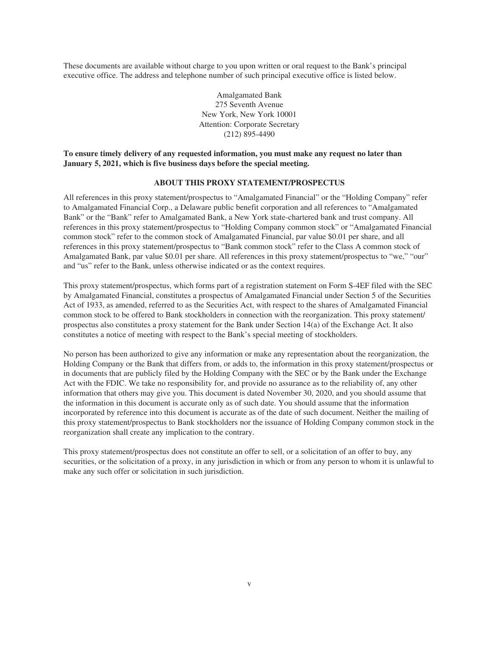These documents are available without charge to you upon written or oral request to the Bank's principal executive office. The address and telephone number of such principal executive office is listed below.

> Amalgamated Bank 275 Seventh Avenue New York, New York 10001 Attention: Corporate Secretary (212) 895-4490

# **To ensure timely delivery of any requested information, you must make any request no later than January 5, 2021, which is five business days before the special meeting.**

# **ABOUT THIS PROXY STATEMENT/PROSPECTUS**

All references in this proxy statement/prospectus to "Amalgamated Financial" or the "Holding Company" refer to Amalgamated Financial Corp., a Delaware public benefit corporation and all references to "Amalgamated Bank" or the "Bank" refer to Amalgamated Bank, a New York state-chartered bank and trust company. All references in this proxy statement/prospectus to "Holding Company common stock" or "Amalgamated Financial common stock" refer to the common stock of Amalgamated Financial, par value \$0.01 per share, and all references in this proxy statement/prospectus to "Bank common stock" refer to the Class A common stock of Amalgamated Bank, par value \$0.01 per share. All references in this proxy statement/prospectus to "we," "our" and "us" refer to the Bank, unless otherwise indicated or as the context requires.

This proxy statement/prospectus, which forms part of a registration statement on Form S-4EF filed with the SEC by Amalgamated Financial, constitutes a prospectus of Amalgamated Financial under Section 5 of the Securities Act of 1933, as amended, referred to as the Securities Act, with respect to the shares of Amalgamated Financial common stock to be offered to Bank stockholders in connection with the reorganization. This proxy statement/ prospectus also constitutes a proxy statement for the Bank under Section 14(a) of the Exchange Act. It also constitutes a notice of meeting with respect to the Bank's special meeting of stockholders.

No person has been authorized to give any information or make any representation about the reorganization, the Holding Company or the Bank that differs from, or adds to, the information in this proxy statement/prospectus or in documents that are publicly filed by the Holding Company with the SEC or by the Bank under the Exchange Act with the FDIC. We take no responsibility for, and provide no assurance as to the reliability of, any other information that others may give you. This document is dated November 30, 2020, and you should assume that the information in this document is accurate only as of such date. You should assume that the information incorporated by reference into this document is accurate as of the date of such document. Neither the mailing of this proxy statement/prospectus to Bank stockholders nor the issuance of Holding Company common stock in the reorganization shall create any implication to the contrary.

This proxy statement/prospectus does not constitute an offer to sell, or a solicitation of an offer to buy, any securities, or the solicitation of a proxy, in any jurisdiction in which or from any person to whom it is unlawful to make any such offer or solicitation in such jurisdiction.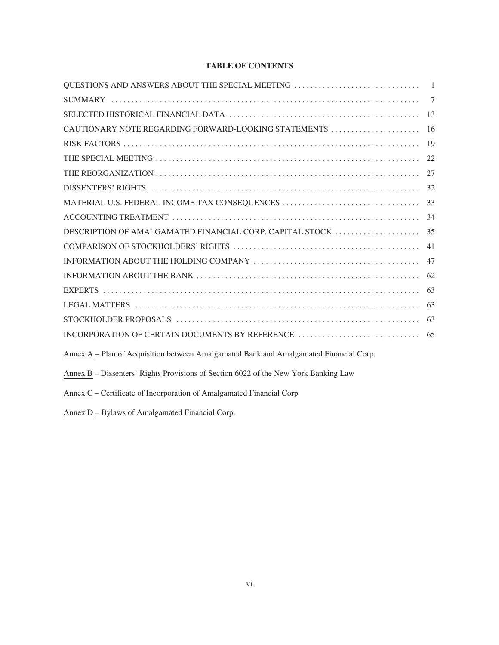# **TABLE OF CONTENTS**

| CAUTIONARY NOTE REGARDING FORWARD-LOOKING STATEMENTS                                   | -16 |
|----------------------------------------------------------------------------------------|-----|
|                                                                                        | -19 |
|                                                                                        |     |
|                                                                                        | 27  |
|                                                                                        |     |
| MATERIAL U.S. FEDERAL INCOME TAX CONSEQUENCES                                          | 33  |
|                                                                                        |     |
|                                                                                        |     |
|                                                                                        | 41  |
|                                                                                        | 47  |
|                                                                                        | 62  |
|                                                                                        | 63  |
|                                                                                        | 63  |
|                                                                                        | 63  |
|                                                                                        |     |
| Annex A – Plan of Acquisition between Amalgamated Bank and Amalgamated Financial Corp. |     |
| Annex B – Dissenters' Rights Provisions of Section 6022 of the New York Banking Law    |     |

Annex C – Certificate of Incorporation of Amalgamated Financial Corp.

Annex D - Bylaws of Amalgamated Financial Corp.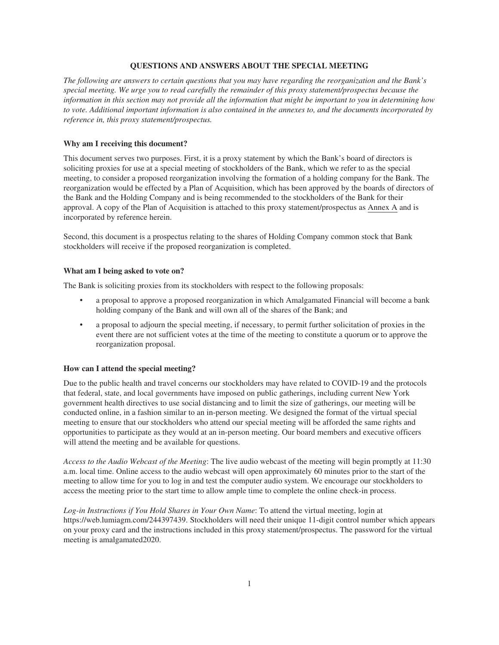### **QUESTIONS AND ANSWERS ABOUT THE SPECIAL MEETING**

*The following are answers to certain questions that you may have regarding the reorganization and the Bank's special meeting. We urge you to read carefully the remainder of this proxy statement/prospectus because the information in this section may not provide all the information that might be important to you in determining how to vote. Additional important information is also contained in the annexes to, and the documents incorporated by reference in, this proxy statement/prospectus.*

### **Why am I receiving this document?**

This document serves two purposes. First, it is a proxy statement by which the Bank's board of directors is soliciting proxies for use at a special meeting of stockholders of the Bank, which we refer to as the special meeting, to consider a proposed reorganization involving the formation of a holding company for the Bank. The reorganization would be effected by a Plan of Acquisition, which has been approved by the boards of directors of the Bank and the Holding Company and is being recommended to the stockholders of the Bank for their approval. A copy of the Plan of Acquisition is attached to this proxy statement/prospectus as Annex A and is incorporated by reference herein.

Second, this document is a prospectus relating to the shares of Holding Company common stock that Bank stockholders will receive if the proposed reorganization is completed.

### **What am I being asked to vote on?**

The Bank is soliciting proxies from its stockholders with respect to the following proposals:

- a proposal to approve a proposed reorganization in which Amalgamated Financial will become a bank holding company of the Bank and will own all of the shares of the Bank; and
- a proposal to adjourn the special meeting, if necessary, to permit further solicitation of proxies in the event there are not sufficient votes at the time of the meeting to constitute a quorum or to approve the reorganization proposal.

### **How can I attend the special meeting?**

Due to the public health and travel concerns our stockholders may have related to COVID-19 and the protocols that federal, state, and local governments have imposed on public gatherings, including current New York government health directives to use social distancing and to limit the size of gatherings, our meeting will be conducted online, in a fashion similar to an in-person meeting. We designed the format of the virtual special meeting to ensure that our stockholders who attend our special meeting will be afforded the same rights and opportunities to participate as they would at an in-person meeting. Our board members and executive officers will attend the meeting and be available for questions.

*Access to the Audio Webcast of the Meeting*: The live audio webcast of the meeting will begin promptly at 11:30 a.m. local time. Online access to the audio webcast will open approximately 60 minutes prior to the start of the meeting to allow time for you to log in and test the computer audio system. We encourage our stockholders to access the meeting prior to the start time to allow ample time to complete the online check-in process.

*Log-in Instructions if You Hold Shares in Your Own Name*: To attend the virtual meeting, login at https://web.lumiagm.com/244397439. Stockholders will need their unique 11-digit control number which appears on your proxy card and the instructions included in this proxy statement/prospectus. The password for the virtual meeting is amalgamated2020.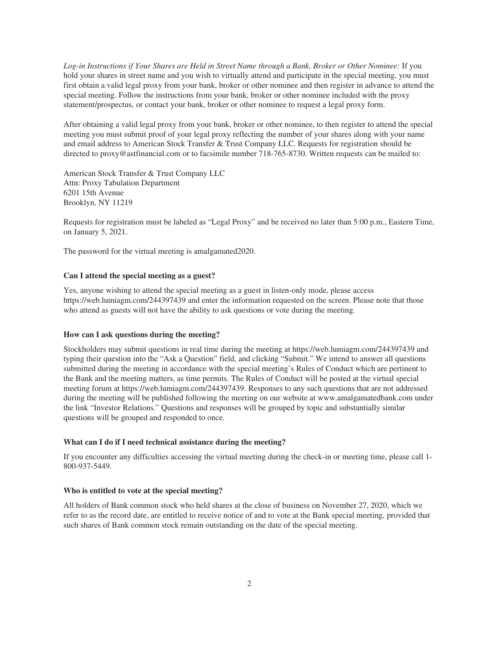*Log-in Instructions if Your Shares are Held in Street Name through a Bank, Broker or Other Nominee:* If you hold your shares in street name and you wish to virtually attend and participate in the special meeting, you must first obtain a valid legal proxy from your bank, broker or other nominee and then register in advance to attend the special meeting. Follow the instructions from your bank, broker or other nominee included with the proxy statement/prospectus, or contact your bank, broker or other nominee to request a legal proxy form.

After obtaining a valid legal proxy from your bank, broker or other nominee, to then register to attend the special meeting you must submit proof of your legal proxy reflecting the number of your shares along with your name and email address to American Stock Transfer & Trust Company LLC. Requests for registration should be directed to proxy@astfinancial.com or to facsimile number 718-765-8730. Written requests can be mailed to:

American Stock Transfer & Trust Company LLC Attn: Proxy Tabulation Department 6201 15th Avenue Brooklyn, NY 11219

Requests for registration must be labeled as "Legal Proxy" and be received no later than 5:00 p.m., Eastern Time, on January 5, 2021.

The password for the virtual meeting is amalgamated2020.

### **Can I attend the special meeting as a guest?**

Yes, anyone wishing to attend the special meeting as a guest in listen-only mode, please access https://web.lumiagm.com/244397439 and enter the information requested on the screen. Please note that those who attend as guests will not have the ability to ask questions or vote during the meeting.

### **How can I ask questions during the meeting?**

Stockholders may submit questions in real time during the meeting at https://web.lumiagm.com/244397439 and typing their question into the "Ask a Question" field, and clicking "Submit." We intend to answer all questions submitted during the meeting in accordance with the special meeting's Rules of Conduct which are pertinent to the Bank and the meeting matters, as time permits. The Rules of Conduct will be posted at the virtual special meeting forum at https://web.lumiagm.com/244397439. Responses to any such questions that are not addressed during the meeting will be published following the meeting on our website at www.amalgamatedbank.com under the link "Investor Relations." Questions and responses will be grouped by topic and substantially similar questions will be grouped and responded to once.

#### **What can I do if I need technical assistance during the meeting?**

If you encounter any difficulties accessing the virtual meeting during the check-in or meeting time, please call 1- 800-937-5449.

#### **Who is entitled to vote at the special meeting?**

All holders of Bank common stock who held shares at the close of business on November 27, 2020, which we refer to as the record date, are entitled to receive notice of and to vote at the Bank special meeting, provided that such shares of Bank common stock remain outstanding on the date of the special meeting.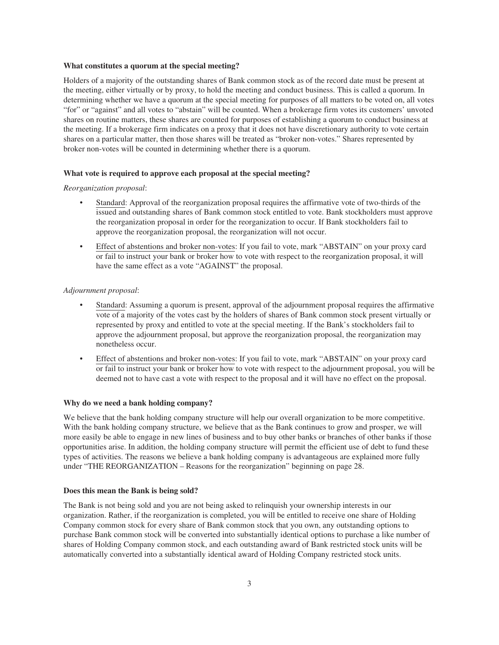### **What constitutes a quorum at the special meeting?**

Holders of a majority of the outstanding shares of Bank common stock as of the record date must be present at the meeting, either virtually or by proxy, to hold the meeting and conduct business. This is called a quorum. In determining whether we have a quorum at the special meeting for purposes of all matters to be voted on, all votes "for" or "against" and all votes to "abstain" will be counted. When a brokerage firm votes its customers' unvoted shares on routine matters, these shares are counted for purposes of establishing a quorum to conduct business at the meeting. If a brokerage firm indicates on a proxy that it does not have discretionary authority to vote certain shares on a particular matter, then those shares will be treated as "broker non-votes." Shares represented by broker non-votes will be counted in determining whether there is a quorum.

### **What vote is required to approve each proposal at the special meeting?**

### *Reorganization proposal*:

- Standard: Approval of the reorganization proposal requires the affirmative vote of two-thirds of the issued and outstanding shares of Bank common stock entitled to vote. Bank stockholders must approve the reorganization proposal in order for the reorganization to occur. If Bank stockholders fail to approve the reorganization proposal, the reorganization will not occur.
- Effect of abstentions and broker non-votes: If you fail to vote, mark "ABSTAIN" on your proxy card or fail to instruct your bank or broker how to vote with respect to the reorganization proposal, it will have the same effect as a vote "AGAINST" the proposal.

### *Adjournment proposal*:

- Standard: Assuming a quorum is present, approval of the adjournment proposal requires the affirmative vote of a majority of the votes cast by the holders of shares of Bank common stock present virtually or represented by proxy and entitled to vote at the special meeting. If the Bank's stockholders fail to approve the adjournment proposal, but approve the reorganization proposal, the reorganization may nonetheless occur.
- Effect of abstentions and broker non-votes: If you fail to vote, mark "ABSTAIN" on your proxy card or fail to instruct your bank or broker how to vote with respect to the adjournment proposal, you will be deemed not to have cast a vote with respect to the proposal and it will have no effect on the proposal.

## **Why do we need a bank holding company?**

We believe that the bank holding company structure will help our overall organization to be more competitive. With the bank holding company structure, we believe that as the Bank continues to grow and prosper, we will more easily be able to engage in new lines of business and to buy other banks or branches of other banks if those opportunities arise. In addition, the holding company structure will permit the efficient use of debt to fund these types of activities. The reasons we believe a bank holding company is advantageous are explained more fully under "THE REORGANIZATION – Reasons for the reorganization" beginning on page 28.

#### **Does this mean the Bank is being sold?**

The Bank is not being sold and you are not being asked to relinquish your ownership interests in our organization. Rather, if the reorganization is completed, you will be entitled to receive one share of Holding Company common stock for every share of Bank common stock that you own, any outstanding options to purchase Bank common stock will be converted into substantially identical options to purchase a like number of shares of Holding Company common stock, and each outstanding award of Bank restricted stock units will be automatically converted into a substantially identical award of Holding Company restricted stock units.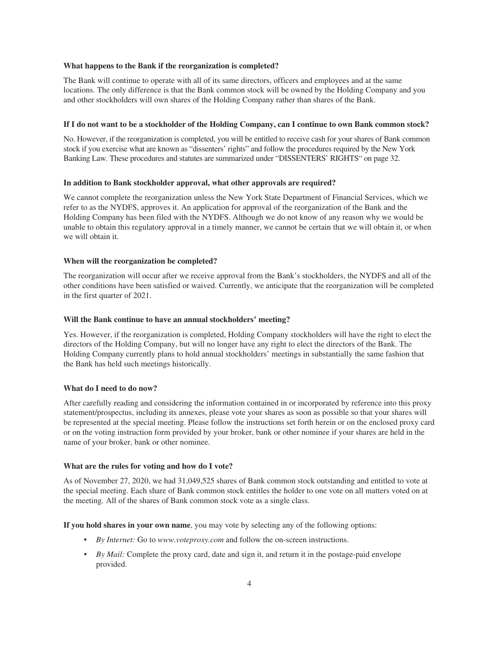### **What happens to the Bank if the reorganization is completed?**

The Bank will continue to operate with all of its same directors, officers and employees and at the same locations. The only difference is that the Bank common stock will be owned by the Holding Company and you and other stockholders will own shares of the Holding Company rather than shares of the Bank.

#### **If I do not want to be a stockholder of the Holding Company, can I continue to own Bank common stock?**

No. However, if the reorganization is completed, you will be entitled to receive cash for your shares of Bank common stock if you exercise what are known as "dissenters' rights" and follow the procedures required by the New York Banking Law. These procedures and statutes are summarized under "DISSENTERS' RIGHTS" on page 32.

### **In addition to Bank stockholder approval, what other approvals are required?**

We cannot complete the reorganization unless the New York State Department of Financial Services, which we refer to as the NYDFS, approves it. An application for approval of the reorganization of the Bank and the Holding Company has been filed with the NYDFS. Although we do not know of any reason why we would be unable to obtain this regulatory approval in a timely manner, we cannot be certain that we will obtain it, or when we will obtain it.

### **When will the reorganization be completed?**

The reorganization will occur after we receive approval from the Bank's stockholders, the NYDFS and all of the other conditions have been satisfied or waived. Currently, we anticipate that the reorganization will be completed in the first quarter of 2021.

#### **Will the Bank continue to have an annual stockholders' meeting?**

Yes. However, if the reorganization is completed, Holding Company stockholders will have the right to elect the directors of the Holding Company, but will no longer have any right to elect the directors of the Bank. The Holding Company currently plans to hold annual stockholders' meetings in substantially the same fashion that the Bank has held such meetings historically.

#### **What do I need to do now?**

After carefully reading and considering the information contained in or incorporated by reference into this proxy statement/prospectus, including its annexes, please vote your shares as soon as possible so that your shares will be represented at the special meeting. Please follow the instructions set forth herein or on the enclosed proxy card or on the voting instruction form provided by your broker, bank or other nominee if your shares are held in the name of your broker, bank or other nominee.

### **What are the rules for voting and how do I vote?**

As of November 27, 2020, we had 31,049,525 shares of Bank common stock outstanding and entitled to vote at the special meeting. Each share of Bank common stock entitles the holder to one vote on all matters voted on at the meeting. All of the shares of Bank common stock vote as a single class.

**If you hold shares in your own name**, you may vote by selecting any of the following options:

- *By Internet:* Go to *www.voteproxy.com* and follow the on-screen instructions.
- *By Mail:* Complete the proxy card, date and sign it, and return it in the postage-paid envelope provided.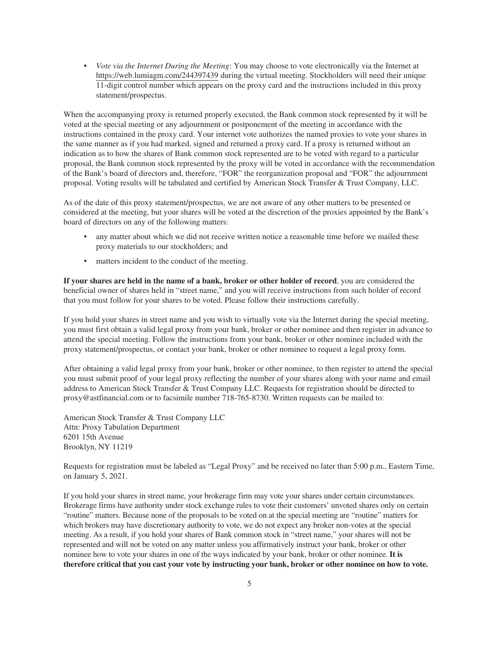• *Vote via the Internet During the Meeting*: You may choose to vote electronically via the Internet at https://web.lumiagm.com/244397439 during the virtual meeting. Stockholders will need their unique 11-digit control number which appears on the proxy card and the instructions included in this proxy statement/prospectus.

When the accompanying proxy is returned properly executed, the Bank common stock represented by it will be voted at the special meeting or any adjournment or postponement of the meeting in accordance with the instructions contained in the proxy card. Your internet vote authorizes the named proxies to vote your shares in the same manner as if you had marked, signed and returned a proxy card. If a proxy is returned without an indication as to how the shares of Bank common stock represented are to be voted with regard to a particular proposal, the Bank common stock represented by the proxy will be voted in accordance with the recommendation of the Bank's board of directors and, therefore, "FOR" the reorganization proposal and "FOR" the adjournment proposal. Voting results will be tabulated and certified by American Stock Transfer & Trust Company, LLC.

As of the date of this proxy statement/prospectus, we are not aware of any other matters to be presented or considered at the meeting, but your shares will be voted at the discretion of the proxies appointed by the Bank's board of directors on any of the following matters:

- any matter about which we did not receive written notice a reasonable time before we mailed these proxy materials to our stockholders; and
- matters incident to the conduct of the meeting.

**If your shares are held in the name of a bank, broker or other holder of record**, you are considered the beneficial owner of shares held in "street name," and you will receive instructions from such holder of record that you must follow for your shares to be voted. Please follow their instructions carefully.

If you hold your shares in street name and you wish to virtually vote via the Internet during the special meeting, you must first obtain a valid legal proxy from your bank, broker or other nominee and then register in advance to attend the special meeting. Follow the instructions from your bank, broker or other nominee included with the proxy statement/prospectus, or contact your bank, broker or other nominee to request a legal proxy form.

After obtaining a valid legal proxy from your bank, broker or other nominee, to then register to attend the special you must submit proof of your legal proxy reflecting the number of your shares along with your name and email address to American Stock Transfer & Trust Company LLC. Requests for registration should be directed to proxy@astfinancial.com or to facsimile number 718-765-8730. Written requests can be mailed to:

American Stock Transfer & Trust Company LLC Attn: Proxy Tabulation Department 6201 15th Avenue Brooklyn, NY 11219

Requests for registration must be labeled as "Legal Proxy" and be received no later than 5:00 p.m., Eastern Time, on January 5, 2021.

If you hold your shares in street name, your brokerage firm may vote your shares under certain circumstances. Brokerage firms have authority under stock exchange rules to vote their customers' unvoted shares only on certain "routine" matters. Because none of the proposals to be voted on at the special meeting are "routine" matters for which brokers may have discretionary authority to vote, we do not expect any broker non-votes at the special meeting. As a result, if you hold your shares of Bank common stock in "street name," your shares will not be represented and will not be voted on any matter unless you affirmatively instruct your bank, broker or other nominee how to vote your shares in one of the ways indicated by your bank, broker or other nominee. **It is therefore critical that you cast your vote by instructing your bank, broker or other nominee on how to vote.**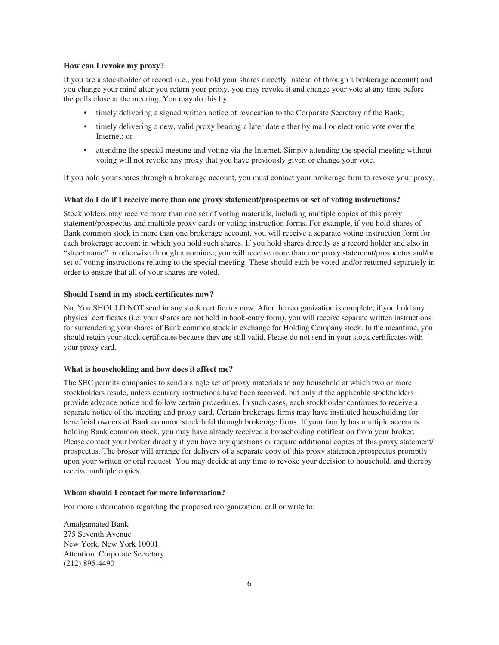# **How can I revoke my proxy?**

If you are a stockholder of record (i.e., you hold your shares directly instead of through a brokerage account) and you change your mind after you return your proxy, you may revoke it and change your vote at any time before the polls close at the meeting. You may do this by:

- timely delivering a signed written notice of revocation to the Corporate Secretary of the Bank;
- timely delivering a new, valid proxy bearing a later date either by mail or electronic vote over the Internet; or
- attending the special meeting and voting via the Internet. Simply attending the special meeting without voting will not revoke any proxy that you have previously given or change your vote.

If you hold your shares through a brokerage account, you must contact your brokerage firm to revoke your proxy.

### **What do I do if I receive more than one proxy statement/prospectus or set of voting instructions?**

Stockholders may receive more than one set of voting materials, including multiple copies of this proxy statement/prospectus and multiple proxy cards or voting instruction forms. For example, if you hold shares of Bank common stock in more than one brokerage account, you will receive a separate voting instruction form for each brokerage account in which you hold such shares. If you hold shares directly as a record holder and also in "street name" or otherwise through a nominee, you will receive more than one proxy statement/prospectus and/or set of voting instructions relating to the special meeting. These should each be voted and/or returned separately in order to ensure that all of your shares are voted.

## **Should I send in my stock certificates now?**

No. You SHOULD NOT send in any stock certificates now. After the reorganization is complete, if you hold any physical certificates (i.e. your shares are not held in book-entry form), you will receive separate written instructions for surrendering your shares of Bank common stock in exchange for Holding Company stock. In the meantime, you should retain your stock certificates because they are still valid. Please do not send in your stock certificates with your proxy card.

#### **What is householding and how does it affect me?**

The SEC permits companies to send a single set of proxy materials to any household at which two or more stockholders reside, unless contrary instructions have been received, but only if the applicable stockholders provide advance notice and follow certain procedures. In such cases, each stockholder continues to receive a separate notice of the meeting and proxy card. Certain brokerage firms may have instituted householding for beneficial owners of Bank common stock held through brokerage firms. If your family has multiple accounts holding Bank common stock, you may have already received a householding notification from your broker. Please contact your broker directly if you have any questions or require additional copies of this proxy statement/ prospectus. The broker will arrange for delivery of a separate copy of this proxy statement/prospectus promptly upon your written or oral request. You may decide at any time to revoke your decision to household, and thereby receive multiple copies.

## **Whom should I contact for more information?**

For more information regarding the proposed reorganization, call or write to:

Amalgamated Bank 275 Seventh Avenue New York, New York 10001 Attention: Corporate Secretary (212) 895-4490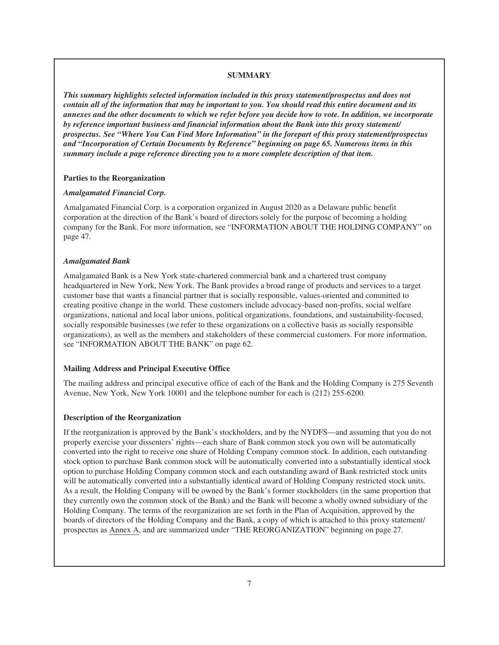# **SUMMARY**

*This summary highlights selected information included in this proxy statement/prospectus and does not contain all of the information that may be important to you. You should read this entire document and its annexes and the other documents to which we refer before you decide how to vote. In addition, we incorporate by reference important business and financial information about the Bank into this proxy statement/ prospectus. See "Where You Can Find More Information" in the forepart of this proxy statement/prospectus and "Incorporation of Certain Documents by Reference" beginning on page 65. Numerous items in this summary include a page reference directing you to a more complete description of that item.*

## **Parties to the Reorganization**

## *Amalgamated Financial Corp.*

Amalgamated Financial Corp. is a corporation organized in August 2020 as a Delaware public benefit corporation at the direction of the Bank's board of directors solely for the purpose of becoming a holding company for the Bank. For more information, see "INFORMATION ABOUT THE HOLDING COMPANY" on page 47.

## *Amalgamated Bank*

Amalgamated Bank is a New York state-chartered commercial bank and a chartered trust company headquartered in New York, New York. The Bank provides a broad range of products and services to a target customer base that wants a financial partner that is socially responsible, values-oriented and committed to creating positive change in the world. These customers include advocacy-based non-profits, social welfare organizations, national and local labor unions, political organizations, foundations, and sustainability-focused, socially responsible businesses (we refer to these organizations on a collective basis as socially responsible organizations), as well as the members and stakeholders of these commercial customers. For more information, see "INFORMATION ABOUT THE BANK" on page 62.

# **Mailing Address and Principal Executive Office**

The mailing address and principal executive office of each of the Bank and the Holding Company is 275 Seventh Avenue, New York, New York 10001 and the telephone number for each is (212) 255-6200.

### **Description of the Reorganization**

If the reorganization is approved by the Bank's stockholders, and by the NYDFS—and assuming that you do not properly exercise your dissenters' rights—each share of Bank common stock you own will be automatically converted into the right to receive one share of Holding Company common stock. In addition, each outstanding stock option to purchase Bank common stock will be automatically converted into a substantially identical stock option to purchase Holding Company common stock and each outstanding award of Bank restricted stock units will be automatically converted into a substantially identical award of Holding Company restricted stock units. As a result, the Holding Company will be owned by the Bank's former stockholders (in the same proportion that they currently own the common stock of the Bank) and the Bank will become a wholly owned subsidiary of the Holding Company. The terms of the reorganization are set forth in the Plan of Acquisition, approved by the boards of directors of the Holding Company and the Bank, a copy of which is attached to this proxy statement/ prospectus as Annex A, and are summarized under "THE REORGANIZATION" beginning on page 27.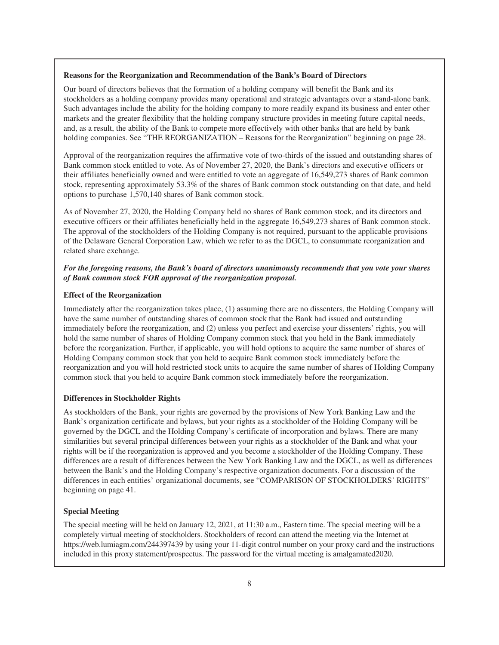### **Reasons for the Reorganization and Recommendation of the Bank's Board of Directors**

Our board of directors believes that the formation of a holding company will benefit the Bank and its stockholders as a holding company provides many operational and strategic advantages over a stand-alone bank. Such advantages include the ability for the holding company to more readily expand its business and enter other markets and the greater flexibility that the holding company structure provides in meeting future capital needs, and, as a result, the ability of the Bank to compete more effectively with other banks that are held by bank holding companies. See "THE REORGANIZATION – Reasons for the Reorganization" beginning on page 28.

Approval of the reorganization requires the affirmative vote of two-thirds of the issued and outstanding shares of Bank common stock entitled to vote. As of November 27, 2020, the Bank's directors and executive officers or their affiliates beneficially owned and were entitled to vote an aggregate of 16,549,273 shares of Bank common stock, representing approximately 53.3% of the shares of Bank common stock outstanding on that date, and held options to purchase 1,570,140 shares of Bank common stock.

As of November 27, 2020, the Holding Company held no shares of Bank common stock, and its directors and executive officers or their affiliates beneficially held in the aggregate 16,549,273 shares of Bank common stock. The approval of the stockholders of the Holding Company is not required, pursuant to the applicable provisions of the Delaware General Corporation Law, which we refer to as the DGCL, to consummate reorganization and related share exchange.

# *For the foregoing reasons, the Bank's board of directors unanimously recommends that you vote your shares of Bank common stock FOR approval of the reorganization proposal.*

# **Effect of the Reorganization**

Immediately after the reorganization takes place, (1) assuming there are no dissenters, the Holding Company will have the same number of outstanding shares of common stock that the Bank had issued and outstanding immediately before the reorganization, and (2) unless you perfect and exercise your dissenters' rights, you will hold the same number of shares of Holding Company common stock that you held in the Bank immediately before the reorganization. Further, if applicable, you will hold options to acquire the same number of shares of Holding Company common stock that you held to acquire Bank common stock immediately before the reorganization and you will hold restricted stock units to acquire the same number of shares of Holding Company common stock that you held to acquire Bank common stock immediately before the reorganization.

# **Differences in Stockholder Rights**

As stockholders of the Bank, your rights are governed by the provisions of New York Banking Law and the Bank's organization certificate and bylaws, but your rights as a stockholder of the Holding Company will be governed by the DGCL and the Holding Company's certificate of incorporation and bylaws. There are many similarities but several principal differences between your rights as a stockholder of the Bank and what your rights will be if the reorganization is approved and you become a stockholder of the Holding Company. These differences are a result of differences between the New York Banking Law and the DGCL, as well as differences between the Bank's and the Holding Company's respective organization documents. For a discussion of the differences in each entities' organizational documents, see "COMPARISON OF STOCKHOLDERS' RIGHTS" beginning on page 41.

# **Special Meeting**

The special meeting will be held on January 12, 2021, at 11:30 a.m., Eastern time. The special meeting will be a completely virtual meeting of stockholders. Stockholders of record can attend the meeting via the Internet at https://web.lumiagm.com/244397439 by using your 11-digit control number on your proxy card and the instructions included in this proxy statement/prospectus. The password for the virtual meeting is amalgamated2020.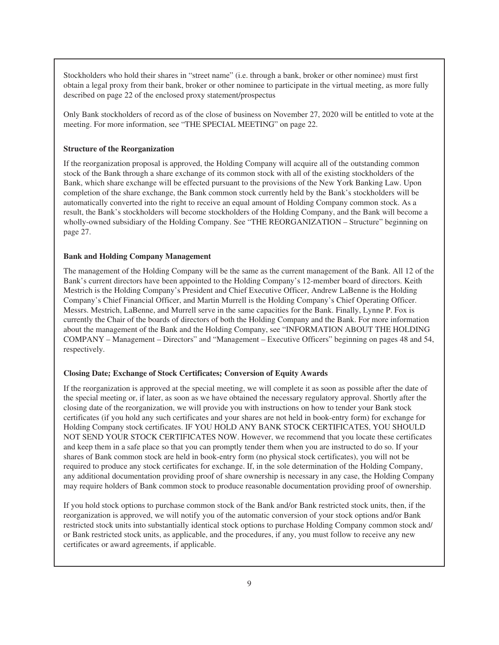Stockholders who hold their shares in "street name" (i.e. through a bank, broker or other nominee) must first obtain a legal proxy from their bank, broker or other nominee to participate in the virtual meeting, as more fully described on page 22 of the enclosed proxy statement/prospectus

Only Bank stockholders of record as of the close of business on November 27, 2020 will be entitled to vote at the meeting. For more information, see "THE SPECIAL MEETING" on page 22.

# **Structure of the Reorganization**

If the reorganization proposal is approved, the Holding Company will acquire all of the outstanding common stock of the Bank through a share exchange of its common stock with all of the existing stockholders of the Bank, which share exchange will be effected pursuant to the provisions of the New York Banking Law. Upon completion of the share exchange, the Bank common stock currently held by the Bank's stockholders will be automatically converted into the right to receive an equal amount of Holding Company common stock. As a result, the Bank's stockholders will become stockholders of the Holding Company, and the Bank will become a wholly-owned subsidiary of the Holding Company. See "THE REORGANIZATION – Structure" beginning on page 27.

### **Bank and Holding Company Management**

The management of the Holding Company will be the same as the current management of the Bank. All 12 of the Bank's current directors have been appointed to the Holding Company's 12-member board of directors. Keith Mestrich is the Holding Company's President and Chief Executive Officer, Andrew LaBenne is the Holding Company's Chief Financial Officer, and Martin Murrell is the Holding Company's Chief Operating Officer. Messrs. Mestrich, LaBenne, and Murrell serve in the same capacities for the Bank. Finally, Lynne P. Fox is currently the Chair of the boards of directors of both the Holding Company and the Bank. For more information about the management of the Bank and the Holding Company, see "INFORMATION ABOUT THE HOLDING COMPANY – Management – Directors" and "Management – Executive Officers" beginning on pages 48 and 54, respectively.

# **Closing Date; Exchange of Stock Certificates; Conversion of Equity Awards**

If the reorganization is approved at the special meeting, we will complete it as soon as possible after the date of the special meeting or, if later, as soon as we have obtained the necessary regulatory approval. Shortly after the closing date of the reorganization, we will provide you with instructions on how to tender your Bank stock certificates (if you hold any such certificates and your shares are not held in book-entry form) for exchange for Holding Company stock certificates. IF YOU HOLD ANY BANK STOCK CERTIFICATES, YOU SHOULD NOT SEND YOUR STOCK CERTIFICATES NOW. However, we recommend that you locate these certificates and keep them in a safe place so that you can promptly tender them when you are instructed to do so. If your shares of Bank common stock are held in book-entry form (no physical stock certificates), you will not be required to produce any stock certificates for exchange. If, in the sole determination of the Holding Company, any additional documentation providing proof of share ownership is necessary in any case, the Holding Company may require holders of Bank common stock to produce reasonable documentation providing proof of ownership.

If you hold stock options to purchase common stock of the Bank and/or Bank restricted stock units, then, if the reorganization is approved, we will notify you of the automatic conversion of your stock options and/or Bank restricted stock units into substantially identical stock options to purchase Holding Company common stock and/ or Bank restricted stock units, as applicable, and the procedures, if any, you must follow to receive any new certificates or award agreements, if applicable.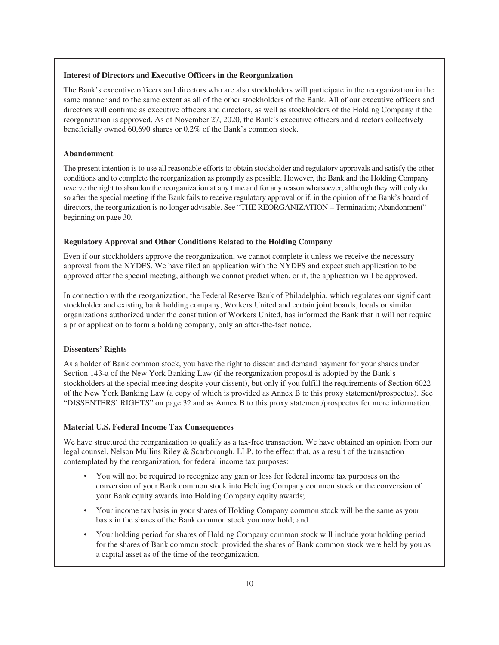# **Interest of Directors and Executive Officers in the Reorganization**

The Bank's executive officers and directors who are also stockholders will participate in the reorganization in the same manner and to the same extent as all of the other stockholders of the Bank. All of our executive officers and directors will continue as executive officers and directors, as well as stockholders of the Holding Company if the reorganization is approved. As of November 27, 2020, the Bank's executive officers and directors collectively beneficially owned 60,690 shares or 0.2% of the Bank's common stock.

# **Abandonment**

The present intention is to use all reasonable efforts to obtain stockholder and regulatory approvals and satisfy the other conditions and to complete the reorganization as promptly as possible. However, the Bank and the Holding Company reserve the right to abandon the reorganization at any time and for any reason whatsoever, although they will only do so after the special meeting if the Bank fails to receive regulatory approval or if, in the opinion of the Bank's board of directors, the reorganization is no longer advisable. See "THE REORGANIZATION – Termination; Abandonment" beginning on page 30.

# **Regulatory Approval and Other Conditions Related to the Holding Company**

Even if our stockholders approve the reorganization, we cannot complete it unless we receive the necessary approval from the NYDFS. We have filed an application with the NYDFS and expect such application to be approved after the special meeting, although we cannot predict when, or if, the application will be approved.

In connection with the reorganization, the Federal Reserve Bank of Philadelphia, which regulates our significant stockholder and existing bank holding company, Workers United and certain joint boards, locals or similar organizations authorized under the constitution of Workers United, has informed the Bank that it will not require a prior application to form a holding company, only an after-the-fact notice.

# **Dissenters' Rights**

As a holder of Bank common stock, you have the right to dissent and demand payment for your shares under Section 143-a of the New York Banking Law (if the reorganization proposal is adopted by the Bank's stockholders at the special meeting despite your dissent), but only if you fulfill the requirements of Section 6022 of the New York Banking Law (a copy of which is provided as Annex B to this proxy statement/prospectus). See "DISSENTERS' RIGHTS" on page 32 and as Annex B to this proxy statement/prospectus for more information.

# **Material U.S. Federal Income Tax Consequences**

We have structured the reorganization to qualify as a tax-free transaction. We have obtained an opinion from our legal counsel, Nelson Mullins Riley & Scarborough, LLP, to the effect that, as a result of the transaction contemplated by the reorganization, for federal income tax purposes:

- You will not be required to recognize any gain or loss for federal income tax purposes on the conversion of your Bank common stock into Holding Company common stock or the conversion of your Bank equity awards into Holding Company equity awards;
- Your income tax basis in your shares of Holding Company common stock will be the same as your basis in the shares of the Bank common stock you now hold; and
- Your holding period for shares of Holding Company common stock will include your holding period for the shares of Bank common stock, provided the shares of Bank common stock were held by you as a capital asset as of the time of the reorganization.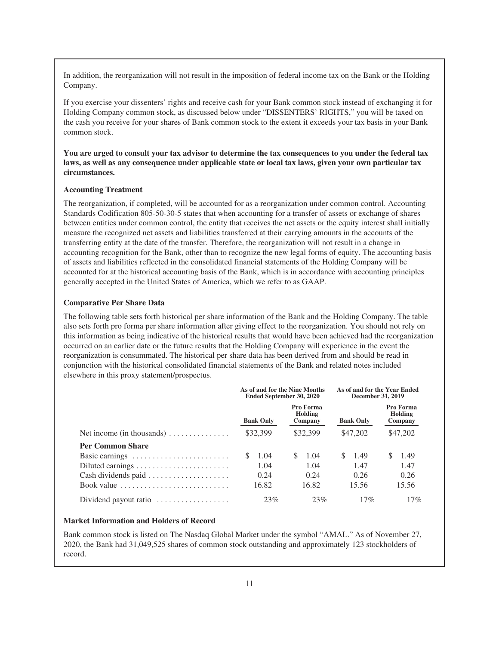In addition, the reorganization will not result in the imposition of federal income tax on the Bank or the Holding Company.

If you exercise your dissenters' rights and receive cash for your Bank common stock instead of exchanging it for Holding Company common stock, as discussed below under "DISSENTERS' RIGHTS," you will be taxed on the cash you receive for your shares of Bank common stock to the extent it exceeds your tax basis in your Bank common stock.

**You are urged to consult your tax advisor to determine the tax consequences to you under the federal tax laws, as well as any consequence under applicable state or local tax laws, given your own particular tax circumstances.**

## **Accounting Treatment**

The reorganization, if completed, will be accounted for as a reorganization under common control. Accounting Standards Codification 805-50-30-5 states that when accounting for a transfer of assets or exchange of shares between entities under common control, the entity that receives the net assets or the equity interest shall initially measure the recognized net assets and liabilities transferred at their carrying amounts in the accounts of the transferring entity at the date of the transfer. Therefore, the reorganization will not result in a change in accounting recognition for the Bank, other than to recognize the new legal forms of equity. The accounting basis of assets and liabilities reflected in the consolidated financial statements of the Holding Company will be accounted for at the historical accounting basis of the Bank, which is in accordance with accounting principles generally accepted in the United States of America, which we refer to as GAAP.

## **Comparative Per Share Data**

The following table sets forth historical per share information of the Bank and the Holding Company. The table also sets forth pro forma per share information after giving effect to the reorganization. You should not rely on this information as being indicative of the historical results that would have been achieved had the reorganization occurred on an earlier date or the future results that the Holding Company will experience in the event the reorganization is consummated. The historical per share data has been derived from and should be read in conjunction with the historical consolidated financial statements of the Bank and related notes included elsewhere in this proxy statement/prospectus.

|                                                                      | As of and for the Nine Months<br>Ended September 30, 2020 |                                 | As of and for the Year Ended<br>December 31, 2019 |                                             |  |
|----------------------------------------------------------------------|-----------------------------------------------------------|---------------------------------|---------------------------------------------------|---------------------------------------------|--|
|                                                                      | <b>Bank Only</b>                                          | Pro Forma<br>Holding<br>Company | <b>Bank Only</b>                                  | Pro Forma<br>Holding<br>Company<br>\$47,202 |  |
| Net income (in thousands) $\dots \dots \dots \dots$                  | \$32,399                                                  | \$32,399                        | \$47,202                                          |                                             |  |
| <b>Per Common Share</b>                                              |                                                           |                                 |                                                   |                                             |  |
| Basic earnings                                                       | 1.04                                                      | 1.04                            | 1.49<br>S.                                        | -1.49                                       |  |
|                                                                      | 1.04                                                      | 1.04                            | 1.47                                              | 1.47                                        |  |
| Cash dividends paid                                                  | 0.24                                                      | 0.24                            | 0.26                                              | 0.26                                        |  |
| Book value $\ldots \ldots \ldots \ldots \ldots \ldots \ldots \ldots$ | 16.82                                                     | 16.82                           | 15.56                                             | 15.56                                       |  |
| Dividend payout ratio                                                | 23%                                                       | 23%                             | 17%                                               | 17%                                         |  |

# **Market Information and Holders of Record**

Bank common stock is listed on The Nasdaq Global Market under the symbol "AMAL." As of November 27, 2020, the Bank had 31,049,525 shares of common stock outstanding and approximately 123 stockholders of record.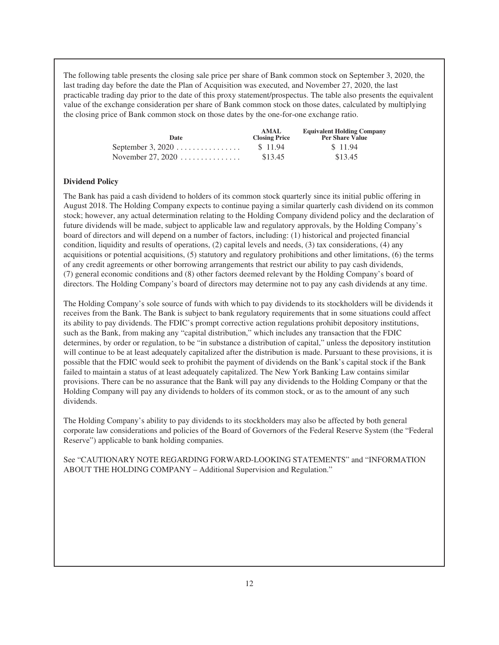The following table presents the closing sale price per share of Bank common stock on September 3, 2020, the last trading day before the date the Plan of Acquisition was executed, and November 27, 2020, the last practicable trading day prior to the date of this proxy statement/prospectus. The table also presents the equivalent value of the exchange consideration per share of Bank common stock on those dates, calculated by multiplying the closing price of Bank common stock on those dates by the one-for-one exchange ratio.

| Date                      | AMAL.<br><b>Closing Price</b> | <b>Equivalent Holding Company</b><br><b>Per Share Value</b> |
|---------------------------|-------------------------------|-------------------------------------------------------------|
| September 3, $2020$       | \$11.94                       | \$11.94                                                     |
| November 27, 2020 $\dots$ | \$13.45                       | \$13.45                                                     |

# **Dividend Policy**

The Bank has paid a cash dividend to holders of its common stock quarterly since its initial public offering in August 2018. The Holding Company expects to continue paying a similar quarterly cash dividend on its common stock; however, any actual determination relating to the Holding Company dividend policy and the declaration of future dividends will be made, subject to applicable law and regulatory approvals, by the Holding Company's board of directors and will depend on a number of factors, including: (1) historical and projected financial condition, liquidity and results of operations, (2) capital levels and needs, (3) tax considerations, (4) any acquisitions or potential acquisitions, (5) statutory and regulatory prohibitions and other limitations, (6) the terms of any credit agreements or other borrowing arrangements that restrict our ability to pay cash dividends, (7) general economic conditions and (8) other factors deemed relevant by the Holding Company's board of directors. The Holding Company's board of directors may determine not to pay any cash dividends at any time.

The Holding Company's sole source of funds with which to pay dividends to its stockholders will be dividends it receives from the Bank. The Bank is subject to bank regulatory requirements that in some situations could affect its ability to pay dividends. The FDIC's prompt corrective action regulations prohibit depository institutions, such as the Bank, from making any "capital distribution," which includes any transaction that the FDIC determines, by order or regulation, to be "in substance a distribution of capital," unless the depository institution will continue to be at least adequately capitalized after the distribution is made. Pursuant to these provisions, it is possible that the FDIC would seek to prohibit the payment of dividends on the Bank's capital stock if the Bank failed to maintain a status of at least adequately capitalized. The New York Banking Law contains similar provisions. There can be no assurance that the Bank will pay any dividends to the Holding Company or that the Holding Company will pay any dividends to holders of its common stock, or as to the amount of any such dividends.

The Holding Company's ability to pay dividends to its stockholders may also be affected by both general corporate law considerations and policies of the Board of Governors of the Federal Reserve System (the "Federal Reserve") applicable to bank holding companies*.*

See "CAUTIONARY NOTE REGARDING FORWARD-LOOKING STATEMENTS" and "INFORMATION ABOUT THE HOLDING COMPANY – Additional Supervision and Regulation."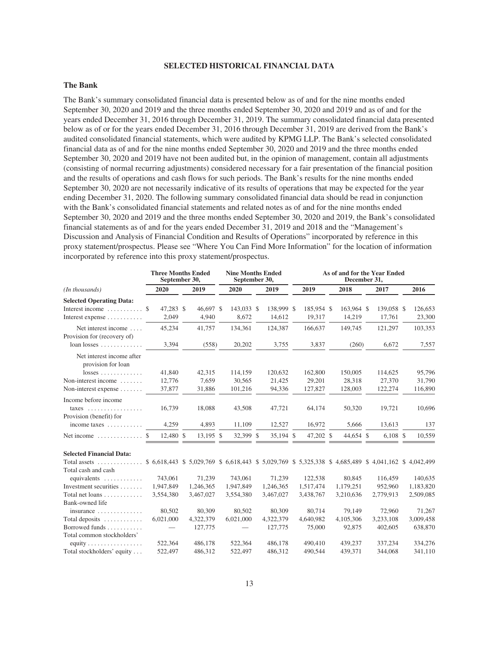## **SELECTED HISTORICAL FINANCIAL DATA**

# **The Bank**

The Bank's summary consolidated financial data is presented below as of and for the nine months ended September 30, 2020 and 2019 and the three months ended September 30, 2020 and 2019 and as of and for the years ended December 31, 2016 through December 31, 2019. The summary consolidated financial data presented below as of or for the years ended December 31, 2016 through December 31, 2019 are derived from the Bank's audited consolidated financial statements, which were audited by KPMG LLP. The Bank's selected consolidated financial data as of and for the nine months ended September 30, 2020 and 2019 and the three months ended September 30, 2020 and 2019 have not been audited but, in the opinion of management, contain all adjustments (consisting of normal recurring adjustments) considered necessary for a fair presentation of the financial position and the results of operations and cash flows for such periods. The Bank's results for the nine months ended September 30, 2020 are not necessarily indicative of its results of operations that may be expected for the year ending December 31, 2020. The following summary consolidated financial data should be read in conjunction with the Bank's consolidated financial statements and related notes as of and for the nine months ended September 30, 2020 and 2019 and the three months ended September 30, 2020 and 2019, the Bank's consolidated financial statements as of and for the years ended December 31, 2019 and 2018 and the "Management's Discussion and Analysis of Financial Condition and Results of Operations" incorporated by reference in this proxy statement/prospectus. Please see "Where You Can Find More Information" for the location of information incorporated by reference into this proxy statement/prospectus.

|                                                                                                                       | <b>Three Months Ended</b><br>September 30, |                    | <b>Nine Months Ended</b><br>September 30, |                      | As of and for the Year Ended<br>December 31, |                      |                      |                   |
|-----------------------------------------------------------------------------------------------------------------------|--------------------------------------------|--------------------|-------------------------------------------|----------------------|----------------------------------------------|----------------------|----------------------|-------------------|
| (In thousands)                                                                                                        | 2020                                       | 2019               | 2020                                      | 2019                 | 2019                                         | 2018                 | 2017                 | 2016              |
| <b>Selected Operating Data:</b>                                                                                       |                                            |                    |                                           |                      |                                              |                      |                      |                   |
| Interest income<br>Interest expense $\dots\dots\dots\dots$                                                            | 47,283 \$<br>\$<br>2,049                   | 46,697 \$<br>4,940 | 143,033 \$<br>8,672                       | 138,999 \$<br>14,612 | 185,954 \$<br>19,317                         | 163,964 \$<br>14,219 | 139,058 \$<br>17,761 | 126,653<br>23,300 |
| Net interest income<br>Provision for (recovery of)                                                                    | 45,234                                     | 41,757             | 134,361                                   | 124,387              | 166,637                                      | 149,745              | 121,297              | 103,353           |
| $loan losses \ldots \ldots \ldots$                                                                                    | 3,394                                      | (558)              | 20,202                                    | 3,755                | 3,837                                        | (260)                | 6,672                | 7,557             |
| Net interest income after<br>provision for loan                                                                       |                                            |                    |                                           |                      |                                              |                      |                      |                   |
| $losses \ldots \ldots \ldots \ldots$                                                                                  | 41,840                                     | 42,315             | 114,159                                   | 120,632              | 162,800                                      | 150,005              | 114,625              | 95,796            |
| Non-interest income                                                                                                   | 12,776                                     | 7,659              | 30,565                                    | 21,425               | 29,201                                       | 28,318               | 27,370               | 31,790            |
| Non-interest expense                                                                                                  | 37,877                                     | 31,886             | 101,216                                   | 94,336               | 127,827                                      | 128,003              | 122,274              | 116,890           |
| Income before income<br>$\text{taxes}$                                                                                | 16.739                                     | 18,088             | 43,508                                    | 47,721               | 64,174                                       | 50,320               | 19,721               | 10,696            |
| Provision (benefit) for                                                                                               |                                            |                    |                                           |                      |                                              |                      |                      |                   |
| income taxes $\dots\dots\dots$                                                                                        | 4,259                                      | 4,893              | 11,109                                    | 12,527               | 16,972                                       | 5,666                | 13,613               | 137               |
| Net income $\dots\dots\dots\dots$                                                                                     | 12,480 \$<br>\$.                           | 13,195 \$          | 32,399 \$                                 | 35,194 \$            | 47,202 \$                                    | 44,654 \$            | $6,108$ \$           | 10,559            |
| <b>Selected Financial Data:</b>                                                                                       |                                            |                    |                                           |                      |                                              |                      |                      |                   |
| Total assets  \$ 6,618,443 \$ 5,029,769 \$ 6,618,443 \$ 5,029,769 \$ 5,325,338 \$ 4,685,489 \$ 4,041,162 \$ 4,042,499 |                                            |                    |                                           |                      |                                              |                      |                      |                   |
| Total cash and cash                                                                                                   |                                            |                    |                                           |                      |                                              |                      |                      |                   |
| equivalents                                                                                                           | 743,061                                    | 71,239             | 743,061                                   | 71,239               | 122,538                                      | 80,845               | 116,459              | 140,635           |
| Investment securities                                                                                                 | 1,947,849                                  | 1,246,365          | 1,947,849                                 | 1,246,365            | 1,517,474                                    | 1,179,251            | 952,960              | 1,183,820         |
| Total net loans                                                                                                       | 3,554,380                                  | 3,467,027          | 3,554,380                                 | 3,467,027            | 3,438,767                                    | 3,210,636            | 2,779,913            | 2,509,085         |
| Bank-owned life                                                                                                       |                                            |                    |                                           |                      |                                              |                      |                      |                   |
| insurance $\ldots \ldots \ldots \ldots$                                                                               | 80.502                                     | 80,309             | 80,502                                    | 80,309               | 80.714                                       | 79,149               | 72,960               | 71,267            |
| Total deposits $\dots\dots\dots\dots$                                                                                 | 6,021,000                                  | 4,322,379          | 6,021,000                                 | 4,322,379            | 4,640,982                                    | 4,105,306            | 3,233,108            | 3,009,458         |
| Borrowed funds<br>Total common stockholders'                                                                          |                                            | 127,775            |                                           | 127,775              | 75,000                                       | 92,875               | 402,605              | 638,870           |
| equity $\ldots \ldots \ldots \ldots \ldots$                                                                           | 522,364                                    | 486,178            | 522,364                                   | 486,178              | 490,410                                      | 439,237              | 337,234              | 334,276           |
| Total stockholders' equity                                                                                            | 522,497                                    | 486,312            | 522,497                                   | 486,312              | 490,544                                      | 439,371              | 344,068              | 341,110           |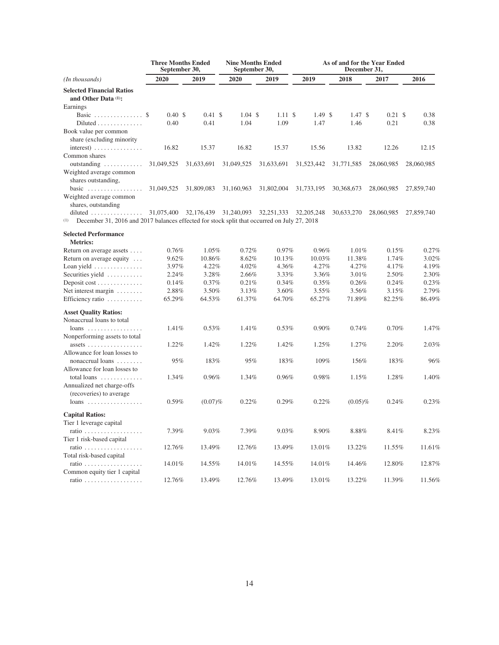|                                                                                                    | <b>Three Months Ended</b><br>September 30, |                    | <b>Nine Months Ended</b><br>September 30, |            | As of and for the Year Ended<br>December 31, |            |            |            |
|----------------------------------------------------------------------------------------------------|--------------------------------------------|--------------------|-------------------------------------------|------------|----------------------------------------------|------------|------------|------------|
| (In thousands)                                                                                     | 2020                                       | 2019               | 2020                                      | 2019       | 2019                                         | 2018       | 2017       | 2016       |
| <b>Selected Financial Ratios</b><br>and Other Data $(1)$ :                                         |                                            |                    |                                           |            |                                              |            |            |            |
| Earnings                                                                                           |                                            |                    |                                           |            |                                              |            |            |            |
| Basic  \$                                                                                          | $0.40 \text{ }$ \$                         | $0.41 \text{ }$ \$ | $1.04 \text{ }$ \$                        | 1.11S      | 1.49S                                        | 1.47S      | 0.21S      | 0.38       |
| $Diluted \ldots \ldots \ldots \ldots$                                                              | 0.40                                       | 0.41               | 1.04                                      | 1.09       | 1.47                                         | 1.46       | 0.21       | 0.38       |
| Book value per common                                                                              |                                            |                    |                                           |            |                                              |            |            |            |
| share (excluding minority                                                                          |                                            |                    |                                           |            |                                              |            |            |            |
| $interest)$                                                                                        | 16.82                                      | 15.37              | 16.82                                     | 15.37      | 15.56                                        | 13.82      | 12.26      | 12.15      |
| Common shares                                                                                      |                                            |                    |                                           |            |                                              |            |            |            |
| outstanding                                                                                        | 31,049,525                                 | 31,633,691         | 31,049,525                                | 31,633,691 | 31,523,442                                   | 31,771,585 | 28,060,985 | 28,060,985 |
| Weighted average common<br>shares outstanding.                                                     |                                            |                    |                                           |            |                                              |            |            |            |
| basic                                                                                              | 31,049,525                                 | 31,809,083         | 31,160,963                                | 31,802,004 | 31,733,195                                   | 30,368,673 | 28,060,985 | 27,859,740 |
| Weighted average common<br>shares, outstanding                                                     |                                            |                    |                                           |            |                                              |            |            |            |
| diluted                                                                                            | 31,075,400                                 | 32,176,439         | 31,240,093                                | 32,251,333 | 32, 205, 248                                 | 30,633,270 | 28,060,985 | 27,859,740 |
| (1)<br>December 31, 2016 and 2017 balances effected for stock split that occurred on July 27, 2018 |                                            |                    |                                           |            |                                              |            |            |            |
| <b>Selected Performance</b><br><b>Metrics:</b>                                                     |                                            |                    |                                           |            |                                              |            |            |            |
| Return on average assets                                                                           | 0.76%                                      | 1.05%              | 0.72%                                     | 0.97%      | 0.96%                                        | 1.01%      | 0.15%      | 0.27%      |
| Return on average equity                                                                           | 9.62%                                      | 10.86%             | 8.62%                                     | 10.13%     | 10.03%                                       | 11.38%     | 1.74%      | 3.02%      |
| Loan yield                                                                                         | 3.97%                                      | 4.22%              | 4.02%                                     | 4.36%      | 4.27%                                        | 4.27%      | 4.17%      | 4.19%      |
| Securities yield                                                                                   | 2.24%                                      | 3.28%              | 2.66%                                     | 3.33%      | 3.36%                                        | 3.01%      | 2.50%      | 2.30%      |
| Deposit cost                                                                                       | 0.14%                                      | 0.37%              | 0.21%                                     | 0.34%      | 0.35%                                        | 0.26%      | 0.24%      | 0.23%      |
| Net interest margin                                                                                | 2.88%                                      | 3.50%              | 3.13%                                     | 3.60%      | 3.55%                                        | 3.56%      | 3.15%      | 2.79%      |
| Efficiency ratio                                                                                   | 65.29%                                     | 64.53%             | 61.37%                                    | 64.70%     | 65.27%                                       | 71.89%     | 82.25%     | 86.49%     |
| <b>Asset Quality Ratios:</b>                                                                       |                                            |                    |                                           |            |                                              |            |            |            |
| Nonaccrual loans to total                                                                          |                                            |                    |                                           |            |                                              |            |            |            |
| $loans$<br>Nonperforming assets to total                                                           | 1.41%                                      | 0.53%              | 1.41%                                     | 0.53%      | 0.90%                                        | 0.74%      | 0.70%      | 1.47%      |
| assets $\ldots \ldots \ldots \ldots \ldots$<br>Allowance for loan losses to                        | 1.22%                                      | 1.42%              | 1.22%                                     | 1.42%      | 1.25%                                        | 1.27%      | 2.20%      | 2.03%      |
| nonaccrual loans<br>Allowance for loan losses to                                                   | 95%                                        | 183%               | 95%                                       | 183%       | 109%                                         | 156%       | 183%       | 96%        |
| total loans<br>Annualized net charge-offs<br>(recoveries) to average                               | 1.34%                                      | 0.96%              | 1.34%                                     | 0.96%      | 0.98%                                        | 1.15%      | 1.28%      | 1.40%      |
| $loans$                                                                                            | 0.59%                                      | $(0.07)\%$         | 0.22%                                     | 0.29%      | 0.22%                                        | $(0.05)\%$ | 0.24%      | 0.23%      |
| <b>Capital Ratios:</b>                                                                             |                                            |                    |                                           |            |                                              |            |            |            |
| Tier 1 leverage capital                                                                            |                                            |                    |                                           |            |                                              |            |            |            |
| ratio $\ldots \ldots \ldots$<br>.<br>Tier 1 risk-based capital                                     | 7.39%                                      | 9.03%              | 7.39%                                     | 9.03%      | 8.90%                                        | 8.88%      | 8.41%      | 8.23%      |
|                                                                                                    | 12.76%                                     | 13.49%             | 12.76%                                    | 13.49%     | 13.01%                                       | 13.22%     | 11.55%     | 11.61%     |
| Total risk-based capital                                                                           |                                            |                    |                                           |            |                                              |            |            |            |
| ratio<br>$\ldots$ .<br>Common equity tier 1 capital                                                | 14.01%                                     | 14.55%             | 14.01%                                    | 14.55%     | 14.01%                                       | 14.46%     | 12.80%     | 12.87%     |
| ratio                                                                                              | 12.76%                                     | 13.49%             | 12.76%                                    | 13.49%     | 13.01%                                       | 13.22%     | 11.39%     | 11.56%     |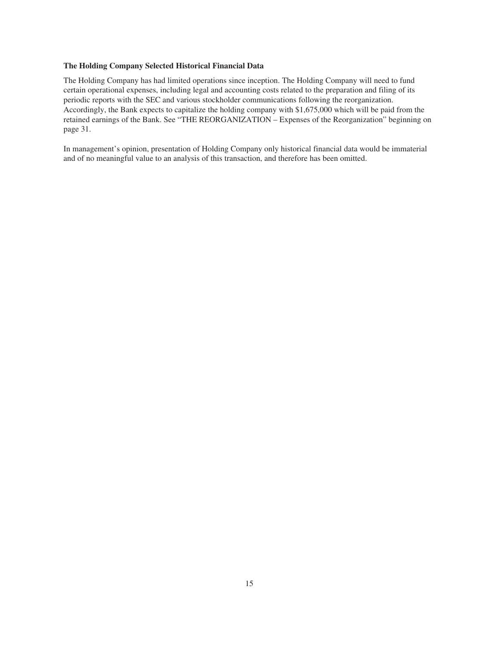# **The Holding Company Selected Historical Financial Data**

The Holding Company has had limited operations since inception. The Holding Company will need to fund certain operational expenses, including legal and accounting costs related to the preparation and filing of its periodic reports with the SEC and various stockholder communications following the reorganization. Accordingly, the Bank expects to capitalize the holding company with \$1,675,000 which will be paid from the retained earnings of the Bank. See "THE REORGANIZATION – Expenses of the Reorganization" beginning on page 31.

In management's opinion, presentation of Holding Company only historical financial data would be immaterial and of no meaningful value to an analysis of this transaction, and therefore has been omitted.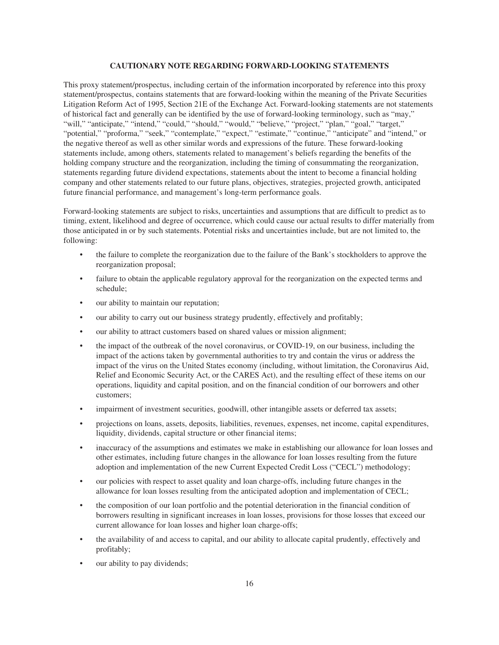## **CAUTIONARY NOTE REGARDING FORWARD-LOOKING STATEMENTS**

This proxy statement/prospectus, including certain of the information incorporated by reference into this proxy statement/prospectus, contains statements that are forward-looking within the meaning of the Private Securities Litigation Reform Act of 1995, Section 21E of the Exchange Act. Forward-looking statements are not statements of historical fact and generally can be identified by the use of forward-looking terminology, such as "may," "will," "anticipate," "intend," "could," "should," "would," "believe," "project," "plan," "goal," "target," "potential," "proforma," "seek," "contemplate," "expect," "estimate," "continue," "anticipate" and "intend," or the negative thereof as well as other similar words and expressions of the future. These forward-looking statements include, among others, statements related to management's beliefs regarding the benefits of the holding company structure and the reorganization, including the timing of consummating the reorganization, statements regarding future dividend expectations, statements about the intent to become a financial holding company and other statements related to our future plans, objectives, strategies, projected growth, anticipated future financial performance, and management's long-term performance goals.

Forward-looking statements are subject to risks, uncertainties and assumptions that are difficult to predict as to timing, extent, likelihood and degree of occurrence, which could cause our actual results to differ materially from those anticipated in or by such statements. Potential risks and uncertainties include, but are not limited to, the following:

- the failure to complete the reorganization due to the failure of the Bank's stockholders to approve the reorganization proposal;
- failure to obtain the applicable regulatory approval for the reorganization on the expected terms and schedule;
- our ability to maintain our reputation;
- our ability to carry out our business strategy prudently, effectively and profitably;
- our ability to attract customers based on shared values or mission alignment;
- the impact of the outbreak of the novel coronavirus, or COVID-19, on our business, including the impact of the actions taken by governmental authorities to try and contain the virus or address the impact of the virus on the United States economy (including, without limitation, the Coronavirus Aid, Relief and Economic Security Act, or the CARES Act), and the resulting effect of these items on our operations, liquidity and capital position, and on the financial condition of our borrowers and other customers;
- impairment of investment securities, goodwill, other intangible assets or deferred tax assets;
- projections on loans, assets, deposits, liabilities, revenues, expenses, net income, capital expenditures, liquidity, dividends, capital structure or other financial items;
- inaccuracy of the assumptions and estimates we make in establishing our allowance for loan losses and other estimates, including future changes in the allowance for loan losses resulting from the future adoption and implementation of the new Current Expected Credit Loss ("CECL") methodology;
- our policies with respect to asset quality and loan charge-offs, including future changes in the allowance for loan losses resulting from the anticipated adoption and implementation of CECL;
- the composition of our loan portfolio and the potential deterioration in the financial condition of borrowers resulting in significant increases in loan losses, provisions for those losses that exceed our current allowance for loan losses and higher loan charge-offs;
- the availability of and access to capital, and our ability to allocate capital prudently, effectively and profitably;
- our ability to pay dividends;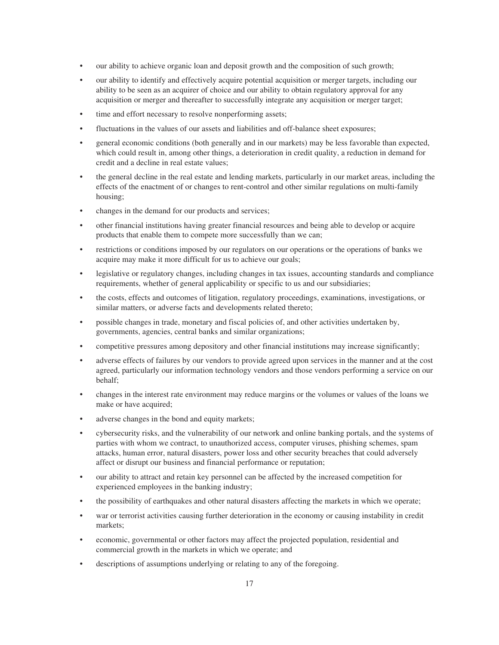- our ability to achieve organic loan and deposit growth and the composition of such growth;
- our ability to identify and effectively acquire potential acquisition or merger targets, including our ability to be seen as an acquirer of choice and our ability to obtain regulatory approval for any acquisition or merger and thereafter to successfully integrate any acquisition or merger target;
- time and effort necessary to resolve nonperforming assets;
- fluctuations in the values of our assets and liabilities and off-balance sheet exposures;
- general economic conditions (both generally and in our markets) may be less favorable than expected, which could result in, among other things, a deterioration in credit quality, a reduction in demand for credit and a decline in real estate values;
- the general decline in the real estate and lending markets, particularly in our market areas, including the effects of the enactment of or changes to rent-control and other similar regulations on multi-family housing;
- changes in the demand for our products and services;
- other financial institutions having greater financial resources and being able to develop or acquire products that enable them to compete more successfully than we can;
- restrictions or conditions imposed by our regulators on our operations or the operations of banks we acquire may make it more difficult for us to achieve our goals;
- legislative or regulatory changes, including changes in tax issues, accounting standards and compliance requirements, whether of general applicability or specific to us and our subsidiaries;
- the costs, effects and outcomes of litigation, regulatory proceedings, examinations, investigations, or similar matters, or adverse facts and developments related thereto;
- possible changes in trade, monetary and fiscal policies of, and other activities undertaken by, governments, agencies, central banks and similar organizations;
- competitive pressures among depository and other financial institutions may increase significantly;
- adverse effects of failures by our vendors to provide agreed upon services in the manner and at the cost agreed, particularly our information technology vendors and those vendors performing a service on our behalf;
- changes in the interest rate environment may reduce margins or the volumes or values of the loans we make or have acquired;
- adverse changes in the bond and equity markets;
- cybersecurity risks, and the vulnerability of our network and online banking portals, and the systems of parties with whom we contract, to unauthorized access, computer viruses, phishing schemes, spam attacks, human error, natural disasters, power loss and other security breaches that could adversely affect or disrupt our business and financial performance or reputation;
- our ability to attract and retain key personnel can be affected by the increased competition for experienced employees in the banking industry;
- the possibility of earthquakes and other natural disasters affecting the markets in which we operate;
- war or terrorist activities causing further deterioration in the economy or causing instability in credit markets;
- economic, governmental or other factors may affect the projected population, residential and commercial growth in the markets in which we operate; and
- descriptions of assumptions underlying or relating to any of the foregoing.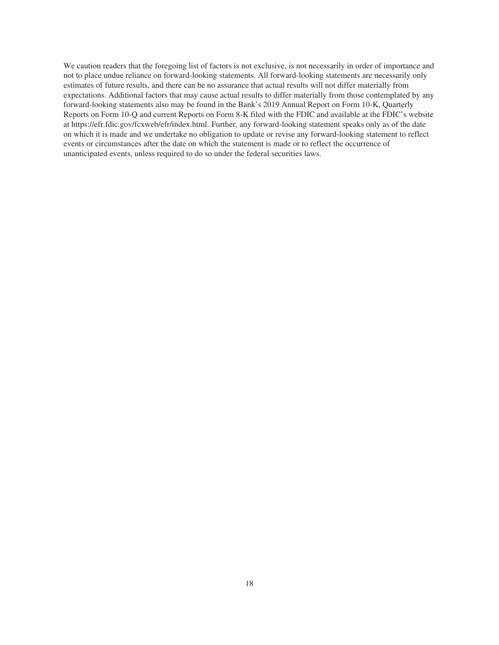We caution readers that the foregoing list of factors is not exclusive, is not necessarily in order of importance and not to place undue reliance on forward-looking statements. All forward-looking statements are necessarily only estimates of future results, and there can be no assurance that actual results will not differ materially from expectations. Additional factors that may cause actual results to differ materially from those contemplated by any forward-looking statements also may be found in the Bank's 2019 Annual Report on Form 10-K, Quarterly Reports on Form 10-Q and current Reports on Form 8-K filed with the FDIC and available at the FDIC's website at https://efr.fdic.gov/fcxweb/efr/index.html. Further, any forward-looking statement speaks only as of the date on which it is made and we undertake no obligation to update or revise any forward-looking statement to reflect events or circumstances after the date on which the statement is made or to reflect the occurrence of unanticipated events, unless required to do so under the federal securities laws.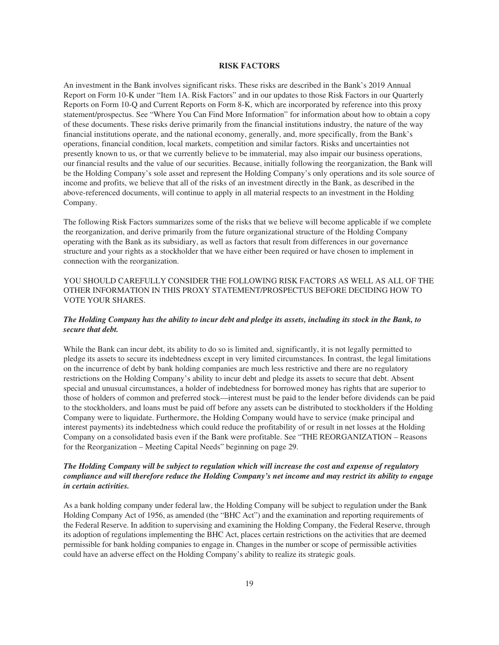### **RISK FACTORS**

An investment in the Bank involves significant risks. These risks are described in the Bank's 2019 Annual Report on Form 10-K under "Item 1A. Risk Factors" and in our updates to those Risk Factors in our Quarterly Reports on Form 10-Q and Current Reports on Form 8-K, which are incorporated by reference into this proxy statement/prospectus. See "Where You Can Find More Information" for information about how to obtain a copy of these documents. These risks derive primarily from the financial institutions industry, the nature of the way financial institutions operate, and the national economy, generally, and, more specifically, from the Bank's operations, financial condition, local markets, competition and similar factors. Risks and uncertainties not presently known to us, or that we currently believe to be immaterial, may also impair our business operations, our financial results and the value of our securities. Because, initially following the reorganization, the Bank will be the Holding Company's sole asset and represent the Holding Company's only operations and its sole source of income and profits, we believe that all of the risks of an investment directly in the Bank, as described in the above-referenced documents, will continue to apply in all material respects to an investment in the Holding Company.

The following Risk Factors summarizes some of the risks that we believe will become applicable if we complete the reorganization, and derive primarily from the future organizational structure of the Holding Company operating with the Bank as its subsidiary, as well as factors that result from differences in our governance structure and your rights as a stockholder that we have either been required or have chosen to implement in connection with the reorganization.

# YOU SHOULD CAREFULLY CONSIDER THE FOLLOWING RISK FACTORS AS WELL AS ALL OF THE OTHER INFORMATION IN THIS PROXY STATEMENT/PROSPECTUS BEFORE DECIDING HOW TO VOTE YOUR SHARES.

# *The Holding Company has the ability to incur debt and pledge its assets, including its stock in the Bank, to secure that debt.*

While the Bank can incur debt, its ability to do so is limited and, significantly, it is not legally permitted to pledge its assets to secure its indebtedness except in very limited circumstances. In contrast, the legal limitations on the incurrence of debt by bank holding companies are much less restrictive and there are no regulatory restrictions on the Holding Company's ability to incur debt and pledge its assets to secure that debt. Absent special and unusual circumstances, a holder of indebtedness for borrowed money has rights that are superior to those of holders of common and preferred stock—interest must be paid to the lender before dividends can be paid to the stockholders, and loans must be paid off before any assets can be distributed to stockholders if the Holding Company were to liquidate. Furthermore, the Holding Company would have to service (make principal and interest payments) its indebtedness which could reduce the profitability of or result in net losses at the Holding Company on a consolidated basis even if the Bank were profitable. See "THE REORGANIZATION – Reasons for the Reorganization – Meeting Capital Needs" beginning on page 29.

# *The Holding Company will be subject to regulation which will increase the cost and expense of regulatory compliance and will therefore reduce the Holding Company's net income and may restrict its ability to engage in certain activities.*

As a bank holding company under federal law, the Holding Company will be subject to regulation under the Bank Holding Company Act of 1956, as amended (the "BHC Act") and the examination and reporting requirements of the Federal Reserve. In addition to supervising and examining the Holding Company, the Federal Reserve, through its adoption of regulations implementing the BHC Act, places certain restrictions on the activities that are deemed permissible for bank holding companies to engage in. Changes in the number or scope of permissible activities could have an adverse effect on the Holding Company's ability to realize its strategic goals.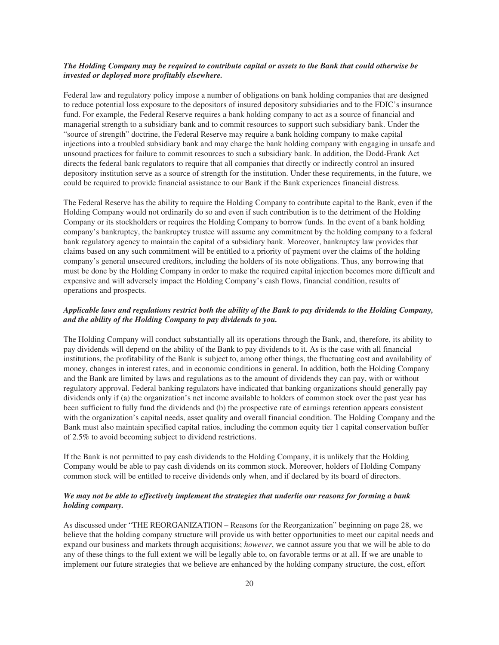# *The Holding Company may be required to contribute capital or assets to the Bank that could otherwise be invested or deployed more profitably elsewhere.*

Federal law and regulatory policy impose a number of obligations on bank holding companies that are designed to reduce potential loss exposure to the depositors of insured depository subsidiaries and to the FDIC's insurance fund. For example, the Federal Reserve requires a bank holding company to act as a source of financial and managerial strength to a subsidiary bank and to commit resources to support such subsidiary bank. Under the "source of strength" doctrine, the Federal Reserve may require a bank holding company to make capital injections into a troubled subsidiary bank and may charge the bank holding company with engaging in unsafe and unsound practices for failure to commit resources to such a subsidiary bank. In addition, the Dodd-Frank Act directs the federal bank regulators to require that all companies that directly or indirectly control an insured depository institution serve as a source of strength for the institution. Under these requirements, in the future, we could be required to provide financial assistance to our Bank if the Bank experiences financial distress.

The Federal Reserve has the ability to require the Holding Company to contribute capital to the Bank, even if the Holding Company would not ordinarily do so and even if such contribution is to the detriment of the Holding Company or its stockholders or requires the Holding Company to borrow funds. In the event of a bank holding company's bankruptcy, the bankruptcy trustee will assume any commitment by the holding company to a federal bank regulatory agency to maintain the capital of a subsidiary bank. Moreover, bankruptcy law provides that claims based on any such commitment will be entitled to a priority of payment over the claims of the holding company's general unsecured creditors, including the holders of its note obligations. Thus, any borrowing that must be done by the Holding Company in order to make the required capital injection becomes more difficult and expensive and will adversely impact the Holding Company's cash flows, financial condition, results of operations and prospects.

# *Applicable laws and regulations restrict both the ability of the Bank to pay dividends to the Holding Company, and the ability of the Holding Company to pay dividends to you.*

The Holding Company will conduct substantially all its operations through the Bank, and, therefore, its ability to pay dividends will depend on the ability of the Bank to pay dividends to it. As is the case with all financial institutions, the profitability of the Bank is subject to, among other things, the fluctuating cost and availability of money, changes in interest rates, and in economic conditions in general. In addition, both the Holding Company and the Bank are limited by laws and regulations as to the amount of dividends they can pay, with or without regulatory approval. Federal banking regulators have indicated that banking organizations should generally pay dividends only if (a) the organization's net income available to holders of common stock over the past year has been sufficient to fully fund the dividends and (b) the prospective rate of earnings retention appears consistent with the organization's capital needs, asset quality and overall financial condition. The Holding Company and the Bank must also maintain specified capital ratios, including the common equity tier 1 capital conservation buffer of 2.5% to avoid becoming subject to dividend restrictions.

If the Bank is not permitted to pay cash dividends to the Holding Company, it is unlikely that the Holding Company would be able to pay cash dividends on its common stock. Moreover, holders of Holding Company common stock will be entitled to receive dividends only when, and if declared by its board of directors.

# *We may not be able to effectively implement the strategies that underlie our reasons for forming a bank holding company.*

As discussed under "THE REORGANIZATION – Reasons for the Reorganization" beginning on page 28, we believe that the holding company structure will provide us with better opportunities to meet our capital needs and expand our business and markets through acquisitions; *however*, we cannot assure you that we will be able to do any of these things to the full extent we will be legally able to, on favorable terms or at all. If we are unable to implement our future strategies that we believe are enhanced by the holding company structure, the cost, effort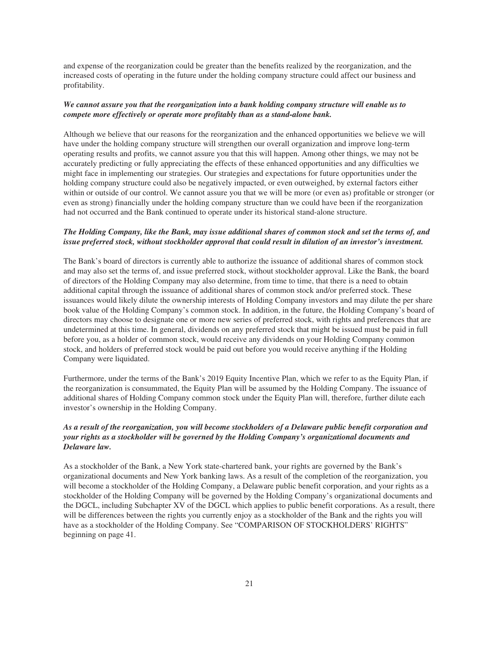and expense of the reorganization could be greater than the benefits realized by the reorganization, and the increased costs of operating in the future under the holding company structure could affect our business and profitability.

# *We cannot assure you that the reorganization into a bank holding company structure will enable us to compete more effectively or operate more profitably than as a stand-alone bank.*

Although we believe that our reasons for the reorganization and the enhanced opportunities we believe we will have under the holding company structure will strengthen our overall organization and improve long-term operating results and profits, we cannot assure you that this will happen. Among other things, we may not be accurately predicting or fully appreciating the effects of these enhanced opportunities and any difficulties we might face in implementing our strategies. Our strategies and expectations for future opportunities under the holding company structure could also be negatively impacted, or even outweighed, by external factors either within or outside of our control. We cannot assure you that we will be more (or even as) profitable or stronger (or even as strong) financially under the holding company structure than we could have been if the reorganization had not occurred and the Bank continued to operate under its historical stand-alone structure.

# *The Holding Company, like the Bank, may issue additional shares of common stock and set the terms of, and issue preferred stock, without stockholder approval that could result in dilution of an investor's investment.*

The Bank's board of directors is currently able to authorize the issuance of additional shares of common stock and may also set the terms of, and issue preferred stock, without stockholder approval. Like the Bank, the board of directors of the Holding Company may also determine, from time to time, that there is a need to obtain additional capital through the issuance of additional shares of common stock and/or preferred stock. These issuances would likely dilute the ownership interests of Holding Company investors and may dilute the per share book value of the Holding Company's common stock. In addition, in the future, the Holding Company's board of directors may choose to designate one or more new series of preferred stock, with rights and preferences that are undetermined at this time. In general, dividends on any preferred stock that might be issued must be paid in full before you, as a holder of common stock, would receive any dividends on your Holding Company common stock, and holders of preferred stock would be paid out before you would receive anything if the Holding Company were liquidated.

Furthermore, under the terms of the Bank's 2019 Equity Incentive Plan, which we refer to as the Equity Plan, if the reorganization is consummated, the Equity Plan will be assumed by the Holding Company. The issuance of additional shares of Holding Company common stock under the Equity Plan will, therefore, further dilute each investor's ownership in the Holding Company.

# *As a result of the reorganization, you will become stockholders of a Delaware public benefit corporation and your rights as a stockholder will be governed by the Holding Company's organizational documents and Delaware law.*

As a stockholder of the Bank, a New York state-chartered bank, your rights are governed by the Bank's organizational documents and New York banking laws. As a result of the completion of the reorganization, you will become a stockholder of the Holding Company, a Delaware public benefit corporation, and your rights as a stockholder of the Holding Company will be governed by the Holding Company's organizational documents and the DGCL, including Subchapter XV of the DGCL which applies to public benefit corporations. As a result, there will be differences between the rights you currently enjoy as a stockholder of the Bank and the rights you will have as a stockholder of the Holding Company. See "COMPARISON OF STOCKHOLDERS' RIGHTS" beginning on page 41.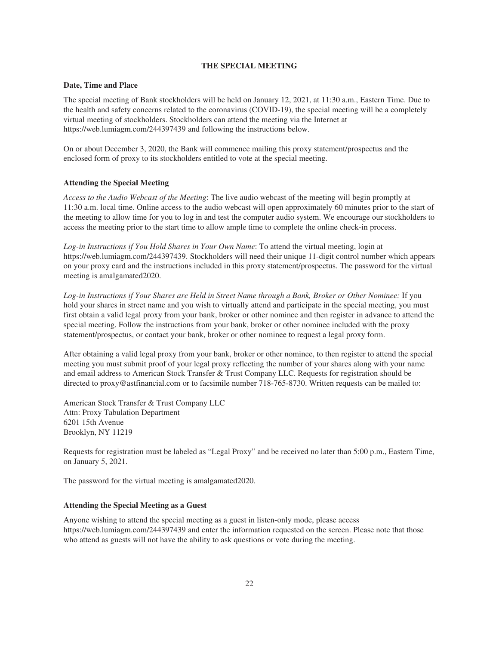### **THE SPECIAL MEETING**

### **Date, Time and Place**

The special meeting of Bank stockholders will be held on January 12, 2021, at 11:30 a.m., Eastern Time. Due to the health and safety concerns related to the coronavirus (COVID-19), the special meeting will be a completely virtual meeting of stockholders. Stockholders can attend the meeting via the Internet at https://web.lumiagm.com/244397439 and following the instructions below.

On or about December 3, 2020, the Bank will commence mailing this proxy statement/prospectus and the enclosed form of proxy to its stockholders entitled to vote at the special meeting.

# **Attending the Special Meeting**

*Access to the Audio Webcast of the Meeting*: The live audio webcast of the meeting will begin promptly at 11:30 a.m. local time. Online access to the audio webcast will open approximately 60 minutes prior to the start of the meeting to allow time for you to log in and test the computer audio system. We encourage our stockholders to access the meeting prior to the start time to allow ample time to complete the online check-in process.

*Log-in Instructions if You Hold Shares in Your Own Name*: To attend the virtual meeting, login at https://web.lumiagm.com/244397439. Stockholders will need their unique 11-digit control number which appears on your proxy card and the instructions included in this proxy statement/prospectus. The password for the virtual meeting is amalgamated2020.

*Log-in Instructions if Your Shares are Held in Street Name through a Bank, Broker or Other Nominee:* If you hold your shares in street name and you wish to virtually attend and participate in the special meeting, you must first obtain a valid legal proxy from your bank, broker or other nominee and then register in advance to attend the special meeting. Follow the instructions from your bank, broker or other nominee included with the proxy statement/prospectus, or contact your bank, broker or other nominee to request a legal proxy form.

After obtaining a valid legal proxy from your bank, broker or other nominee, to then register to attend the special meeting you must submit proof of your legal proxy reflecting the number of your shares along with your name and email address to American Stock Transfer & Trust Company LLC. Requests for registration should be directed to proxy@astfinancial.com or to facsimile number 718-765-8730. Written requests can be mailed to:

American Stock Transfer & Trust Company LLC Attn: Proxy Tabulation Department 6201 15th Avenue Brooklyn, NY 11219

Requests for registration must be labeled as "Legal Proxy" and be received no later than 5:00 p.m., Eastern Time, on January 5, 2021.

The password for the virtual meeting is amalgamated2020.

# **Attending the Special Meeting as a Guest**

Anyone wishing to attend the special meeting as a guest in listen-only mode, please access https://web.lumiagm.com/244397439 and enter the information requested on the screen. Please note that those who attend as guests will not have the ability to ask questions or vote during the meeting.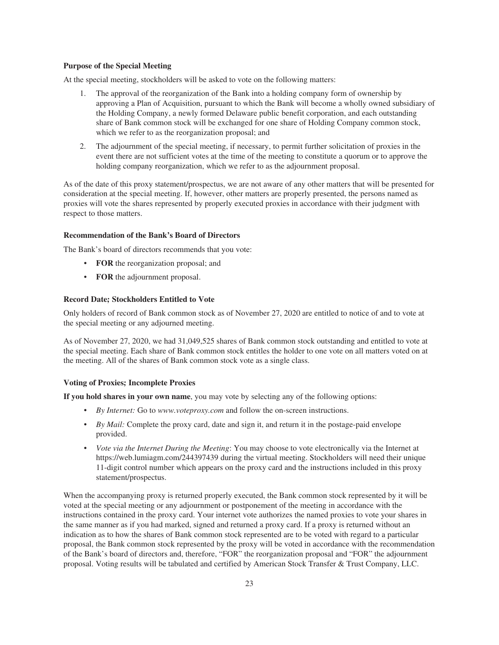## **Purpose of the Special Meeting**

At the special meeting, stockholders will be asked to vote on the following matters:

- 1. The approval of the reorganization of the Bank into a holding company form of ownership by approving a Plan of Acquisition, pursuant to which the Bank will become a wholly owned subsidiary of the Holding Company, a newly formed Delaware public benefit corporation, and each outstanding share of Bank common stock will be exchanged for one share of Holding Company common stock, which we refer to as the reorganization proposal; and
- 2. The adjournment of the special meeting, if necessary, to permit further solicitation of proxies in the event there are not sufficient votes at the time of the meeting to constitute a quorum or to approve the holding company reorganization, which we refer to as the adjournment proposal.

As of the date of this proxy statement/prospectus, we are not aware of any other matters that will be presented for consideration at the special meeting. If, however, other matters are properly presented, the persons named as proxies will vote the shares represented by properly executed proxies in accordance with their judgment with respect to those matters.

## **Recommendation of the Bank's Board of Directors**

The Bank's board of directors recommends that you vote:

- **FOR** the reorganization proposal; and
- **FOR** the adjournment proposal.

# **Record Date; Stockholders Entitled to Vote**

Only holders of record of Bank common stock as of November 27, 2020 are entitled to notice of and to vote at the special meeting or any adjourned meeting.

As of November 27, 2020, we had 31,049,525 shares of Bank common stock outstanding and entitled to vote at the special meeting. Each share of Bank common stock entitles the holder to one vote on all matters voted on at the meeting. All of the shares of Bank common stock vote as a single class.

### **Voting of Proxies; Incomplete Proxies**

**If you hold shares in your own name**, you may vote by selecting any of the following options:

- *By Internet:* Go to *www.voteproxy.com* and follow the on-screen instructions.
- *By Mail:* Complete the proxy card, date and sign it, and return it in the postage-paid envelope provided.
- *Vote via the Internet During the Meeting*: You may choose to vote electronically via the Internet at https://web.lumiagm.com/244397439 during the virtual meeting. Stockholders will need their unique 11-digit control number which appears on the proxy card and the instructions included in this proxy statement/prospectus.

When the accompanying proxy is returned properly executed, the Bank common stock represented by it will be voted at the special meeting or any adjournment or postponement of the meeting in accordance with the instructions contained in the proxy card. Your internet vote authorizes the named proxies to vote your shares in the same manner as if you had marked, signed and returned a proxy card. If a proxy is returned without an indication as to how the shares of Bank common stock represented are to be voted with regard to a particular proposal, the Bank common stock represented by the proxy will be voted in accordance with the recommendation of the Bank's board of directors and, therefore, "FOR" the reorganization proposal and "FOR" the adjournment proposal. Voting results will be tabulated and certified by American Stock Transfer & Trust Company, LLC.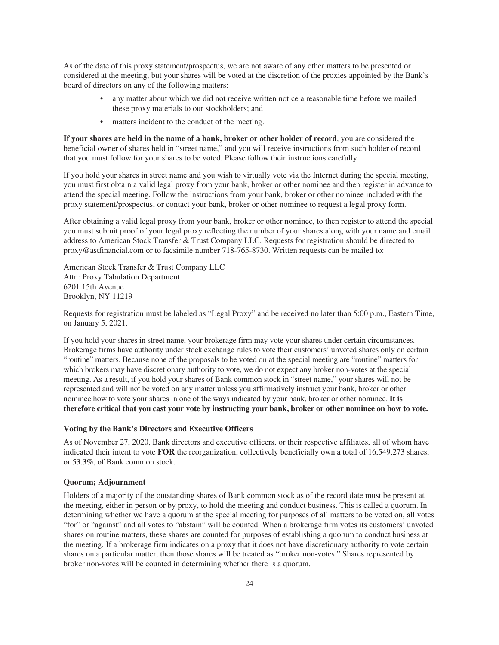As of the date of this proxy statement/prospectus, we are not aware of any other matters to be presented or considered at the meeting, but your shares will be voted at the discretion of the proxies appointed by the Bank's board of directors on any of the following matters:

- any matter about which we did not receive written notice a reasonable time before we mailed these proxy materials to our stockholders; and
- matters incident to the conduct of the meeting.

**If your shares are held in the name of a bank, broker or other holder of record**, you are considered the beneficial owner of shares held in "street name," and you will receive instructions from such holder of record that you must follow for your shares to be voted. Please follow their instructions carefully.

If you hold your shares in street name and you wish to virtually vote via the Internet during the special meeting, you must first obtain a valid legal proxy from your bank, broker or other nominee and then register in advance to attend the special meeting. Follow the instructions from your bank, broker or other nominee included with the proxy statement/prospectus, or contact your bank, broker or other nominee to request a legal proxy form.

After obtaining a valid legal proxy from your bank, broker or other nominee, to then register to attend the special you must submit proof of your legal proxy reflecting the number of your shares along with your name and email address to American Stock Transfer & Trust Company LLC. Requests for registration should be directed to proxy@astfinancial.com or to facsimile number 718-765-8730. Written requests can be mailed to:

American Stock Transfer & Trust Company LLC Attn: Proxy Tabulation Department 6201 15th Avenue Brooklyn, NY 11219

Requests for registration must be labeled as "Legal Proxy" and be received no later than 5:00 p.m., Eastern Time, on January 5, 2021.

If you hold your shares in street name, your brokerage firm may vote your shares under certain circumstances. Brokerage firms have authority under stock exchange rules to vote their customers' unvoted shares only on certain "routine" matters. Because none of the proposals to be voted on at the special meeting are "routine" matters for which brokers may have discretionary authority to vote, we do not expect any broker non-votes at the special meeting. As a result, if you hold your shares of Bank common stock in "street name," your shares will not be represented and will not be voted on any matter unless you affirmatively instruct your bank, broker or other nominee how to vote your shares in one of the ways indicated by your bank, broker or other nominee. **It is therefore critical that you cast your vote by instructing your bank, broker or other nominee on how to vote.**

## **Voting by the Bank's Directors and Executive Officers**

As of November 27, 2020, Bank directors and executive officers, or their respective affiliates, all of whom have indicated their intent to vote **FOR** the reorganization, collectively beneficially own a total of 16,549,273 shares, or 53.3%, of Bank common stock.

### **Quorum; Adjournment**

Holders of a majority of the outstanding shares of Bank common stock as of the record date must be present at the meeting, either in person or by proxy, to hold the meeting and conduct business. This is called a quorum. In determining whether we have a quorum at the special meeting for purposes of all matters to be voted on, all votes "for" or "against" and all votes to "abstain" will be counted. When a brokerage firm votes its customers' unvoted shares on routine matters, these shares are counted for purposes of establishing a quorum to conduct business at the meeting. If a brokerage firm indicates on a proxy that it does not have discretionary authority to vote certain shares on a particular matter, then those shares will be treated as "broker non-votes." Shares represented by broker non-votes will be counted in determining whether there is a quorum.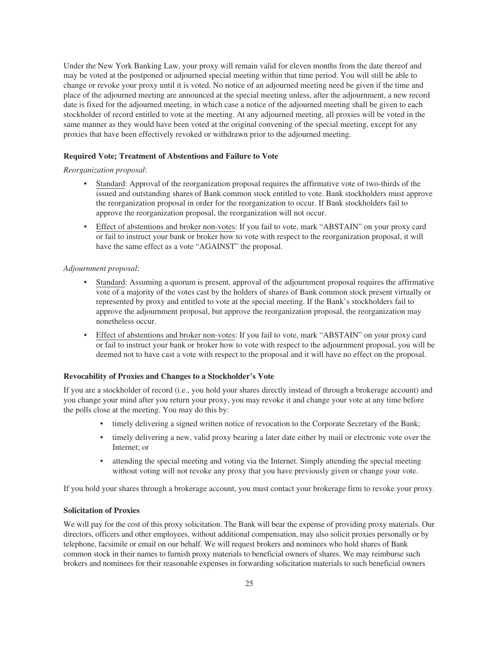Under the New York Banking Law, your proxy will remain valid for eleven months from the date thereof and may be voted at the postponed or adjourned special meeting within that time period. You will still be able to change or revoke your proxy until it is voted. No notice of an adjourned meeting need be given if the time and place of the adjourned meeting are announced at the special meeting unless, after the adjournment, a new record date is fixed for the adjourned meeting, in which case a notice of the adjourned meeting shall be given to each stockholder of record entitled to vote at the meeting. At any adjourned meeting, all proxies will be voted in the same manner as they would have been voted at the original convening of the special meeting, except for any proxies that have been effectively revoked or withdrawn prior to the adjourned meeting.

## **Required Vote; Treatment of Abstentions and Failure to Vote**

## *Reorganization proposal*:

- Standard: Approval of the reorganization proposal requires the affirmative vote of two-thirds of the issued and outstanding shares of Bank common stock entitled to vote. Bank stockholders must approve the reorganization proposal in order for the reorganization to occur. If Bank stockholders fail to approve the reorganization proposal, the reorganization will not occur.
- Effect of abstentions and broker non-votes: If you fail to vote, mark "ABSTAIN" on your proxy card or fail to instruct your bank or broker how to vote with respect to the reorganization proposal, it will have the same effect as a vote "AGAINST" the proposal.

### *Adjournment proposal*:

- Standard: Assuming a quorum is present, approval of the adjournment proposal requires the affirmative vote of a majority of the votes cast by the holders of shares of Bank common stock present virtually or represented by proxy and entitled to vote at the special meeting. If the Bank's stockholders fail to approve the adjournment proposal, but approve the reorganization proposal, the reorganization may nonetheless occur.
- Effect of abstentions and broker non-votes: If you fail to vote, mark "ABSTAIN" on your proxy card or fail to instruct your bank or broker how to vote with respect to the adjournment proposal, you will be deemed not to have cast a vote with respect to the proposal and it will have no effect on the proposal.

# **Revocability of Proxies and Changes to a Stockholder's Vote**

If you are a stockholder of record (i.e., you hold your shares directly instead of through a brokerage account) and you change your mind after you return your proxy, you may revoke it and change your vote at any time before the polls close at the meeting. You may do this by:

- timely delivering a signed written notice of revocation to the Corporate Secretary of the Bank;
- timely delivering a new, valid proxy bearing a later date either by mail or electronic vote over the Internet; or
- attending the special meeting and voting via the Internet. Simply attending the special meeting without voting will not revoke any proxy that you have previously given or change your vote.

If you hold your shares through a brokerage account, you must contact your brokerage firm to revoke your proxy.

# **Solicitation of Proxies**

We will pay for the cost of this proxy solicitation. The Bank will bear the expense of providing proxy materials. Our directors, officers and other employees, without additional compensation, may also solicit proxies personally or by telephone, facsimile or email on our behalf. We will request brokers and nominees who hold shares of Bank common stock in their names to furnish proxy materials to beneficial owners of shares. We may reimburse such brokers and nominees for their reasonable expenses in forwarding solicitation materials to such beneficial owners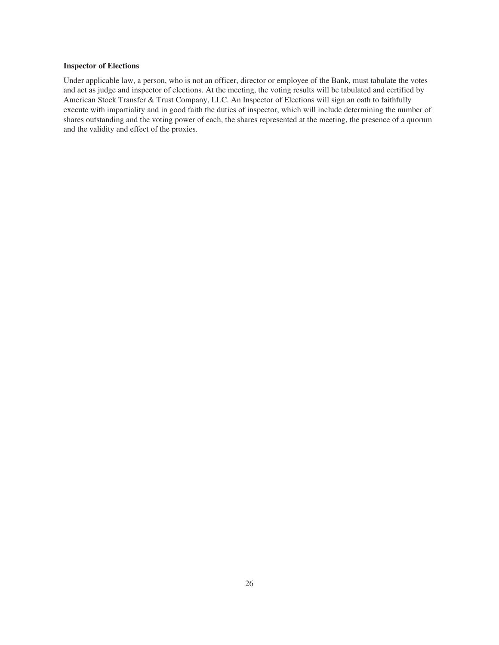## **Inspector of Elections**

Under applicable law, a person, who is not an officer, director or employee of the Bank, must tabulate the votes and act as judge and inspector of elections. At the meeting, the voting results will be tabulated and certified by American Stock Transfer & Trust Company, LLC. An Inspector of Elections will sign an oath to faithfully execute with impartiality and in good faith the duties of inspector, which will include determining the number of shares outstanding and the voting power of each, the shares represented at the meeting, the presence of a quorum and the validity and effect of the proxies.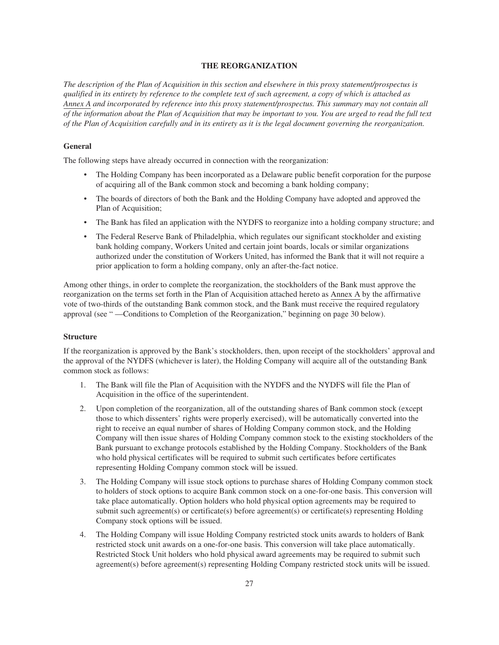## **THE REORGANIZATION**

*The description of the Plan of Acquisition in this section and elsewhere in this proxy statement/prospectus is qualified in its entirety by reference to the complete text of such agreement, a copy of which is attached as Annex A and incorporated by reference into this proxy statement/prospectus. This summary may not contain all of the information about the Plan of Acquisition that may be important to you. You are urged to read the full text of the Plan of Acquisition carefully and in its entirety as it is the legal document governing the reorganization.*

### **General**

The following steps have already occurred in connection with the reorganization:

- The Holding Company has been incorporated as a Delaware public benefit corporation for the purpose of acquiring all of the Bank common stock and becoming a bank holding company;
- The boards of directors of both the Bank and the Holding Company have adopted and approved the Plan of Acquisition;
- The Bank has filed an application with the NYDFS to reorganize into a holding company structure; and
- The Federal Reserve Bank of Philadelphia, which regulates our significant stockholder and existing bank holding company, Workers United and certain joint boards, locals or similar organizations authorized under the constitution of Workers United, has informed the Bank that it will not require a prior application to form a holding company, only an after-the-fact notice.

Among other things, in order to complete the reorganization, the stockholders of the Bank must approve the reorganization on the terms set forth in the Plan of Acquisition attached hereto as Annex A by the affirmative vote of two-thirds of the outstanding Bank common stock, and the Bank must receive the required regulatory approval (see " —Conditions to Completion of the Reorganization," beginning on page 30 below).

### **Structure**

If the reorganization is approved by the Bank's stockholders, then, upon receipt of the stockholders' approval and the approval of the NYDFS (whichever is later), the Holding Company will acquire all of the outstanding Bank common stock as follows:

- 1. The Bank will file the Plan of Acquisition with the NYDFS and the NYDFS will file the Plan of Acquisition in the office of the superintendent.
- 2. Upon completion of the reorganization, all of the outstanding shares of Bank common stock (except those to which dissenters' rights were properly exercised), will be automatically converted into the right to receive an equal number of shares of Holding Company common stock, and the Holding Company will then issue shares of Holding Company common stock to the existing stockholders of the Bank pursuant to exchange protocols established by the Holding Company. Stockholders of the Bank who hold physical certificates will be required to submit such certificates before certificates representing Holding Company common stock will be issued.
- 3. The Holding Company will issue stock options to purchase shares of Holding Company common stock to holders of stock options to acquire Bank common stock on a one-for-one basis. This conversion will take place automatically. Option holders who hold physical option agreements may be required to submit such agreement(s) or certificate(s) before agreement(s) or certificate(s) representing Holding Company stock options will be issued.
- 4. The Holding Company will issue Holding Company restricted stock units awards to holders of Bank restricted stock unit awards on a one-for-one basis. This conversion will take place automatically. Restricted Stock Unit holders who hold physical award agreements may be required to submit such agreement(s) before agreement(s) representing Holding Company restricted stock units will be issued.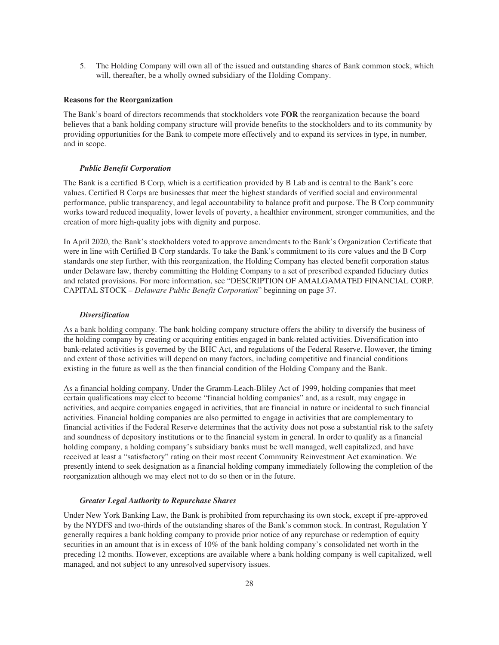5. The Holding Company will own all of the issued and outstanding shares of Bank common stock, which will, thereafter, be a wholly owned subsidiary of the Holding Company.

#### **Reasons for the Reorganization**

The Bank's board of directors recommends that stockholders vote **FOR** the reorganization because the board believes that a bank holding company structure will provide benefits to the stockholders and to its community by providing opportunities for the Bank to compete more effectively and to expand its services in type, in number, and in scope.

### *Public Benefit Corporation*

The Bank is a certified B Corp, which is a certification provided by B Lab and is central to the Bank's core values. Certified B Corps are businesses that meet the highest standards of verified social and environmental performance, public transparency, and legal accountability to balance profit and purpose. The B Corp community works toward reduced inequality, lower levels of poverty, a healthier environment, stronger communities, and the creation of more high-quality jobs with dignity and purpose.

In April 2020, the Bank's stockholders voted to approve amendments to the Bank's Organization Certificate that were in line with Certified B Corp standards. To take the Bank's commitment to its core values and the B Corp standards one step further, with this reorganization, the Holding Company has elected benefit corporation status under Delaware law, thereby committing the Holding Company to a set of prescribed expanded fiduciary duties and related provisions. For more information, see "DESCRIPTION OF AMALGAMATED FINANCIAL CORP. CAPITAL STOCK – *Delaware Public Benefit Corporation*" beginning on page 37.

#### *Diversification*

As a bank holding company. The bank holding company structure offers the ability to diversify the business of the holding company by creating or acquiring entities engaged in bank-related activities. Diversification into bank-related activities is governed by the BHC Act, and regulations of the Federal Reserve. However, the timing and extent of those activities will depend on many factors, including competitive and financial conditions existing in the future as well as the then financial condition of the Holding Company and the Bank.

As a financial holding company. Under the Gramm-Leach-Bliley Act of 1999, holding companies that meet certain qualifications may elect to become "financial holding companies" and, as a result, may engage in activities, and acquire companies engaged in activities, that are financial in nature or incidental to such financial activities. Financial holding companies are also permitted to engage in activities that are complementary to financial activities if the Federal Reserve determines that the activity does not pose a substantial risk to the safety and soundness of depository institutions or to the financial system in general. In order to qualify as a financial holding company, a holding company's subsidiary banks must be well managed, well capitalized, and have received at least a "satisfactory" rating on their most recent Community Reinvestment Act examination. We presently intend to seek designation as a financial holding company immediately following the completion of the reorganization although we may elect not to do so then or in the future.

### *Greater Legal Authority to Repurchase Shares*

Under New York Banking Law, the Bank is prohibited from repurchasing its own stock, except if pre-approved by the NYDFS and two-thirds of the outstanding shares of the Bank's common stock. In contrast, Regulation Y generally requires a bank holding company to provide prior notice of any repurchase or redemption of equity securities in an amount that is in excess of 10% of the bank holding company's consolidated net worth in the preceding 12 months. However, exceptions are available where a bank holding company is well capitalized, well managed, and not subject to any unresolved supervisory issues.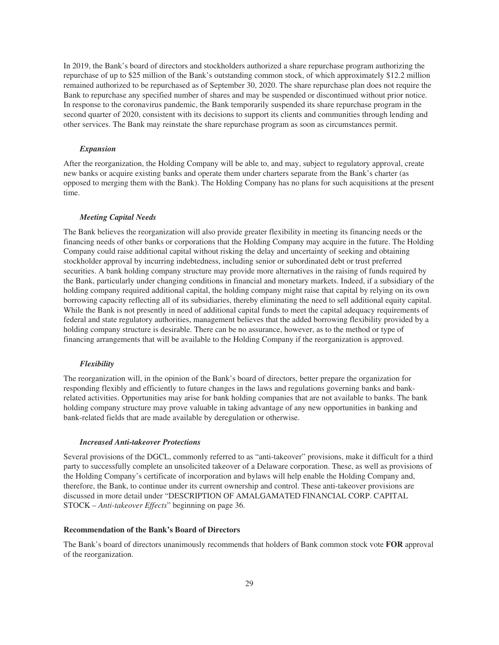In 2019, the Bank's board of directors and stockholders authorized a share repurchase program authorizing the repurchase of up to \$25 million of the Bank's outstanding common stock, of which approximately \$12.2 million remained authorized to be repurchased as of September 30, 2020. The share repurchase plan does not require the Bank to repurchase any specified number of shares and may be suspended or discontinued without prior notice. In response to the coronavirus pandemic, the Bank temporarily suspended its share repurchase program in the second quarter of 2020, consistent with its decisions to support its clients and communities through lending and other services. The Bank may reinstate the share repurchase program as soon as circumstances permit.

## *Expansion*

After the reorganization, the Holding Company will be able to, and may, subject to regulatory approval, create new banks or acquire existing banks and operate them under charters separate from the Bank's charter (as opposed to merging them with the Bank). The Holding Company has no plans for such acquisitions at the present time.

#### *Meeting Capital Needs*

The Bank believes the reorganization will also provide greater flexibility in meeting its financing needs or the financing needs of other banks or corporations that the Holding Company may acquire in the future. The Holding Company could raise additional capital without risking the delay and uncertainty of seeking and obtaining stockholder approval by incurring indebtedness, including senior or subordinated debt or trust preferred securities. A bank holding company structure may provide more alternatives in the raising of funds required by the Bank, particularly under changing conditions in financial and monetary markets. Indeed, if a subsidiary of the holding company required additional capital, the holding company might raise that capital by relying on its own borrowing capacity reflecting all of its subsidiaries, thereby eliminating the need to sell additional equity capital. While the Bank is not presently in need of additional capital funds to meet the capital adequacy requirements of federal and state regulatory authorities, management believes that the added borrowing flexibility provided by a holding company structure is desirable. There can be no assurance, however, as to the method or type of financing arrangements that will be available to the Holding Company if the reorganization is approved.

### *Flexibility*

The reorganization will, in the opinion of the Bank's board of directors, better prepare the organization for responding flexibly and efficiently to future changes in the laws and regulations governing banks and bankrelated activities. Opportunities may arise for bank holding companies that are not available to banks. The bank holding company structure may prove valuable in taking advantage of any new opportunities in banking and bank-related fields that are made available by deregulation or otherwise.

#### *Increased Anti-takeover Protections*

Several provisions of the DGCL, commonly referred to as "anti-takeover" provisions, make it difficult for a third party to successfully complete an unsolicited takeover of a Delaware corporation. These, as well as provisions of the Holding Company's certificate of incorporation and bylaws will help enable the Holding Company and, therefore, the Bank, to continue under its current ownership and control. These anti-takeover provisions are discussed in more detail under "DESCRIPTION OF AMALGAMATED FINANCIAL CORP. CAPITAL STOCK – *Anti-takeover Effects*" beginning on page 36.

### **Recommendation of the Bank's Board of Directors**

The Bank's board of directors unanimously recommends that holders of Bank common stock vote **FOR** approval of the reorganization.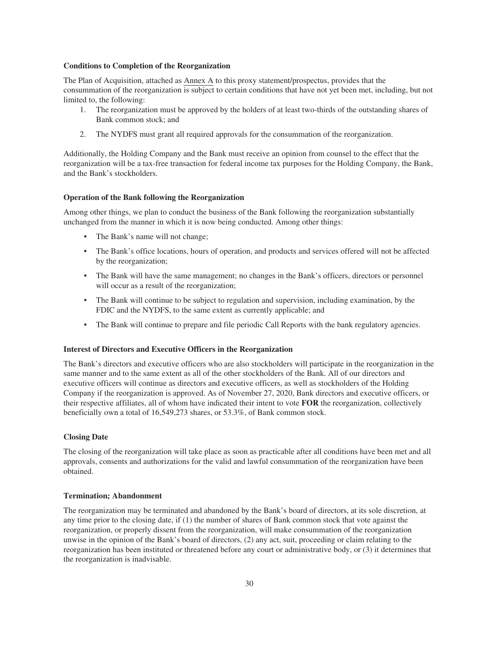### **Conditions to Completion of the Reorganization**

The Plan of Acquisition, attached as Annex A to this proxy statement/prospectus, provides that the consummation of the reorganization is subject to certain conditions that have not yet been met, including, but not limited to, the following:

- 1. The reorganization must be approved by the holders of at least two-thirds of the outstanding shares of Bank common stock; and
- 2. The NYDFS must grant all required approvals for the consummation of the reorganization.

Additionally, the Holding Company and the Bank must receive an opinion from counsel to the effect that the reorganization will be a tax-free transaction for federal income tax purposes for the Holding Company, the Bank, and the Bank's stockholders.

#### **Operation of the Bank following the Reorganization**

Among other things, we plan to conduct the business of the Bank following the reorganization substantially unchanged from the manner in which it is now being conducted. Among other things:

- The Bank's name will not change;
- The Bank's office locations, hours of operation, and products and services offered will not be affected by the reorganization;
- The Bank will have the same management; no changes in the Bank's officers, directors or personnel will occur as a result of the reorganization;
- The Bank will continue to be subject to regulation and supervision, including examination, by the FDIC and the NYDFS, to the same extent as currently applicable; and
- The Bank will continue to prepare and file periodic Call Reports with the bank regulatory agencies.

## **Interest of Directors and Executive Officers in the Reorganization**

The Bank's directors and executive officers who are also stockholders will participate in the reorganization in the same manner and to the same extent as all of the other stockholders of the Bank. All of our directors and executive officers will continue as directors and executive officers, as well as stockholders of the Holding Company if the reorganization is approved. As of November 27, 2020, Bank directors and executive officers, or their respective affiliates, all of whom have indicated their intent to vote **FOR** the reorganization, collectively beneficially own a total of 16,549,273 shares, or 53.3%, of Bank common stock.

## **Closing Date**

The closing of the reorganization will take place as soon as practicable after all conditions have been met and all approvals, consents and authorizations for the valid and lawful consummation of the reorganization have been obtained.

### **Termination; Abandonment**

The reorganization may be terminated and abandoned by the Bank's board of directors, at its sole discretion, at any time prior to the closing date, if (1) the number of shares of Bank common stock that vote against the reorganization, or properly dissent from the reorganization, will make consummation of the reorganization unwise in the opinion of the Bank's board of directors, (2) any act, suit, proceeding or claim relating to the reorganization has been instituted or threatened before any court or administrative body, or (3) it determines that the reorganization is inadvisable.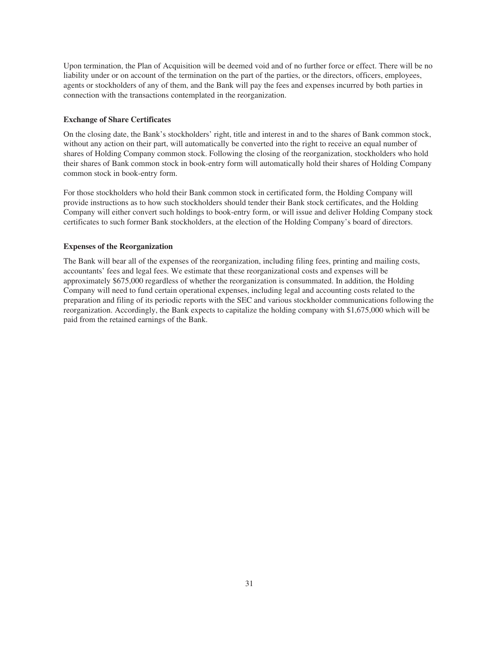Upon termination, the Plan of Acquisition will be deemed void and of no further force or effect. There will be no liability under or on account of the termination on the part of the parties, or the directors, officers, employees, agents or stockholders of any of them, and the Bank will pay the fees and expenses incurred by both parties in connection with the transactions contemplated in the reorganization.

#### **Exchange of Share Certificates**

On the closing date, the Bank's stockholders' right, title and interest in and to the shares of Bank common stock, without any action on their part, will automatically be converted into the right to receive an equal number of shares of Holding Company common stock. Following the closing of the reorganization, stockholders who hold their shares of Bank common stock in book-entry form will automatically hold their shares of Holding Company common stock in book-entry form.

For those stockholders who hold their Bank common stock in certificated form, the Holding Company will provide instructions as to how such stockholders should tender their Bank stock certificates, and the Holding Company will either convert such holdings to book-entry form, or will issue and deliver Holding Company stock certificates to such former Bank stockholders, at the election of the Holding Company's board of directors.

#### **Expenses of the Reorganization**

The Bank will bear all of the expenses of the reorganization, including filing fees, printing and mailing costs, accountants' fees and legal fees. We estimate that these reorganizational costs and expenses will be approximately \$675,000 regardless of whether the reorganization is consummated. In addition, the Holding Company will need to fund certain operational expenses, including legal and accounting costs related to the preparation and filing of its periodic reports with the SEC and various stockholder communications following the reorganization. Accordingly, the Bank expects to capitalize the holding company with \$1,675,000 which will be paid from the retained earnings of the Bank.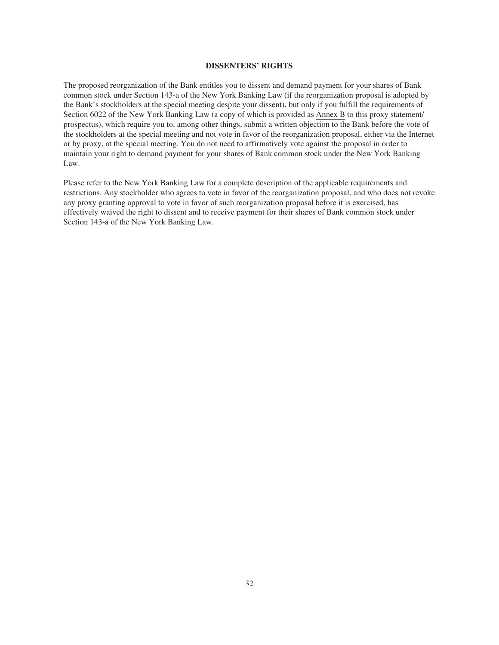#### **DISSENTERS' RIGHTS**

The proposed reorganization of the Bank entitles you to dissent and demand payment for your shares of Bank common stock under Section 143-a of the New York Banking Law (if the reorganization proposal is adopted by the Bank's stockholders at the special meeting despite your dissent), but only if you fulfill the requirements of Section 6022 of the New York Banking Law (a copy of which is provided as Annex B to this proxy statement/ prospectus), which require you to, among other things, submit a written objection to the Bank before the vote of the stockholders at the special meeting and not vote in favor of the reorganization proposal, either via the Internet or by proxy, at the special meeting. You do not need to affirmatively vote against the proposal in order to maintain your right to demand payment for your shares of Bank common stock under the New York Banking Law.

Please refer to the New York Banking Law for a complete description of the applicable requirements and restrictions. Any stockholder who agrees to vote in favor of the reorganization proposal, and who does not revoke any proxy granting approval to vote in favor of such reorganization proposal before it is exercised, has effectively waived the right to dissent and to receive payment for their shares of Bank common stock under Section 143-a of the New York Banking Law.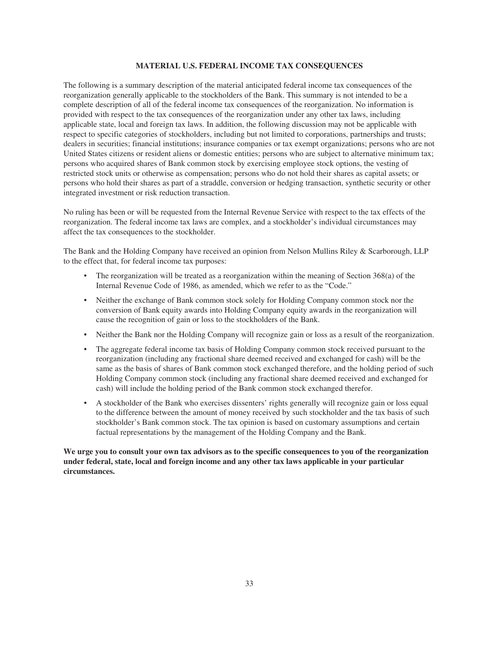#### **MATERIAL U.S. FEDERAL INCOME TAX CONSEQUENCES**

The following is a summary description of the material anticipated federal income tax consequences of the reorganization generally applicable to the stockholders of the Bank. This summary is not intended to be a complete description of all of the federal income tax consequences of the reorganization. No information is provided with respect to the tax consequences of the reorganization under any other tax laws, including applicable state, local and foreign tax laws. In addition, the following discussion may not be applicable with respect to specific categories of stockholders, including but not limited to corporations, partnerships and trusts; dealers in securities; financial institutions; insurance companies or tax exempt organizations; persons who are not United States citizens or resident aliens or domestic entities; persons who are subject to alternative minimum tax; persons who acquired shares of Bank common stock by exercising employee stock options, the vesting of restricted stock units or otherwise as compensation; persons who do not hold their shares as capital assets; or persons who hold their shares as part of a straddle, conversion or hedging transaction, synthetic security or other integrated investment or risk reduction transaction.

No ruling has been or will be requested from the Internal Revenue Service with respect to the tax effects of the reorganization. The federal income tax laws are complex, and a stockholder's individual circumstances may affect the tax consequences to the stockholder.

The Bank and the Holding Company have received an opinion from Nelson Mullins Riley & Scarborough, LLP to the effect that, for federal income tax purposes:

- The reorganization will be treated as a reorganization within the meaning of Section  $368(a)$  of the Internal Revenue Code of 1986, as amended, which we refer to as the "Code."
- Neither the exchange of Bank common stock solely for Holding Company common stock nor the conversion of Bank equity awards into Holding Company equity awards in the reorganization will cause the recognition of gain or loss to the stockholders of the Bank.
- Neither the Bank nor the Holding Company will recognize gain or loss as a result of the reorganization.
- The aggregate federal income tax basis of Holding Company common stock received pursuant to the reorganization (including any fractional share deemed received and exchanged for cash) will be the same as the basis of shares of Bank common stock exchanged therefore, and the holding period of such Holding Company common stock (including any fractional share deemed received and exchanged for cash) will include the holding period of the Bank common stock exchanged therefor.
- A stockholder of the Bank who exercises dissenters' rights generally will recognize gain or loss equal to the difference between the amount of money received by such stockholder and the tax basis of such stockholder's Bank common stock. The tax opinion is based on customary assumptions and certain factual representations by the management of the Holding Company and the Bank.

**We urge you to consult your own tax advisors as to the specific consequences to you of the reorganization under federal, state, local and foreign income and any other tax laws applicable in your particular circumstances.**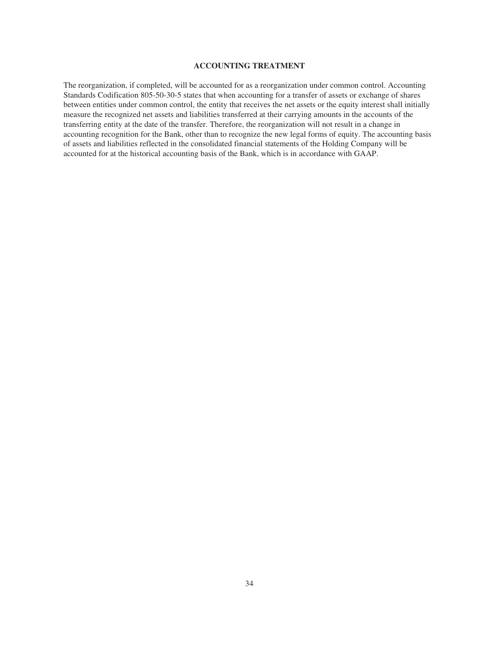# **ACCOUNTING TREATMENT**

The reorganization, if completed, will be accounted for as a reorganization under common control. Accounting Standards Codification 805-50-30-5 states that when accounting for a transfer of assets or exchange of shares between entities under common control, the entity that receives the net assets or the equity interest shall initially measure the recognized net assets and liabilities transferred at their carrying amounts in the accounts of the transferring entity at the date of the transfer. Therefore, the reorganization will not result in a change in accounting recognition for the Bank, other than to recognize the new legal forms of equity. The accounting basis of assets and liabilities reflected in the consolidated financial statements of the Holding Company will be accounted for at the historical accounting basis of the Bank, which is in accordance with GAAP.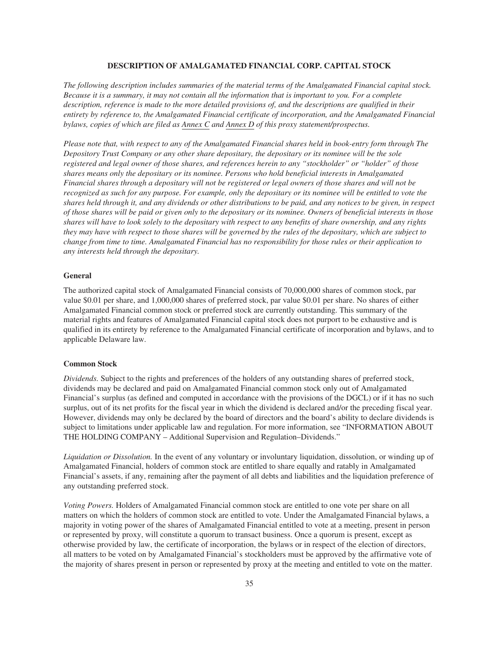#### **DESCRIPTION OF AMALGAMATED FINANCIAL CORP. CAPITAL STOCK**

*The following description includes summaries of the material terms of the Amalgamated Financial capital stock. Because it is a summary, it may not contain all the information that is important to you. For a complete description, reference is made to the more detailed provisions of, and the descriptions are qualified in their entirety by reference to, the Amalgamated Financial certificate of incorporation, and the Amalgamated Financial bylaws, copies of which are filed as Annex C and Annex D of this proxy statement/prospectus.*

*Please note that, with respect to any of the Amalgamated Financial shares held in book-entry form through The Depository Trust Company or any other share depositary, the depositary or its nominee will be the sole registered and legal owner of those shares, and references herein to any "stockholder" or "holder" of those shares means only the depositary or its nominee. Persons who hold beneficial interests in Amalgamated Financial shares through a depositary will not be registered or legal owners of those shares and will not be recognized as such for any purpose. For example, only the depositary or its nominee will be entitled to vote the shares held through it, and any dividends or other distributions to be paid, and any notices to be given, in respect of those shares will be paid or given only to the depositary or its nominee. Owners of beneficial interests in those shares will have to look solely to the depositary with respect to any benefits of share ownership, and any rights they may have with respect to those shares will be governed by the rules of the depositary, which are subject to change from time to time. Amalgamated Financial has no responsibility for those rules or their application to any interests held through the depositary.*

#### **General**

The authorized capital stock of Amalgamated Financial consists of 70,000,000 shares of common stock, par value \$0.01 per share, and 1,000,000 shares of preferred stock, par value \$0.01 per share. No shares of either Amalgamated Financial common stock or preferred stock are currently outstanding. This summary of the material rights and features of Amalgamated Financial capital stock does not purport to be exhaustive and is qualified in its entirety by reference to the Amalgamated Financial certificate of incorporation and bylaws, and to applicable Delaware law.

#### **Common Stock**

*Dividends.* Subject to the rights and preferences of the holders of any outstanding shares of preferred stock, dividends may be declared and paid on Amalgamated Financial common stock only out of Amalgamated Financial's surplus (as defined and computed in accordance with the provisions of the DGCL) or if it has no such surplus, out of its net profits for the fiscal year in which the dividend is declared and/or the preceding fiscal year. However, dividends may only be declared by the board of directors and the board's ability to declare dividends is subject to limitations under applicable law and regulation. For more information, see "INFORMATION ABOUT THE HOLDING COMPANY – Additional Supervision and Regulation–Dividends."

*Liquidation or Dissolution.* In the event of any voluntary or involuntary liquidation, dissolution, or winding up of Amalgamated Financial, holders of common stock are entitled to share equally and ratably in Amalgamated Financial's assets, if any, remaining after the payment of all debts and liabilities and the liquidation preference of any outstanding preferred stock.

*Voting Powers.* Holders of Amalgamated Financial common stock are entitled to one vote per share on all matters on which the holders of common stock are entitled to vote. Under the Amalgamated Financial bylaws, a majority in voting power of the shares of Amalgamated Financial entitled to vote at a meeting, present in person or represented by proxy, will constitute a quorum to transact business. Once a quorum is present, except as otherwise provided by law, the certificate of incorporation, the bylaws or in respect of the election of directors, all matters to be voted on by Amalgamated Financial's stockholders must be approved by the affirmative vote of the majority of shares present in person or represented by proxy at the meeting and entitled to vote on the matter.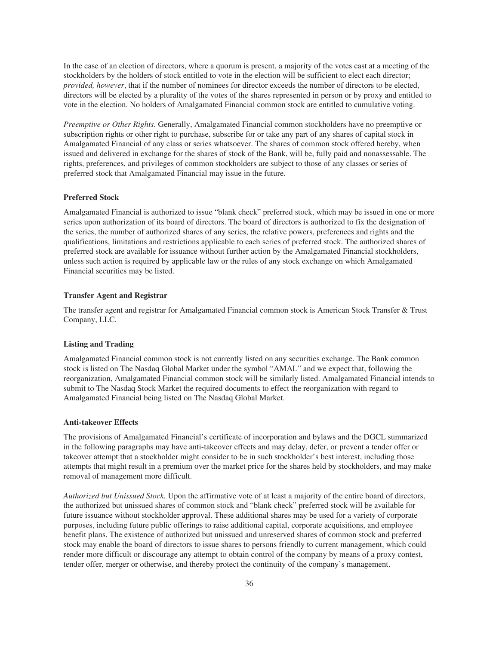In the case of an election of directors, where a quorum is present, a majority of the votes cast at a meeting of the stockholders by the holders of stock entitled to vote in the election will be sufficient to elect each director; *provided, however*, that if the number of nominees for director exceeds the number of directors to be elected, directors will be elected by a plurality of the votes of the shares represented in person or by proxy and entitled to vote in the election. No holders of Amalgamated Financial common stock are entitled to cumulative voting.

*Preemptive or Other Rights.* Generally, Amalgamated Financial common stockholders have no preemptive or subscription rights or other right to purchase, subscribe for or take any part of any shares of capital stock in Amalgamated Financial of any class or series whatsoever. The shares of common stock offered hereby, when issued and delivered in exchange for the shares of stock of the Bank, will be, fully paid and nonassessable. The rights, preferences, and privileges of common stockholders are subject to those of any classes or series of preferred stock that Amalgamated Financial may issue in the future.

#### **Preferred Stock**

Amalgamated Financial is authorized to issue "blank check" preferred stock, which may be issued in one or more series upon authorization of its board of directors. The board of directors is authorized to fix the designation of the series, the number of authorized shares of any series, the relative powers, preferences and rights and the qualifications, limitations and restrictions applicable to each series of preferred stock. The authorized shares of preferred stock are available for issuance without further action by the Amalgamated Financial stockholders, unless such action is required by applicable law or the rules of any stock exchange on which Amalgamated Financial securities may be listed.

#### **Transfer Agent and Registrar**

The transfer agent and registrar for Amalgamated Financial common stock is American Stock Transfer & Trust Company, LLC.

#### **Listing and Trading**

Amalgamated Financial common stock is not currently listed on any securities exchange. The Bank common stock is listed on The Nasdaq Global Market under the symbol "AMAL" and we expect that, following the reorganization, Amalgamated Financial common stock will be similarly listed. Amalgamated Financial intends to submit to The Nasdaq Stock Market the required documents to effect the reorganization with regard to Amalgamated Financial being listed on The Nasdaq Global Market.

#### **Anti-takeover Effects**

The provisions of Amalgamated Financial's certificate of incorporation and bylaws and the DGCL summarized in the following paragraphs may have anti-takeover effects and may delay, defer, or prevent a tender offer or takeover attempt that a stockholder might consider to be in such stockholder's best interest, including those attempts that might result in a premium over the market price for the shares held by stockholders, and may make removal of management more difficult.

*Authorized but Unissued Stock.* Upon the affirmative vote of at least a majority of the entire board of directors, the authorized but unissued shares of common stock and "blank check" preferred stock will be available for future issuance without stockholder approval. These additional shares may be used for a variety of corporate purposes, including future public offerings to raise additional capital, corporate acquisitions, and employee benefit plans. The existence of authorized but unissued and unreserved shares of common stock and preferred stock may enable the board of directors to issue shares to persons friendly to current management, which could render more difficult or discourage any attempt to obtain control of the company by means of a proxy contest, tender offer, merger or otherwise, and thereby protect the continuity of the company's management.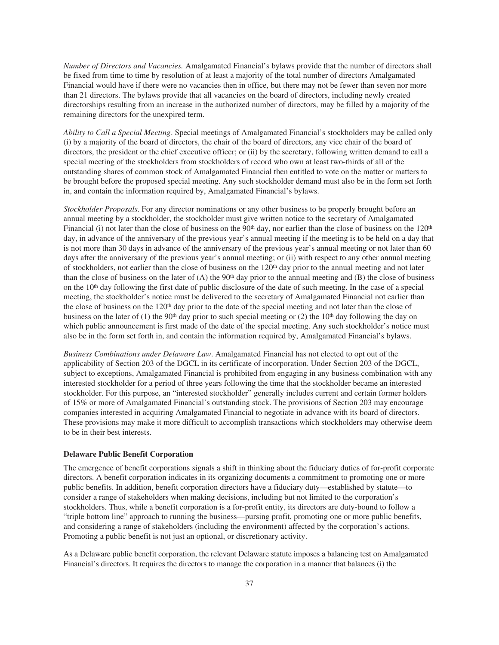*Number of Directors and Vacancies.* Amalgamated Financial's bylaws provide that the number of directors shall be fixed from time to time by resolution of at least a majority of the total number of directors Amalgamated Financial would have if there were no vacancies then in office, but there may not be fewer than seven nor more than 21 directors. The bylaws provide that all vacancies on the board of directors, including newly created directorships resulting from an increase in the authorized number of directors, may be filled by a majority of the remaining directors for the unexpired term.

*Ability to Call a Special Meeting*. Special meetings of Amalgamated Financial's stockholders may be called only (i) by a majority of the board of directors, the chair of the board of directors, any vice chair of the board of directors, the president or the chief executive officer; or (ii) by the secretary, following written demand to call a special meeting of the stockholders from stockholders of record who own at least two-thirds of all of the outstanding shares of common stock of Amalgamated Financial then entitled to vote on the matter or matters to be brought before the proposed special meeting. Any such stockholder demand must also be in the form set forth in, and contain the information required by, Amalgamated Financial's bylaws.

*Stockholder Proposals*. For any director nominations or any other business to be properly brought before an annual meeting by a stockholder, the stockholder must give written notice to the secretary of Amalgamated Financial (i) not later than the close of business on the 90<sup>th</sup> day, nor earlier than the close of business on the 120<sup>th</sup> day, in advance of the anniversary of the previous year's annual meeting if the meeting is to be held on a day that is not more than 30 days in advance of the anniversary of the previous year's annual meeting or not later than 60 days after the anniversary of the previous year's annual meeting; or (ii) with respect to any other annual meeting of stockholders, not earlier than the close of business on the 120<sup>th</sup> day prior to the annual meeting and not later than the close of business on the later of (A) the  $90<sup>th</sup>$  day prior to the annual meeting and (B) the close of business on the  $10<sup>th</sup>$  day following the first date of public disclosure of the date of such meeting. In the case of a special meeting, the stockholder's notice must be delivered to the secretary of Amalgamated Financial not earlier than the close of business on the 120<sup>th</sup> day prior to the date of the special meeting and not later than the close of business on the later of (1) the 90<sup>th</sup> day prior to such special meeting or (2) the 10<sup>th</sup> day following the day on which public announcement is first made of the date of the special meeting. Any such stockholder's notice must also be in the form set forth in, and contain the information required by, Amalgamated Financial's bylaws.

*Business Combinations under Delaware Law*. Amalgamated Financial has not elected to opt out of the applicability of Section 203 of the DGCL in its certificate of incorporation. Under Section 203 of the DGCL, subject to exceptions, Amalgamated Financial is prohibited from engaging in any business combination with any interested stockholder for a period of three years following the time that the stockholder became an interested stockholder. For this purpose, an "interested stockholder" generally includes current and certain former holders of 15% or more of Amalgamated Financial's outstanding stock. The provisions of Section 203 may encourage companies interested in acquiring Amalgamated Financial to negotiate in advance with its board of directors. These provisions may make it more difficult to accomplish transactions which stockholders may otherwise deem to be in their best interests.

#### **Delaware Public Benefit Corporation**

The emergence of benefit corporations signals a shift in thinking about the fiduciary duties of for-profit corporate directors. A benefit corporation indicates in its organizing documents a commitment to promoting one or more public benefits. In addition, benefit corporation directors have a fiduciary duty—established by statute—to consider a range of stakeholders when making decisions, including but not limited to the corporation's stockholders. Thus, while a benefit corporation is a for-profit entity, its directors are duty-bound to follow a "triple bottom line" approach to running the business—pursing profit, promoting one or more public benefits, and considering a range of stakeholders (including the environment) affected by the corporation's actions. Promoting a public benefit is not just an optional, or discretionary activity.

As a Delaware public benefit corporation, the relevant Delaware statute imposes a balancing test on Amalgamated Financial's directors. It requires the directors to manage the corporation in a manner that balances (i) the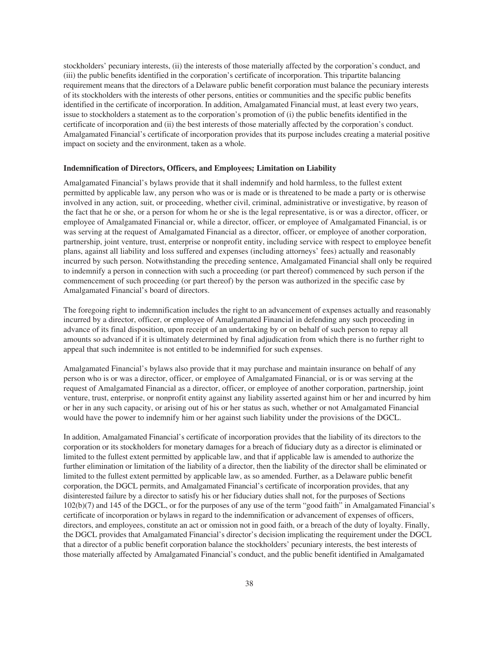stockholders' pecuniary interests, (ii) the interests of those materially affected by the corporation's conduct, and (iii) the public benefits identified in the corporation's certificate of incorporation. This tripartite balancing requirement means that the directors of a Delaware public benefit corporation must balance the pecuniary interests of its stockholders with the interests of other persons, entities or communities and the specific public benefits identified in the certificate of incorporation. In addition, Amalgamated Financial must, at least every two years, issue to stockholders a statement as to the corporation's promotion of (i) the public benefits identified in the certificate of incorporation and (ii) the best interests of those materially affected by the corporation's conduct. Amalgamated Financial's certificate of incorporation provides that its purpose includes creating a material positive impact on society and the environment, taken as a whole.

#### **Indemnification of Directors, Officers, and Employees; Limitation on Liability**

Amalgamated Financial's bylaws provide that it shall indemnify and hold harmless, to the fullest extent permitted by applicable law, any person who was or is made or is threatened to be made a party or is otherwise involved in any action, suit, or proceeding, whether civil, criminal, administrative or investigative, by reason of the fact that he or she, or a person for whom he or she is the legal representative, is or was a director, officer, or employee of Amalgamated Financial or, while a director, officer, or employee of Amalgamated Financial, is or was serving at the request of Amalgamated Financial as a director, officer, or employee of another corporation, partnership, joint venture, trust, enterprise or nonprofit entity, including service with respect to employee benefit plans, against all liability and loss suffered and expenses (including attorneys' fees) actually and reasonably incurred by such person. Notwithstanding the preceding sentence, Amalgamated Financial shall only be required to indemnify a person in connection with such a proceeding (or part thereof) commenced by such person if the commencement of such proceeding (or part thereof) by the person was authorized in the specific case by Amalgamated Financial's board of directors.

The foregoing right to indemnification includes the right to an advancement of expenses actually and reasonably incurred by a director, officer, or employee of Amalgamated Financial in defending any such proceeding in advance of its final disposition, upon receipt of an undertaking by or on behalf of such person to repay all amounts so advanced if it is ultimately determined by final adjudication from which there is no further right to appeal that such indemnitee is not entitled to be indemnified for such expenses.

Amalgamated Financial's bylaws also provide that it may purchase and maintain insurance on behalf of any person who is or was a director, officer, or employee of Amalgamated Financial, or is or was serving at the request of Amalgamated Financial as a director, officer, or employee of another corporation, partnership, joint venture, trust, enterprise, or nonprofit entity against any liability asserted against him or her and incurred by him or her in any such capacity, or arising out of his or her status as such, whether or not Amalgamated Financial would have the power to indemnify him or her against such liability under the provisions of the DGCL.

In addition, Amalgamated Financial's certificate of incorporation provides that the liability of its directors to the corporation or its stockholders for monetary damages for a breach of fiduciary duty as a director is eliminated or limited to the fullest extent permitted by applicable law, and that if applicable law is amended to authorize the further elimination or limitation of the liability of a director, then the liability of the director shall be eliminated or limited to the fullest extent permitted by applicable law, as so amended. Further, as a Delaware public benefit corporation, the DGCL permits, and Amalgamated Financial's certificate of incorporation provides, that any disinterested failure by a director to satisfy his or her fiduciary duties shall not, for the purposes of Sections 102(b)(7) and 145 of the DGCL, or for the purposes of any use of the term "good faith" in Amalgamated Financial's certificate of incorporation or bylaws in regard to the indemnification or advancement of expenses of officers, directors, and employees, constitute an act or omission not in good faith, or a breach of the duty of loyalty. Finally, the DGCL provides that Amalgamated Financial's director's decision implicating the requirement under the DGCL that a director of a public benefit corporation balance the stockholders' pecuniary interests, the best interests of those materially affected by Amalgamated Financial's conduct, and the public benefit identified in Amalgamated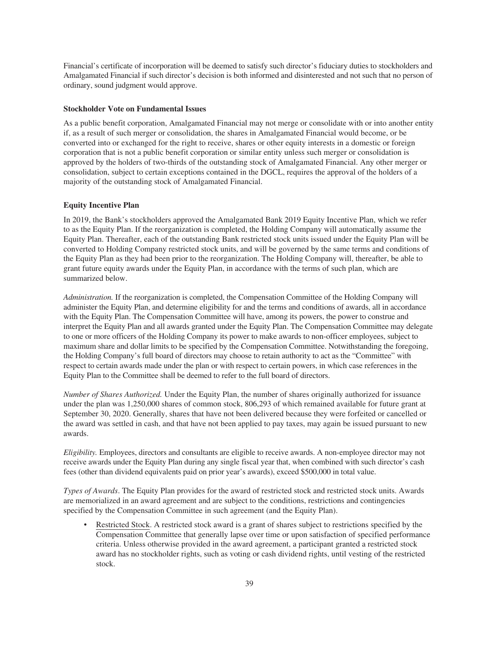Financial's certificate of incorporation will be deemed to satisfy such director's fiduciary duties to stockholders and Amalgamated Financial if such director's decision is both informed and disinterested and not such that no person of ordinary, sound judgment would approve.

#### **Stockholder Vote on Fundamental Issues**

As a public benefit corporation, Amalgamated Financial may not merge or consolidate with or into another entity if, as a result of such merger or consolidation, the shares in Amalgamated Financial would become, or be converted into or exchanged for the right to receive, shares or other equity interests in a domestic or foreign corporation that is not a public benefit corporation or similar entity unless such merger or consolidation is approved by the holders of two-thirds of the outstanding stock of Amalgamated Financial. Any other merger or consolidation, subject to certain exceptions contained in the DGCL, requires the approval of the holders of a majority of the outstanding stock of Amalgamated Financial.

#### **Equity Incentive Plan**

In 2019, the Bank's stockholders approved the Amalgamated Bank 2019 Equity Incentive Plan, which we refer to as the Equity Plan. If the reorganization is completed, the Holding Company will automatically assume the Equity Plan. Thereafter, each of the outstanding Bank restricted stock units issued under the Equity Plan will be converted to Holding Company restricted stock units, and will be governed by the same terms and conditions of the Equity Plan as they had been prior to the reorganization. The Holding Company will, thereafter, be able to grant future equity awards under the Equity Plan, in accordance with the terms of such plan, which are summarized below.

*Administration.* If the reorganization is completed, the Compensation Committee of the Holding Company will administer the Equity Plan, and determine eligibility for and the terms and conditions of awards, all in accordance with the Equity Plan. The Compensation Committee will have, among its powers, the power to construe and interpret the Equity Plan and all awards granted under the Equity Plan. The Compensation Committee may delegate to one or more officers of the Holding Company its power to make awards to non-officer employees, subject to maximum share and dollar limits to be specified by the Compensation Committee. Notwithstanding the foregoing, the Holding Company's full board of directors may choose to retain authority to act as the "Committee" with respect to certain awards made under the plan or with respect to certain powers, in which case references in the Equity Plan to the Committee shall be deemed to refer to the full board of directors.

*Number of Shares Authorized.* Under the Equity Plan, the number of shares originally authorized for issuance under the plan was 1,250,000 shares of common stock, 806,293 of which remained available for future grant at September 30, 2020. Generally, shares that have not been delivered because they were forfeited or cancelled or the award was settled in cash, and that have not been applied to pay taxes, may again be issued pursuant to new awards.

*Eligibility.* Employees, directors and consultants are eligible to receive awards. A non-employee director may not receive awards under the Equity Plan during any single fiscal year that, when combined with such director's cash fees (other than dividend equivalents paid on prior year's awards), exceed \$500,000 in total value.

*Types of Awards*. The Equity Plan provides for the award of restricted stock and restricted stock units. Awards are memorialized in an award agreement and are subject to the conditions, restrictions and contingencies specified by the Compensation Committee in such agreement (and the Equity Plan).

Restricted Stock. A restricted stock award is a grant of shares subject to restrictions specified by the Compensation Committee that generally lapse over time or upon satisfaction of specified performance criteria. Unless otherwise provided in the award agreement, a participant granted a restricted stock award has no stockholder rights, such as voting or cash dividend rights, until vesting of the restricted stock.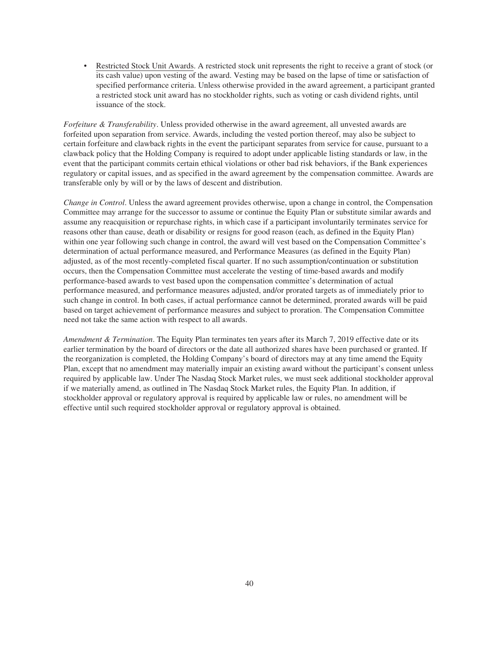• Restricted Stock Unit Awards. A restricted stock unit represents the right to receive a grant of stock (or its cash value) upon vesting of the award. Vesting may be based on the lapse of time or satisfaction of specified performance criteria. Unless otherwise provided in the award agreement, a participant granted a restricted stock unit award has no stockholder rights, such as voting or cash dividend rights, until issuance of the stock.

*Forfeiture & Transferability*. Unless provided otherwise in the award agreement, all unvested awards are forfeited upon separation from service. Awards, including the vested portion thereof, may also be subject to certain forfeiture and clawback rights in the event the participant separates from service for cause, pursuant to a clawback policy that the Holding Company is required to adopt under applicable listing standards or law, in the event that the participant commits certain ethical violations or other bad risk behaviors, if the Bank experiences regulatory or capital issues, and as specified in the award agreement by the compensation committee. Awards are transferable only by will or by the laws of descent and distribution.

*Change in Control*. Unless the award agreement provides otherwise, upon a change in control, the Compensation Committee may arrange for the successor to assume or continue the Equity Plan or substitute similar awards and assume any reacquisition or repurchase rights, in which case if a participant involuntarily terminates service for reasons other than cause, death or disability or resigns for good reason (each, as defined in the Equity Plan) within one year following such change in control, the award will vest based on the Compensation Committee's determination of actual performance measured, and Performance Measures (as defined in the Equity Plan) adjusted, as of the most recently-completed fiscal quarter. If no such assumption/continuation or substitution occurs, then the Compensation Committee must accelerate the vesting of time-based awards and modify performance-based awards to vest based upon the compensation committee's determination of actual performance measured, and performance measures adjusted, and/or prorated targets as of immediately prior to such change in control. In both cases, if actual performance cannot be determined, prorated awards will be paid based on target achievement of performance measures and subject to proration. The Compensation Committee need not take the same action with respect to all awards.

*Amendment & Termination*. The Equity Plan terminates ten years after its March 7, 2019 effective date or its earlier termination by the board of directors or the date all authorized shares have been purchased or granted. If the reorganization is completed, the Holding Company's board of directors may at any time amend the Equity Plan, except that no amendment may materially impair an existing award without the participant's consent unless required by applicable law. Under The Nasdaq Stock Market rules, we must seek additional stockholder approval if we materially amend, as outlined in The Nasdaq Stock Market rules, the Equity Plan. In addition, if stockholder approval or regulatory approval is required by applicable law or rules, no amendment will be effective until such required stockholder approval or regulatory approval is obtained.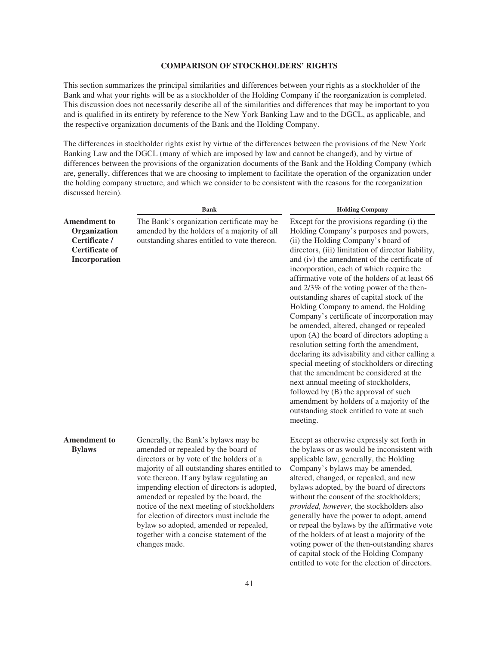# **COMPARISON OF STOCKHOLDERS' RIGHTS**

This section summarizes the principal similarities and differences between your rights as a stockholder of the Bank and what your rights will be as a stockholder of the Holding Company if the reorganization is completed. This discussion does not necessarily describe all of the similarities and differences that may be important to you and is qualified in its entirety by reference to the New York Banking Law and to the DGCL, as applicable, and the respective organization documents of the Bank and the Holding Company.

The differences in stockholder rights exist by virtue of the differences between the provisions of the New York Banking Law and the DGCL (many of which are imposed by law and cannot be changed), and by virtue of differences between the provisions of the organization documents of the Bank and the Holding Company (which are, generally, differences that we are choosing to implement to facilitate the operation of the organization under the holding company structure, and which we consider to be consistent with the reasons for the reorganization discussed herein).

|                                                                                                | <b>Bank</b>                                                                                                                                                                                                                                                                                                                                                                                                                                                                                                     | <b>Holding Company</b>                                                                                                                                                                                                                                                                                                                                                                                                                                                                                                                                                                                                                                                                                                                                                                                                                                                                                                                                                                       |
|------------------------------------------------------------------------------------------------|-----------------------------------------------------------------------------------------------------------------------------------------------------------------------------------------------------------------------------------------------------------------------------------------------------------------------------------------------------------------------------------------------------------------------------------------------------------------------------------------------------------------|----------------------------------------------------------------------------------------------------------------------------------------------------------------------------------------------------------------------------------------------------------------------------------------------------------------------------------------------------------------------------------------------------------------------------------------------------------------------------------------------------------------------------------------------------------------------------------------------------------------------------------------------------------------------------------------------------------------------------------------------------------------------------------------------------------------------------------------------------------------------------------------------------------------------------------------------------------------------------------------------|
| <b>Amendment to</b><br>Organization<br>Certificate /<br><b>Certificate of</b><br>Incorporation | The Bank's organization certificate may be<br>amended by the holders of a majority of all<br>outstanding shares entitled to vote thereon.                                                                                                                                                                                                                                                                                                                                                                       | Except for the provisions regarding (i) the<br>Holding Company's purposes and powers,<br>(ii) the Holding Company's board of<br>directors, (iii) limitation of director liability,<br>and (iv) the amendment of the certificate of<br>incorporation, each of which require the<br>affirmative vote of the holders of at least 66<br>and 2/3% of the voting power of the then-<br>outstanding shares of capital stock of the<br>Holding Company to amend, the Holding<br>Company's certificate of incorporation may<br>be amended, altered, changed or repealed<br>upon (A) the board of directors adopting a<br>resolution setting forth the amendment,<br>declaring its advisability and either calling a<br>special meeting of stockholders or directing<br>that the amendment be considered at the<br>next annual meeting of stockholders,<br>followed by (B) the approval of such<br>amendment by holders of a majority of the<br>outstanding stock entitled to vote at such<br>meeting. |
| <b>Amendment to</b><br><b>Bylaws</b>                                                           | Generally, the Bank's bylaws may be<br>amended or repealed by the board of<br>directors or by vote of the holders of a<br>majority of all outstanding shares entitled to<br>vote thereon. If any bylaw regulating an<br>impending election of directors is adopted,<br>amended or repealed by the board, the<br>notice of the next meeting of stockholders<br>for election of directors must include the<br>bylaw so adopted, amended or repealed,<br>together with a concise statement of the<br>changes made. | Except as otherwise expressly set forth in<br>the bylaws or as would be inconsistent with<br>applicable law, generally, the Holding<br>Company's bylaws may be amended,<br>altered, changed, or repealed, and new<br>bylaws adopted, by the board of directors<br>without the consent of the stockholders;<br>provided, however, the stockholders also<br>generally have the power to adopt, amend<br>or repeal the bylaws by the affirmative vote<br>of the holders of at least a majority of the<br>voting power of the then-outstanding shares<br>of capital stock of the Holding Company<br>entitled to vote for the election of directors.                                                                                                                                                                                                                                                                                                                                              |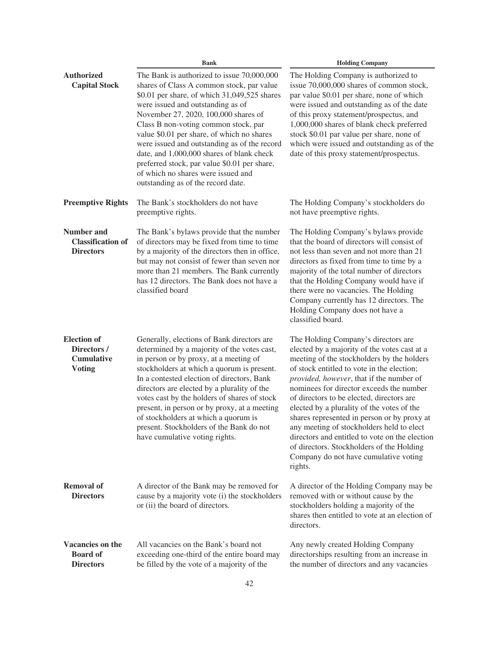|                                                                         | <b>Bank</b>                                                                                                                                                                                                                                                                                                                                                                                                                                                                                                                         | <b>Holding Company</b>                                                                                                                                                                                                                                                                                                                                                                                                                                                                                                                                                                                            |  |
|-------------------------------------------------------------------------|-------------------------------------------------------------------------------------------------------------------------------------------------------------------------------------------------------------------------------------------------------------------------------------------------------------------------------------------------------------------------------------------------------------------------------------------------------------------------------------------------------------------------------------|-------------------------------------------------------------------------------------------------------------------------------------------------------------------------------------------------------------------------------------------------------------------------------------------------------------------------------------------------------------------------------------------------------------------------------------------------------------------------------------------------------------------------------------------------------------------------------------------------------------------|--|
| <b>Authorized</b><br><b>Capital Stock</b>                               | The Bank is authorized to issue 70,000,000<br>shares of Class A common stock, par value<br>\$0.01 per share, of which 31,049,525 shares<br>were issued and outstanding as of<br>November 27, 2020, 100,000 shares of<br>Class B non-voting common stock, par<br>value \$0.01 per share, of which no shares<br>were issued and outstanding as of the record<br>date, and 1,000,000 shares of blank check<br>preferred stock, par value \$0.01 per share,<br>of which no shares were issued and<br>outstanding as of the record date. | The Holding Company is authorized to<br>issue 70,000,000 shares of common stock,<br>par value \$0.01 per share, none of which<br>were issued and outstanding as of the date<br>of this proxy statement/prospectus, and<br>1,000,000 shares of blank check preferred<br>stock \$0.01 par value per share, none of<br>which were issued and outstanding as of the<br>date of this proxy statement/prospectus.                                                                                                                                                                                                       |  |
| <b>Preemptive Rights</b>                                                | The Bank's stockholders do not have<br>preemptive rights.                                                                                                                                                                                                                                                                                                                                                                                                                                                                           | The Holding Company's stockholders do<br>not have preemptive rights.                                                                                                                                                                                                                                                                                                                                                                                                                                                                                                                                              |  |
| <b>Number and</b><br><b>Classification of</b><br><b>Directors</b>       | The Bank's bylaws provide that the number<br>of directors may be fixed from time to time<br>by a majority of the directors then in office,<br>but may not consist of fewer than seven nor<br>more than 21 members. The Bank currently<br>has 12 directors. The Bank does not have a<br>classified board                                                                                                                                                                                                                             | The Holding Company's bylaws provide<br>that the board of directors will consist of<br>not less than seven and not more than 21<br>directors as fixed from time to time by a<br>majority of the total number of directors<br>that the Holding Company would have if<br>there were no vacancies. The Holding<br>Company currently has 12 directors. The<br>Holding Company does not have a<br>classified board.                                                                                                                                                                                                    |  |
| <b>Election</b> of<br>Directors /<br><b>Cumulative</b><br><b>Voting</b> | Generally, elections of Bank directors are<br>determined by a majority of the votes cast,<br>in person or by proxy, at a meeting of<br>stockholders at which a quorum is present.<br>In a contested election of directors, Bank<br>directors are elected by a plurality of the<br>votes cast by the holders of shares of stock<br>present, in person or by proxy, at a meeting<br>of stockholders at which a quorum is<br>present. Stockholders of the Bank do not<br>have cumulative voting rights.                                | The Holding Company's directors are<br>elected by a majority of the votes cast at a<br>meeting of the stockholders by the holders<br>of stock entitled to vote in the election;<br>provided, however, that if the number of<br>nominees for director exceeds the number<br>of directors to be elected, directors are<br>elected by a plurality of the votes of the<br>shares represented in person or by proxy at<br>any meeting of stockholders held to elect<br>directors and entitled to vote on the election<br>of directors. Stockholders of the Holding<br>Company do not have cumulative voting<br>rights. |  |
| <b>Removal of</b><br><b>Directors</b>                                   | A director of the Bank may be removed for<br>cause by a majority vote (i) the stockholders<br>or (ii) the board of directors.                                                                                                                                                                                                                                                                                                                                                                                                       | A director of the Holding Company may be<br>removed with or without cause by the<br>stockholders holding a majority of the<br>shares then entitled to vote at an election of<br>directors.                                                                                                                                                                                                                                                                                                                                                                                                                        |  |
| Vacancies on the<br><b>Board</b> of<br><b>Directors</b>                 | All vacancies on the Bank's board not<br>exceeding one-third of the entire board may<br>be filled by the vote of a majority of the                                                                                                                                                                                                                                                                                                                                                                                                  | Any newly created Holding Company<br>directorships resulting from an increase in<br>the number of directors and any vacancies                                                                                                                                                                                                                                                                                                                                                                                                                                                                                     |  |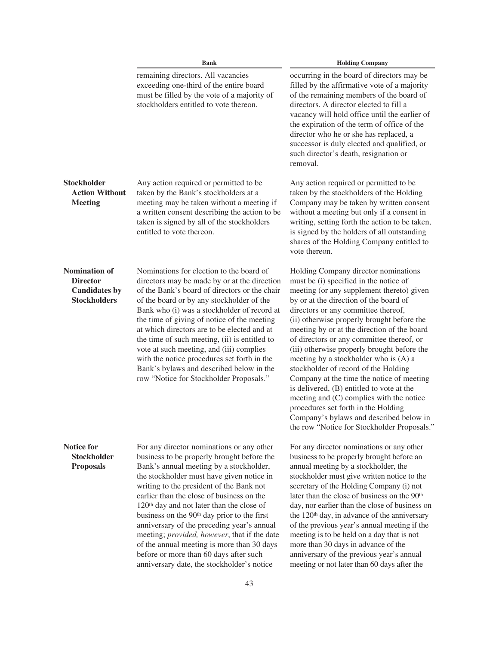|                                                                                        | <b>Bank</b>                                                                                                                                                                                                                                                                                                                                                                                                                                                                                                                                                                                                                      | <b>Holding Company</b>                                                                                                                                                                                                                                                                                                                                                                                                                                                                                                                                                                                                                                                                                                                                        |  |
|----------------------------------------------------------------------------------------|----------------------------------------------------------------------------------------------------------------------------------------------------------------------------------------------------------------------------------------------------------------------------------------------------------------------------------------------------------------------------------------------------------------------------------------------------------------------------------------------------------------------------------------------------------------------------------------------------------------------------------|---------------------------------------------------------------------------------------------------------------------------------------------------------------------------------------------------------------------------------------------------------------------------------------------------------------------------------------------------------------------------------------------------------------------------------------------------------------------------------------------------------------------------------------------------------------------------------------------------------------------------------------------------------------------------------------------------------------------------------------------------------------|--|
|                                                                                        | remaining directors. All vacancies<br>exceeding one-third of the entire board<br>must be filled by the vote of a majority of<br>stockholders entitled to vote thereon.                                                                                                                                                                                                                                                                                                                                                                                                                                                           | occurring in the board of directors may be<br>filled by the affirmative vote of a majority<br>of the remaining members of the board of<br>directors. A director elected to fill a<br>vacancy will hold office until the earlier of<br>the expiration of the term of office of the<br>director who he or she has replaced, a<br>successor is duly elected and qualified, or<br>such director's death, resignation or<br>removal.                                                                                                                                                                                                                                                                                                                               |  |
| <b>Stockholder</b><br><b>Action Without</b><br><b>Meeting</b>                          | Any action required or permitted to be<br>taken by the Bank's stockholders at a<br>meeting may be taken without a meeting if<br>a written consent describing the action to be<br>taken is signed by all of the stockholders<br>entitled to vote thereon.                                                                                                                                                                                                                                                                                                                                                                         | Any action required or permitted to be<br>taken by the stockholders of the Holding<br>Company may be taken by written consent<br>without a meeting but only if a consent in<br>writing, setting forth the action to be taken,<br>is signed by the holders of all outstanding<br>shares of the Holding Company entitled to<br>vote thereon.                                                                                                                                                                                                                                                                                                                                                                                                                    |  |
| <b>Nomination of</b><br><b>Director</b><br><b>Candidates by</b><br><b>Stockholders</b> | Nominations for election to the board of<br>directors may be made by or at the direction<br>of the Bank's board of directors or the chair<br>of the board or by any stockholder of the<br>Bank who (i) was a stockholder of record at<br>the time of giving of notice of the meeting<br>at which directors are to be elected and at<br>the time of such meeting, (ii) is entitled to<br>vote at such meeting, and (iii) complies<br>with the notice procedures set forth in the<br>Bank's bylaws and described below in the<br>row "Notice for Stockholder Proposals."                                                           | Holding Company director nominations<br>must be (i) specified in the notice of<br>meeting (or any supplement thereto) given<br>by or at the direction of the board of<br>directors or any committee thereof,<br>(ii) otherwise properly brought before the<br>meeting by or at the direction of the board<br>of directors or any committee thereof, or<br>(iii) otherwise properly brought before the<br>meeting by a stockholder who is (A) a<br>stockholder of record of the Holding<br>Company at the time the notice of meeting<br>is delivered, (B) entitled to vote at the<br>meeting and (C) complies with the notice<br>procedures set forth in the Holding<br>Company's bylaws and described below in<br>the row "Notice for Stockholder Proposals." |  |
| <b>Notice for</b><br><b>Stockholder</b><br><b>Proposals</b>                            | For any director nominations or any other<br>business to be properly brought before the<br>Bank's annual meeting by a stockholder,<br>the stockholder must have given notice in<br>writing to the president of the Bank not<br>earlier than the close of business on the<br>120 <sup>th</sup> day and not later than the close of<br>business on the 90 <sup>th</sup> day prior to the first<br>anniversary of the preceding year's annual<br>meeting; provided, however, that if the date<br>of the annual meeting is more than 30 days<br>before or more than 60 days after such<br>anniversary date, the stockholder's notice | For any director nominations or any other<br>business to be properly brought before an<br>annual meeting by a stockholder, the<br>stockholder must give written notice to the<br>secretary of the Holding Company (i) not<br>later than the close of business on the 90 <sup>th</sup><br>day, nor earlier than the close of business on<br>the 120 <sup>th</sup> day, in advance of the anniversary<br>of the previous year's annual meeting if the<br>meeting is to be held on a day that is not<br>more than 30 days in advance of the<br>anniversary of the previous year's annual<br>meeting or not later than 60 days after the                                                                                                                          |  |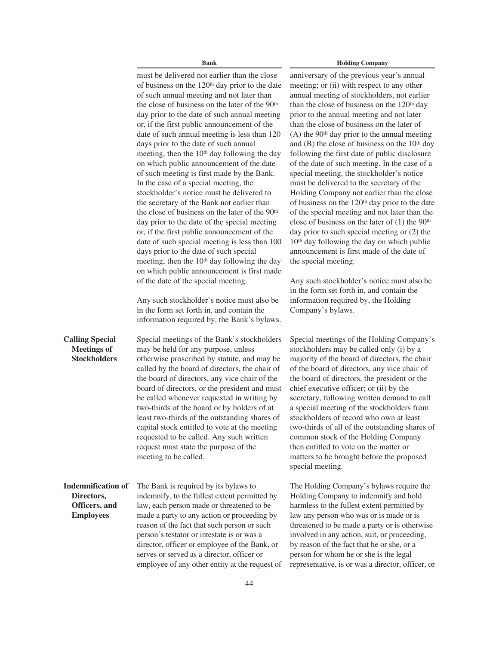must be delivered not earlier than the close of business on the 120th day prior to the date of such annual meeting and not later than the close of business on the later of the 90th day prior to the date of such annual meeting or, if the first public announcement of the date of such annual meeting is less than 120 days prior to the date of such annual meeting, then the  $10<sup>th</sup>$  day following the day on which public announcement of the date of such meeting is first made by the Bank. In the case of a special meeting, the stockholder's notice must be delivered to the secretary of the Bank not earlier than the close of business on the later of the 90th day prior to the date of the special meeting or, if the first public announcement of the date of such special meeting is less than 100 days prior to the date of such special meeting, then the 10<sup>th</sup> day following the day on which public announcement is first made of the date of the special meeting.

Any such stockholder's notice must also be in the form set forth in, and contain the information required by, the Bank's bylaws.

Special meetings of the Bank's stockholders may be held for any purpose, unless otherwise proscribed by statute, and may be called by the board of directors, the chair of the board of directors, any vice chair of the board of directors, or the president and must be called whenever requested in writing by two-thirds of the board or by holders of at least two-thirds of the outstanding shares of capital stock entitled to vote at the meeting requested to be called. Any such written request must state the purpose of the meeting to be called.

**Indemnification of Directors, Officers, and Employees**

**Calling Special Meetings of Stockholders**

> The Bank is required by its bylaws to indemnify, to the fullest extent permitted by law, each person made or threatened to be made a party to any action or proceeding by reason of the fact that such person or such person's testator or intestate is or was a director, officer or employee of the Bank, or serves or served as a director, officer or employee of any other entity at the request of

# **Bank Holding Company**

anniversary of the previous year's annual meeting; or (ii) with respect to any other annual meeting of stockholders, not earlier than the close of business on the  $120<sup>th</sup>$  day prior to the annual meeting and not later than the close of business on the later of  $(A)$  the 90<sup>th</sup> day prior to the annual meeting and  $(B)$  the close of business on the 10<sup>th</sup> day following the first date of public disclosure of the date of such meeting. In the case of a special meeting, the stockholder's notice must be delivered to the secretary of the Holding Company not earlier than the close of business on the 120th day prior to the date of the special meeting and not later than the close of business on the later of  $(1)$  the 90<sup>th</sup> day prior to such special meeting or (2) the 10th day following the day on which public announcement is first made of the date of the special meeting.

Any such stockholder's notice must also be in the form set forth in, and contain the information required by, the Holding Company's bylaws.

Special meetings of the Holding Company's stockholders may be called only (i) by a majority of the board of directors, the chair of the board of directors, any vice chair of the board of directors, the president or the chief executive officer; or (ii) by the secretary, following written demand to call a special meeting of the stockholders from stockholders of record who own at least two-thirds of all of the outstanding shares of common stock of the Holding Company then entitled to vote on the matter or matters to be brought before the proposed special meeting.

The Holding Company's bylaws require the Holding Company to indemnify and hold harmless to the fullest extent permitted by law any person who was or is made or is threatened to be made a party or is otherwise involved in any action, suit, or proceeding, by reason of the fact that he or she, or a person for whom he or she is the legal representative, is or was a director, officer, or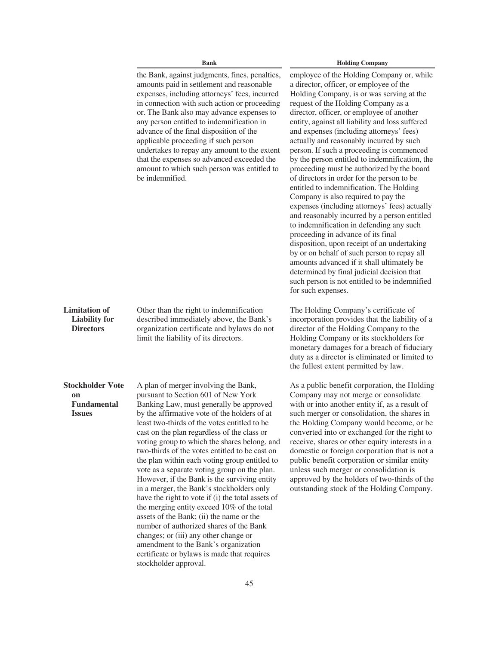|                                                                      | <b>Bank</b>                                                                                                                                                                                                                                                                                                                                                                                                                                                                                                                                                                                                                                                                                                                                                                                                                                                                                                              | <b>Holding Company</b>                                                                                                                                                                                                                                                                                                                                                                                                                                                                                                                                                                                                                                                                                                                                                                                                                                                                                                                                                                                                                                                                             |  |
|----------------------------------------------------------------------|--------------------------------------------------------------------------------------------------------------------------------------------------------------------------------------------------------------------------------------------------------------------------------------------------------------------------------------------------------------------------------------------------------------------------------------------------------------------------------------------------------------------------------------------------------------------------------------------------------------------------------------------------------------------------------------------------------------------------------------------------------------------------------------------------------------------------------------------------------------------------------------------------------------------------|----------------------------------------------------------------------------------------------------------------------------------------------------------------------------------------------------------------------------------------------------------------------------------------------------------------------------------------------------------------------------------------------------------------------------------------------------------------------------------------------------------------------------------------------------------------------------------------------------------------------------------------------------------------------------------------------------------------------------------------------------------------------------------------------------------------------------------------------------------------------------------------------------------------------------------------------------------------------------------------------------------------------------------------------------------------------------------------------------|--|
|                                                                      | the Bank, against judgments, fines, penalties,<br>amounts paid in settlement and reasonable<br>expenses, including attorneys' fees, incurred<br>in connection with such action or proceeding<br>or. The Bank also may advance expenses to<br>any person entitled to indemnification in<br>advance of the final disposition of the<br>applicable proceeding if such person<br>undertakes to repay any amount to the extent<br>that the expenses so advanced exceeded the<br>amount to which such person was entitled to<br>be indemnified.                                                                                                                                                                                                                                                                                                                                                                                | employee of the Holding Company or, while<br>a director, officer, or employee of the<br>Holding Company, is or was serving at the<br>request of the Holding Company as a<br>director, officer, or employee of another<br>entity, against all liability and loss suffered<br>and expenses (including attorneys' fees)<br>actually and reasonably incurred by such<br>person. If such a proceeding is commenced<br>by the person entitled to indemnification, the<br>proceeding must be authorized by the board<br>of directors in order for the person to be<br>entitled to indemnification. The Holding<br>Company is also required to pay the<br>expenses (including attorneys' fees) actually<br>and reasonably incurred by a person entitled<br>to indemnification in defending any such<br>proceeding in advance of its final<br>disposition, upon receipt of an undertaking<br>by or on behalf of such person to repay all<br>amounts advanced if it shall ultimately be<br>determined by final judicial decision that<br>such person is not entitled to be indemnified<br>for such expenses. |  |
| <b>Limitation</b> of<br><b>Liability for</b><br><b>Directors</b>     | Other than the right to indemnification<br>described immediately above, the Bank's<br>organization certificate and bylaws do not<br>limit the liability of its directors.                                                                                                                                                                                                                                                                                                                                                                                                                                                                                                                                                                                                                                                                                                                                                | The Holding Company's certificate of<br>incorporation provides that the liability of a<br>director of the Holding Company to the<br>Holding Company or its stockholders for<br>monetary damages for a breach of fiduciary<br>duty as a director is eliminated or limited to<br>the fullest extent permitted by law.                                                                                                                                                                                                                                                                                                                                                                                                                                                                                                                                                                                                                                                                                                                                                                                |  |
| <b>Stockholder Vote</b><br>on<br><b>Fundamental</b><br><b>Issues</b> | A plan of merger involving the Bank,<br>pursuant to Section 601 of New York<br>Banking Law, must generally be approved<br>by the affirmative vote of the holders of at<br>least two-thirds of the votes entitled to be<br>cast on the plan regardless of the class or<br>voting group to which the shares belong, and<br>two-thirds of the votes entitled to be cast on<br>the plan within each voting group entitled to<br>vote as a separate voting group on the plan.<br>However, if the Bank is the surviving entity<br>in a merger, the Bank's stockholders only<br>have the right to vote if (i) the total assets of<br>the merging entity exceed 10% of the total<br>assets of the Bank; (ii) the name or the<br>number of authorized shares of the Bank<br>changes; or (iii) any other change or<br>amendment to the Bank's organization<br>certificate or bylaws is made that requires<br>stockholder approval. | As a public benefit corporation, the Holding<br>Company may not merge or consolidate<br>with or into another entity if, as a result of<br>such merger or consolidation, the shares in<br>the Holding Company would become, or be<br>converted into or exchanged for the right to<br>receive, shares or other equity interests in a<br>domestic or foreign corporation that is not a<br>public benefit corporation or similar entity<br>unless such merger or consolidation is<br>approved by the holders of two-thirds of the<br>outstanding stock of the Holding Company.                                                                                                                                                                                                                                                                                                                                                                                                                                                                                                                         |  |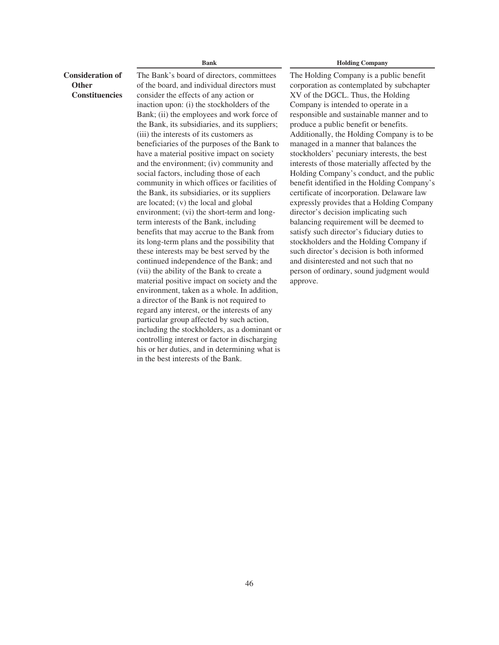# **Consideration of Other Constituencies**

The Bank's board of directors, committees of the board, and individual directors must consider the effects of any action or inaction upon: (i) the stockholders of the Bank; (ii) the employees and work force of the Bank, its subsidiaries, and its suppliers; (iii) the interests of its customers as beneficiaries of the purposes of the Bank to have a material positive impact on society and the environment; (iv) community and social factors, including those of each community in which offices or facilities of the Bank, its subsidiaries, or its suppliers are located; (v) the local and global environment; (vi) the short-term and longterm interests of the Bank, including benefits that may accrue to the Bank from its long-term plans and the possibility that these interests may be best served by the continued independence of the Bank; and (vii) the ability of the Bank to create a material positive impact on society and the environment, taken as a whole. In addition, a director of the Bank is not required to regard any interest, or the interests of any particular group affected by such action, including the stockholders, as a dominant or controlling interest or factor in discharging his or her duties, and in determining what is in the best interests of the Bank.

#### **Bank Holding Company**

The Holding Company is a public benefit corporation as contemplated by subchapter XV of the DGCL. Thus, the Holding Company is intended to operate in a responsible and sustainable manner and to produce a public benefit or benefits. Additionally, the Holding Company is to be managed in a manner that balances the stockholders' pecuniary interests, the best interests of those materially affected by the Holding Company's conduct, and the public benefit identified in the Holding Company's certificate of incorporation. Delaware law expressly provides that a Holding Company director's decision implicating such balancing requirement will be deemed to satisfy such director's fiduciary duties to stockholders and the Holding Company if such director's decision is both informed and disinterested and not such that no person of ordinary, sound judgment would approve.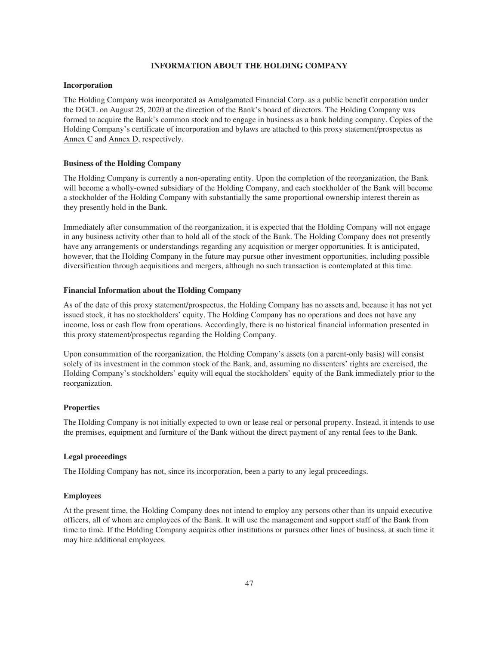#### **INFORMATION ABOUT THE HOLDING COMPANY**

#### **Incorporation**

The Holding Company was incorporated as Amalgamated Financial Corp. as a public benefit corporation under the DGCL on August 25, 2020 at the direction of the Bank's board of directors. The Holding Company was formed to acquire the Bank's common stock and to engage in business as a bank holding company. Copies of the Holding Company's certificate of incorporation and bylaws are attached to this proxy statement/prospectus as Annex C and Annex D, respectively.

#### **Business of the Holding Company**

The Holding Company is currently a non-operating entity. Upon the completion of the reorganization, the Bank will become a wholly-owned subsidiary of the Holding Company, and each stockholder of the Bank will become a stockholder of the Holding Company with substantially the same proportional ownership interest therein as they presently hold in the Bank.

Immediately after consummation of the reorganization, it is expected that the Holding Company will not engage in any business activity other than to hold all of the stock of the Bank. The Holding Company does not presently have any arrangements or understandings regarding any acquisition or merger opportunities. It is anticipated, however, that the Holding Company in the future may pursue other investment opportunities, including possible diversification through acquisitions and mergers, although no such transaction is contemplated at this time.

# **Financial Information about the Holding Company**

As of the date of this proxy statement/prospectus, the Holding Company has no assets and, because it has not yet issued stock, it has no stockholders' equity. The Holding Company has no operations and does not have any income, loss or cash flow from operations. Accordingly, there is no historical financial information presented in this proxy statement/prospectus regarding the Holding Company.

Upon consummation of the reorganization, the Holding Company's assets (on a parent-only basis) will consist solely of its investment in the common stock of the Bank, and, assuming no dissenters' rights are exercised, the Holding Company's stockholders' equity will equal the stockholders' equity of the Bank immediately prior to the reorganization.

#### **Properties**

The Holding Company is not initially expected to own or lease real or personal property. Instead, it intends to use the premises, equipment and furniture of the Bank without the direct payment of any rental fees to the Bank.

#### **Legal proceedings**

The Holding Company has not, since its incorporation, been a party to any legal proceedings.

#### **Employees**

At the present time, the Holding Company does not intend to employ any persons other than its unpaid executive officers, all of whom are employees of the Bank. It will use the management and support staff of the Bank from time to time. If the Holding Company acquires other institutions or pursues other lines of business, at such time it may hire additional employees.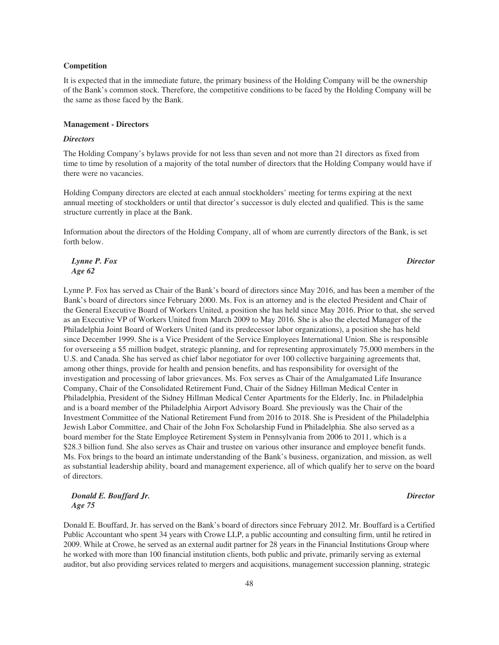#### **Competition**

It is expected that in the immediate future, the primary business of the Holding Company will be the ownership of the Bank's common stock. Therefore, the competitive conditions to be faced by the Holding Company will be the same as those faced by the Bank.

#### **Management - Directors**

#### *Directors*

The Holding Company's bylaws provide for not less than seven and not more than 21 directors as fixed from time to time by resolution of a majority of the total number of directors that the Holding Company would have if there were no vacancies.

Holding Company directors are elected at each annual stockholders' meeting for terms expiring at the next annual meeting of stockholders or until that director's successor is duly elected and qualified. This is the same structure currently in place at the Bank.

Information about the directors of the Holding Company, all of whom are currently directors of the Bank, is set forth below.

*Lynne P. Fox Age 62*

Lynne P. Fox has served as Chair of the Bank's board of directors since May 2016, and has been a member of the Bank's board of directors since February 2000. Ms. Fox is an attorney and is the elected President and Chair of the General Executive Board of Workers United, a position she has held since May 2016. Prior to that, she served as an Executive VP of Workers United from March 2009 to May 2016. She is also the elected Manager of the Philadelphia Joint Board of Workers United (and its predecessor labor organizations), a position she has held since December 1999. She is a Vice President of the Service Employees International Union. She is responsible for overseeing a \$5 million budget, strategic planning, and for representing approximately 75,000 members in the U.S. and Canada. She has served as chief labor negotiator for over 100 collective bargaining agreements that, among other things, provide for health and pension benefits, and has responsibility for oversight of the investigation and processing of labor grievances. Ms. Fox serves as Chair of the Amalgamated Life Insurance Company, Chair of the Consolidated Retirement Fund, Chair of the Sidney Hillman Medical Center in Philadelphia, President of the Sidney Hillman Medical Center Apartments for the Elderly, Inc. in Philadelphia and is a board member of the Philadelphia Airport Advisory Board. She previously was the Chair of the Investment Committee of the National Retirement Fund from 2016 to 2018. She is President of the Philadelphia Jewish Labor Committee, and Chair of the John Fox Scholarship Fund in Philadelphia. She also served as a board member for the State Employee Retirement System in Pennsylvania from 2006 to 2011, which is a \$28.3 billion fund. She also serves as Chair and trustee on various other insurance and employee benefit funds. Ms. Fox brings to the board an intimate understanding of the Bank's business, organization, and mission, as well as substantial leadership ability, board and management experience, all of which qualify her to serve on the board of directors.

# *Donald E. Bouffard Jr. Age 75*

Donald E. Bouffard, Jr. has served on the Bank's board of directors since February 2012. Mr. Bouffard is a Certified Public Accountant who spent 34 years with Crowe LLP, a public accounting and consulting firm, until he retired in 2009. While at Crowe, he served as an external audit partner for 28 years in the Financial Institutions Group where he worked with more than 100 financial institution clients, both public and private, primarily serving as external auditor, but also providing services related to mergers and acquisitions, management succession planning, strategic

# *Director*

# *Director*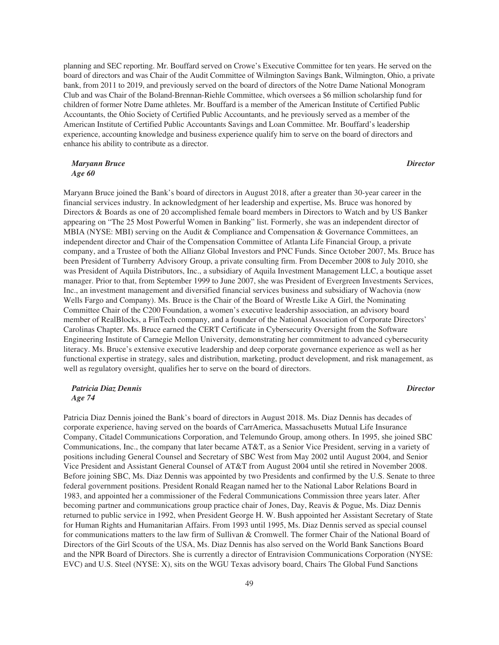planning and SEC reporting. Mr. Bouffard served on Crowe's Executive Committee for ten years. He served on the board of directors and was Chair of the Audit Committee of Wilmington Savings Bank, Wilmington, Ohio, a private bank, from 2011 to 2019, and previously served on the board of directors of the Notre Dame National Monogram Club and was Chair of the Boland-Brennan-Riehle Committee, which oversees a \$6 million scholarship fund for children of former Notre Dame athletes. Mr. Bouffard is a member of the American Institute of Certified Public Accountants, the Ohio Society of Certified Public Accountants, and he previously served as a member of the American Institute of Certified Public Accountants Savings and Loan Committee. Mr. Bouffard's leadership experience, accounting knowledge and business experience qualify him to serve on the board of directors and enhance his ability to contribute as a director.

*Maryann Bruce Age 60*

Maryann Bruce joined the Bank's board of directors in August 2018, after a greater than 30-year career in the financial services industry. In acknowledgment of her leadership and expertise, Ms. Bruce was honored by Directors & Boards as one of 20 accomplished female board members in Directors to Watch and by US Banker appearing on "The 25 Most Powerful Women in Banking" list. Formerly, she was an independent director of MBIA (NYSE: MBI) serving on the Audit & Compliance and Compensation & Governance Committees, an independent director and Chair of the Compensation Committee of Atlanta Life Financial Group, a private company, and a Trustee of both the Allianz Global Investors and PNC Funds. Since October 2007, Ms. Bruce has been President of Turnberry Advisory Group, a private consulting firm. From December 2008 to July 2010, she was President of Aquila Distributors, Inc., a subsidiary of Aquila Investment Management LLC, a boutique asset manager. Prior to that, from September 1999 to June 2007, she was President of Evergreen Investments Services, Inc., an investment management and diversified financial services business and subsidiary of Wachovia (now Wells Fargo and Company). Ms. Bruce is the Chair of the Board of Wrestle Like A Girl, the Nominating Committee Chair of the C200 Foundation, a women's executive leadership association, an advisory board member of RealBlocks, a FinTech company, and a founder of the National Association of Corporate Directors' Carolinas Chapter. Ms. Bruce earned the CERT Certificate in Cybersecurity Oversight from the Software Engineering Institute of Carnegie Mellon University, demonstrating her commitment to advanced cybersecurity literacy. Ms. Bruce's extensive executive leadership and deep corporate governance experience as well as her functional expertise in strategy, sales and distribution, marketing, product development, and risk management, as well as regulatory oversight, qualifies her to serve on the board of directors.

# *Patricia Diaz Dennis Age 74*

*Director*

Patricia Diaz Dennis joined the Bank's board of directors in August 2018. Ms. Diaz Dennis has decades of corporate experience, having served on the boards of CarrAmerica, Massachusetts Mutual Life Insurance Company, Citadel Communications Corporation, and Telemundo Group, among others. In 1995, she joined SBC Communications, Inc., the company that later became AT&T, as a Senior Vice President, serving in a variety of positions including General Counsel and Secretary of SBC West from May 2002 until August 2004, and Senior Vice President and Assistant General Counsel of AT&T from August 2004 until she retired in November 2008. Before joining SBC, Ms. Diaz Dennis was appointed by two Presidents and confirmed by the U.S. Senate to three federal government positions. President Ronald Reagan named her to the National Labor Relations Board in 1983, and appointed her a commissioner of the Federal Communications Commission three years later. After becoming partner and communications group practice chair of Jones, Day, Reavis & Pogue, Ms. Diaz Dennis returned to public service in 1992, when President George H. W. Bush appointed her Assistant Secretary of State for Human Rights and Humanitarian Affairs. From 1993 until 1995, Ms. Diaz Dennis served as special counsel for communications matters to the law firm of Sullivan & Cromwell. The former Chair of the National Board of Directors of the Girl Scouts of the USA, Ms. Diaz Dennis has also served on the World Bank Sanctions Board and the NPR Board of Directors. She is currently a director of Entravision Communications Corporation (NYSE: EVC) and U.S. Steel (NYSE: X), sits on the WGU Texas advisory board, Chairs The Global Fund Sanctions

*Director*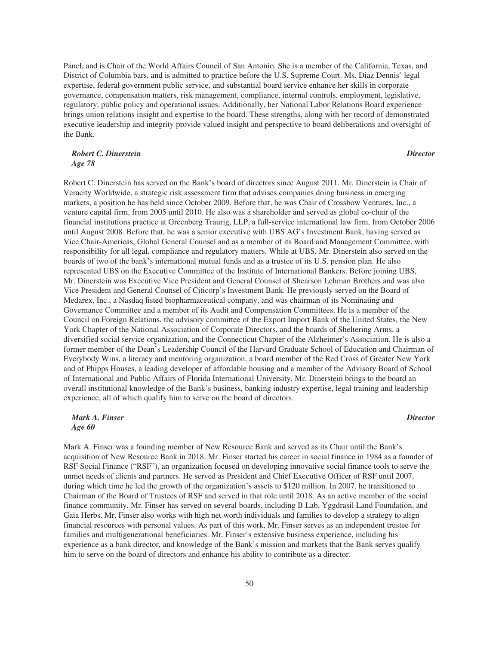Panel, and is Chair of the World Affairs Council of San Antonio. She is a member of the California, Texas, and District of Columbia bars, and is admitted to practice before the U.S. Supreme Court. Ms. Diaz Dennis' legal expertise, federal government public service, and substantial board service enhance her skills in corporate governance, compensation matters, risk management, compliance, internal controls, employment, legislative, regulatory, public policy and operational issues. Additionally, her National Labor Relations Board experience brings union relations insight and expertise to the board. These strengths, along with her record of demonstrated executive leadership and integrity provide valued insight and perspective to board deliberations and oversight of the Bank.

## *Robert C. Dinerstein Age 78*

*Director*

Robert C. Dinerstein has served on the Bank's board of directors since August 2011. Mr. Dinerstein is Chair of Veracity Worldwide, a strategic risk assessment firm that advises companies doing business in emerging markets, a position he has held since October 2009. Before that, he was Chair of Crossbow Ventures, Inc., a venture capital firm, from 2005 until 2010. He also was a shareholder and served as global co-chair of the financial institutions practice at Greenberg Traurig, LLP, a full-service international law firm, from October 2006 until August 2008. Before that, he was a senior executive with UBS AG's Investment Bank, having served as Vice Chair-Americas, Global General Counsel and as a member of its Board and Management Committee, with responsibility for all legal, compliance and regulatory matters. While at UBS, Mr. Dinerstein also served on the boards of two of the bank's international mutual funds and as a trustee of its U.S. pension plan. He also represented UBS on the Executive Committee of the Institute of International Bankers. Before joining UBS, Mr. Dinerstein was Executive Vice President and General Counsel of Shearson Lehman Brothers and was also Vice President and General Counsel of Citicorp's Investment Bank. He previously served on the Board of Medarex, Inc., a Nasdaq listed biopharmaceutical company, and was chairman of its Nominating and Governance Committee and a member of its Audit and Compensation Committees. He is a member of the Council on Foreign Relations, the advisory committee of the Export Import Bank of the United States, the New York Chapter of the National Association of Corporate Directors, and the boards of Sheltering Arms, a diversified social service organization, and the Connecticut Chapter of the Alzheimer's Association. He is also a former member of the Dean's Leadership Council of the Harvard Graduate School of Education and Chairman of Everybody Wins, a literacy and mentoring organization, a board member of the Red Cross of Greater New York and of Phipps Houses, a leading developer of affordable housing and a member of the Advisory Board of School of International and Public Affairs of Florida International University. Mr. Dinerstein brings to the board an overall institutional knowledge of the Bank's business, banking industry expertise, legal training and leadership experience, all of which qualify him to serve on the board of directors.

# *Mark A. Finser Age 60*

*Director*

Mark A. Finser was a founding member of New Resource Bank and served as its Chair until the Bank's acquisition of New Resource Bank in 2018. Mr. Finser started his career in social finance in 1984 as a founder of RSF Social Finance ("RSF"), an organization focused on developing innovative social finance tools to serve the unmet needs of clients and partners. He served as President and Chief Executive Officer of RSF until 2007, during which time he led the growth of the organization's assets to \$120 million. In 2007, he transitioned to Chairman of the Board of Trustees of RSF and served in that role until 2018. As an active member of the social finance community, Mr. Finser has served on several boards, including B Lab, Yggdrasil Land Foundation, and Gaia Herbs. Mr. Finser also works with high net worth individuals and families to develop a strategy to align financial resources with personal values. As part of this work, Mr. Finser serves as an independent trustee for families and multigenerational beneficiaries. Mr. Finser's extensive business experience, including his experience as a bank director, and knowledge of the Bank's mission and markets that the Bank serves qualify him to serve on the board of directors and enhance his ability to contribute as a director.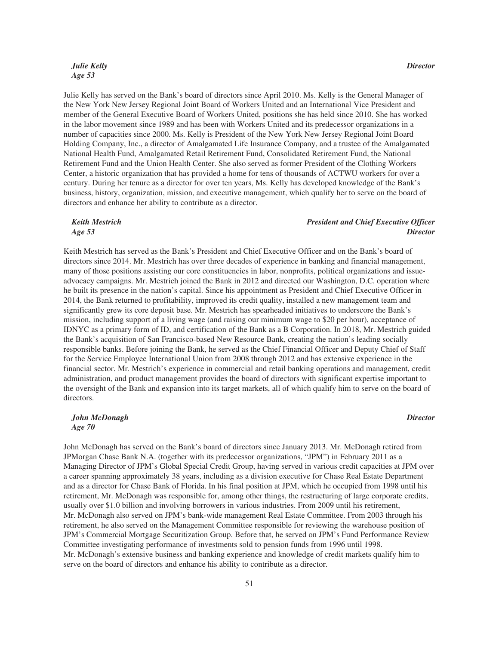# *Julie Kelly Age 53*

Julie Kelly has served on the Bank's board of directors since April 2010. Ms. Kelly is the General Manager of the New York New Jersey Regional Joint Board of Workers United and an International Vice President and member of the General Executive Board of Workers United, positions she has held since 2010. She has worked in the labor movement since 1989 and has been with Workers United and its predecessor organizations in a number of capacities since 2000. Ms. Kelly is President of the New York New Jersey Regional Joint Board Holding Company, Inc., a director of Amalgamated Life Insurance Company, and a trustee of the Amalgamated National Health Fund, Amalgamated Retail Retirement Fund, Consolidated Retirement Fund, the National Retirement Fund and the Union Health Center. She also served as former President of the Clothing Workers Center, a historic organization that has provided a home for tens of thousands of ACTWU workers for over a century. During her tenure as a director for over ten years, Ms. Kelly has developed knowledge of the Bank's business, history, organization, mission, and executive management, which qualify her to serve on the board of directors and enhance her ability to contribute as a director.

#### *Keith Mestrich Age 53*

### *President and Chief Executive Officer Director*

Keith Mestrich has served as the Bank's President and Chief Executive Officer and on the Bank's board of directors since 2014. Mr. Mestrich has over three decades of experience in banking and financial management, many of those positions assisting our core constituencies in labor, nonprofits, political organizations and issueadvocacy campaigns. Mr. Mestrich joined the Bank in 2012 and directed our Washington, D.C. operation where he built its presence in the nation's capital. Since his appointment as President and Chief Executive Officer in 2014, the Bank returned to profitability, improved its credit quality, installed a new management team and significantly grew its core deposit base. Mr. Mestrich has spearheaded initiatives to underscore the Bank's mission, including support of a living wage (and raising our minimum wage to \$20 per hour), acceptance of IDNYC as a primary form of ID, and certification of the Bank as a B Corporation. In 2018, Mr. Mestrich guided the Bank's acquisition of San Francisco-based New Resource Bank, creating the nation's leading socially responsible banks. Before joining the Bank, he served as the Chief Financial Officer and Deputy Chief of Staff for the Service Employee International Union from 2008 through 2012 and has extensive experience in the financial sector. Mr. Mestrich's experience in commercial and retail banking operations and management, credit administration, and product management provides the board of directors with significant expertise important to the oversight of the Bank and expansion into its target markets, all of which qualify him to serve on the board of directors.

# *John McDonagh Age 70*

John McDonagh has served on the Bank's board of directors since January 2013. Mr. McDonagh retired from JPMorgan Chase Bank N.A. (together with its predecessor organizations, "JPM") in February 2011 as a Managing Director of JPM's Global Special Credit Group, having served in various credit capacities at JPM over a career spanning approximately 38 years, including as a division executive for Chase Real Estate Department and as a director for Chase Bank of Florida. In his final position at JPM, which he occupied from 1998 until his retirement, Mr. McDonagh was responsible for, among other things, the restructuring of large corporate credits, usually over \$1.0 billion and involving borrowers in various industries. From 2009 until his retirement, Mr. McDonagh also served on JPM's bank-wide management Real Estate Committee. From 2003 through his retirement, he also served on the Management Committee responsible for reviewing the warehouse position of JPM's Commercial Mortgage Securitization Group. Before that, he served on JPM's Fund Performance Review Committee investigating performance of investments sold to pension funds from 1996 until 1998. Mr. McDonagh's extensive business and banking experience and knowledge of credit markets qualify him to serve on the board of directors and enhance his ability to contribute as a director.

# *Director*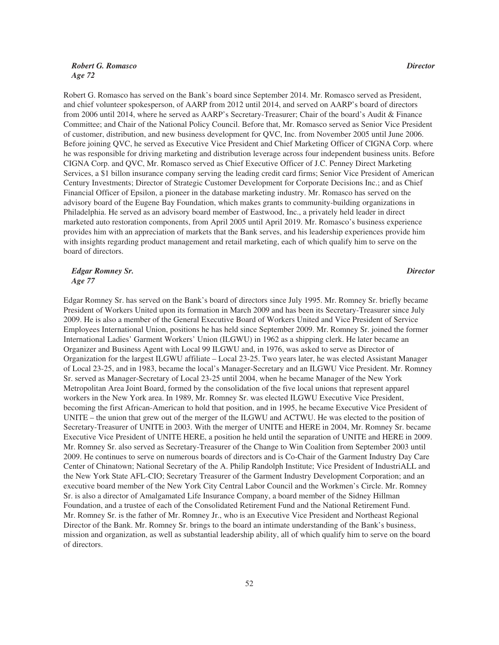# *Robert G. Romasco Age 72*

Robert G. Romasco has served on the Bank's board since September 2014. Mr. Romasco served as President, and chief volunteer spokesperson, of AARP from 2012 until 2014, and served on AARP's board of directors from 2006 until 2014, where he served as AARP's Secretary-Treasurer; Chair of the board's Audit & Finance Committee; and Chair of the National Policy Council. Before that, Mr. Romasco served as Senior Vice President of customer, distribution, and new business development for QVC, Inc. from November 2005 until June 2006. Before joining QVC, he served as Executive Vice President and Chief Marketing Officer of CIGNA Corp. where he was responsible for driving marketing and distribution leverage across four independent business units. Before CIGNA Corp. and QVC, Mr. Romasco served as Chief Executive Officer of J.C. Penney Direct Marketing Services, a \$1 billon insurance company serving the leading credit card firms; Senior Vice President of American Century Investments; Director of Strategic Customer Development for Corporate Decisions Inc.; and as Chief Financial Officer of Epsilon, a pioneer in the database marketing industry. Mr. Romasco has served on the advisory board of the Eugene Bay Foundation, which makes grants to community-building organizations in Philadelphia. He served as an advisory board member of Eastwood, Inc., a privately held leader in direct marketed auto restoration components, from April 2005 until April 2019. Mr. Romasco's business experience provides him with an appreciation of markets that the Bank serves, and his leadership experiences provide him with insights regarding product management and retail marketing, each of which qualify him to serve on the board of directors.

*Edgar Romney Sr. Age 77*

*Director*

Edgar Romney Sr. has served on the Bank's board of directors since July 1995. Mr. Romney Sr. briefly became President of Workers United upon its formation in March 2009 and has been its Secretary-Treasurer since July 2009. He is also a member of the General Executive Board of Workers United and Vice President of Service Employees International Union, positions he has held since September 2009. Mr. Romney Sr. joined the former International Ladies' Garment Workers' Union (ILGWU) in 1962 as a shipping clerk. He later became an Organizer and Business Agent with Local 99 ILGWU and, in 1976, was asked to serve as Director of Organization for the largest ILGWU affiliate – Local 23-25. Two years later, he was elected Assistant Manager of Local 23-25, and in 1983, became the local's Manager-Secretary and an ILGWU Vice President. Mr. Romney Sr. served as Manager-Secretary of Local 23-25 until 2004, when he became Manager of the New York Metropolitan Area Joint Board, formed by the consolidation of the five local unions that represent apparel workers in the New York area. In 1989, Mr. Romney Sr. was elected ILGWU Executive Vice President, becoming the first African-American to hold that position, and in 1995, he became Executive Vice President of UNITE – the union that grew out of the merger of the ILGWU and ACTWU. He was elected to the position of Secretary-Treasurer of UNITE in 2003. With the merger of UNITE and HERE in 2004, Mr. Romney Sr. became Executive Vice President of UNITE HERE, a position he held until the separation of UNITE and HERE in 2009. Mr. Romney Sr. also served as Secretary-Treasurer of the Change to Win Coalition from September 2003 until 2009. He continues to serve on numerous boards of directors and is Co-Chair of the Garment Industry Day Care Center of Chinatown; National Secretary of the A. Philip Randolph Institute; Vice President of IndustriALL and the New York State AFL-CIO; Secretary Treasurer of the Garment Industry Development Corporation; and an executive board member of the New York City Central Labor Council and the Workmen's Circle. Mr. Romney Sr. is also a director of Amalgamated Life Insurance Company, a board member of the Sidney Hillman Foundation, and a trustee of each of the Consolidated Retirement Fund and the National Retirement Fund. Mr. Romney Sr. is the father of Mr. Romney Jr., who is an Executive Vice President and Northeast Regional Director of the Bank. Mr. Romney Sr. brings to the board an intimate understanding of the Bank's business, mission and organization, as well as substantial leadership ability, all of which qualify him to serve on the board of directors.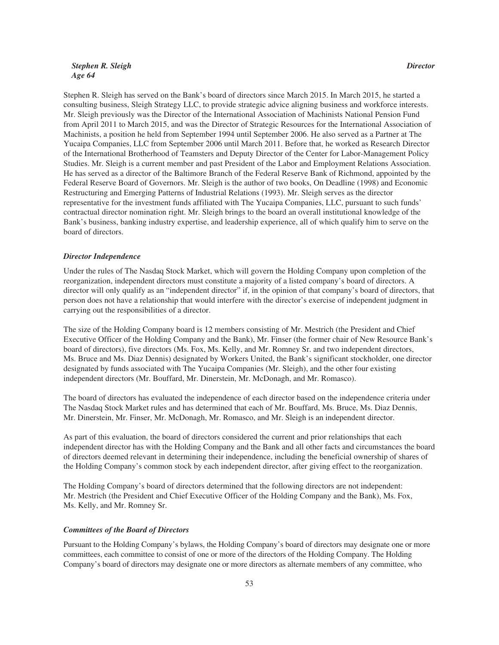# *Stephen R. Sleigh Age 64*

Stephen R. Sleigh has served on the Bank's board of directors since March 2015. In March 2015, he started a consulting business, Sleigh Strategy LLC, to provide strategic advice aligning business and workforce interests. Mr. Sleigh previously was the Director of the International Association of Machinists National Pension Fund from April 2011 to March 2015, and was the Director of Strategic Resources for the International Association of Machinists, a position he held from September 1994 until September 2006. He also served as a Partner at The Yucaipa Companies, LLC from September 2006 until March 2011. Before that, he worked as Research Director of the International Brotherhood of Teamsters and Deputy Director of the Center for Labor-Management Policy Studies. Mr. Sleigh is a current member and past President of the Labor and Employment Relations Association. He has served as a director of the Baltimore Branch of the Federal Reserve Bank of Richmond, appointed by the Federal Reserve Board of Governors. Mr. Sleigh is the author of two books, On Deadline (1998) and Economic Restructuring and Emerging Patterns of Industrial Relations (1993). Mr. Sleigh serves as the director representative for the investment funds affiliated with The Yucaipa Companies, LLC, pursuant to such funds' contractual director nomination right. Mr. Sleigh brings to the board an overall institutional knowledge of the Bank's business, banking industry expertise, and leadership experience, all of which qualify him to serve on the board of directors.

#### *Director Independence*

Under the rules of The Nasdaq Stock Market, which will govern the Holding Company upon completion of the reorganization, independent directors must constitute a majority of a listed company's board of directors. A director will only qualify as an "independent director" if, in the opinion of that company's board of directors, that person does not have a relationship that would interfere with the director's exercise of independent judgment in carrying out the responsibilities of a director.

The size of the Holding Company board is 12 members consisting of Mr. Mestrich (the President and Chief Executive Officer of the Holding Company and the Bank), Mr. Finser (the former chair of New Resource Bank's board of directors), five directors (Ms. Fox, Ms. Kelly, and Mr. Romney Sr. and two independent directors, Ms. Bruce and Ms. Diaz Dennis) designated by Workers United, the Bank's significant stockholder, one director designated by funds associated with The Yucaipa Companies (Mr. Sleigh), and the other four existing independent directors (Mr. Bouffard, Mr. Dinerstein, Mr. McDonagh, and Mr. Romasco).

The board of directors has evaluated the independence of each director based on the independence criteria under The Nasdaq Stock Market rules and has determined that each of Mr. Bouffard, Ms. Bruce, Ms. Diaz Dennis, Mr. Dinerstein, Mr. Finser, Mr. McDonagh, Mr. Romasco, and Mr. Sleigh is an independent director.

As part of this evaluation, the board of directors considered the current and prior relationships that each independent director has with the Holding Company and the Bank and all other facts and circumstances the board of directors deemed relevant in determining their independence, including the beneficial ownership of shares of the Holding Company's common stock by each independent director, after giving effect to the reorganization.

The Holding Company's board of directors determined that the following directors are not independent: Mr. Mestrich (the President and Chief Executive Officer of the Holding Company and the Bank), Ms. Fox, Ms. Kelly, and Mr. Romney Sr.

#### *Committees of the Board of Directors*

Pursuant to the Holding Company's bylaws, the Holding Company's board of directors may designate one or more committees, each committee to consist of one or more of the directors of the Holding Company. The Holding Company's board of directors may designate one or more directors as alternate members of any committee, who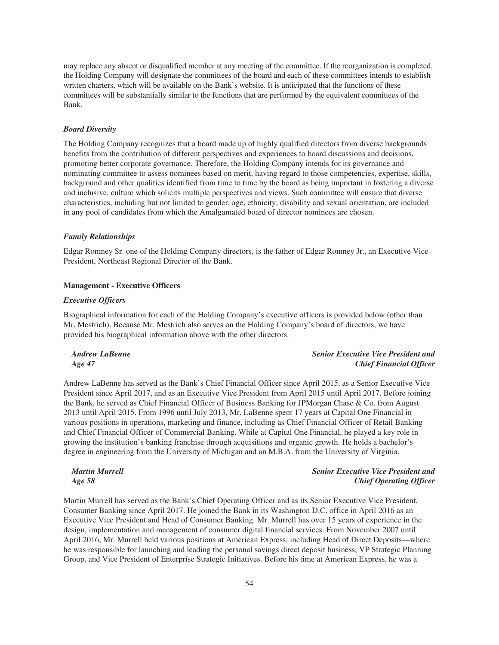may replace any absent or disqualified member at any meeting of the committee. If the reorganization is completed, the Holding Company will designate the committees of the board and each of these committees intends to establish written charters, which will be available on the Bank's website. It is anticipated that the functions of these committees will be substantially similar to the functions that are performed by the equivalent committees of the Bank.

#### *Board Diversity*

The Holding Company recognizes that a board made up of highly qualified directors from diverse backgrounds benefits from the contribution of different perspectives and experiences to board discussions and decisions, promoting better corporate governance. Therefore, the Holding Company intends for its governance and nominating committee to assess nominees based on merit, having regard to those competencies, expertise, skills, background and other qualities identified from time to time by the board as being important in fostering a diverse and inclusive, culture which solicits multiple perspectives and views. Such committee will ensure that diverse characteristics, including but not limited to gender, age, ethnicity, disability and sexual orientation, are included in any pool of candidates from which the Amalgamated board of director nominees are chosen.

#### *Family Relationships*

Edgar Romney Sr. one of the Holding Company directors, is the father of Edgar Romney Jr., an Executive Vice President, Northeast Regional Director of the Bank.

#### **Management - Executive Officers**

#### *Executive Officers*

Biographical information for each of the Holding Company's executive officers is provided below (other than Mr. Mestrich). Because Mr. Mestrich also serves on the Holding Company's board of directors, we have provided his biographical information above with the other directors.

| <b>Andrew LaBenne</b> | <b>Senior Executive Vice President and</b> |
|-----------------------|--------------------------------------------|
| Age 47                | <b>Chief Financial Officer</b>             |

Andrew LaBenne has served as the Bank's Chief Financial Officer since April 2015, as a Senior Executive Vice President since April 2017, and as an Executive Vice President from April 2015 until April 2017. Before joining the Bank, he served as Chief Financial Officer of Business Banking for JPMorgan Chase & Co. from August 2013 until April 2015. From 1996 until July 2013, Mr. LaBenne spent 17 years at Capital One Financial in various positions in operations, marketing and finance, including as Chief Financial Officer of Retail Banking and Chief Financial Officer of Commercial Banking. While at Capital One Financial, he played a key role in growing the institution's banking franchise through acquisitions and organic growth. He holds a bachelor's degree in engineering from the University of Michigan and an M.B.A. from the University of Virginia.

*Martin Murrell Age 58*

# *Senior Executive Vice President and Chief Operating Officer*

Martin Murrell has served as the Bank's Chief Operating Officer and as its Senior Executive Vice President, Consumer Banking since April 2017. He joined the Bank in its Washington D.C. office in April 2016 as an Executive Vice President and Head of Consumer Banking. Mr. Murrell has over 15 years of experience in the design, implementation and management of consumer digital financial services. From November 2007 until April 2016, Mr. Murrell held various positions at American Express, including Head of Direct Deposits—where he was responsible for launching and leading the personal savings direct deposit business, VP Strategic Planning Group, and Vice President of Enterprise Strategic Initiatives. Before his time at American Express, he was a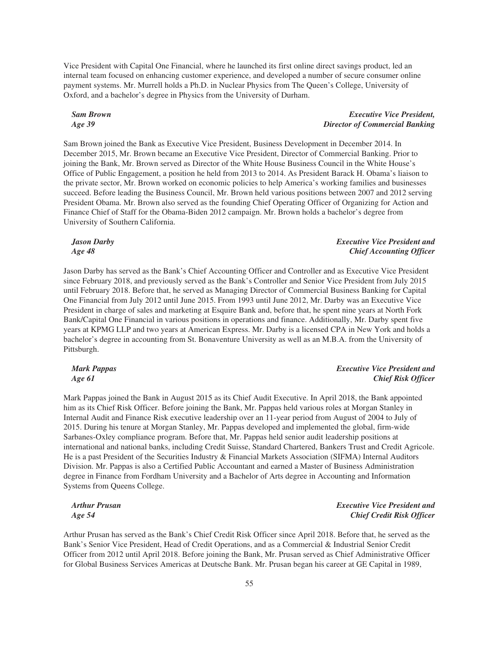Vice President with Capital One Financial, where he launched its first online direct savings product, led an internal team focused on enhancing customer experience, and developed a number of secure consumer online payment systems. Mr. Murrell holds a Ph.D. in Nuclear Physics from The Queen's College, University of Oxford, and a bachelor's degree in Physics from the University of Durham.

## *Sam Brown Age 39*

# *Executive Vice President, Director of Commercial Banking*

Sam Brown joined the Bank as Executive Vice President, Business Development in December 2014. In December 2015, Mr. Brown became an Executive Vice President, Director of Commercial Banking. Prior to joining the Bank, Mr. Brown served as Director of the White House Business Council in the White House's Office of Public Engagement, a position he held from 2013 to 2014. As President Barack H. Obama's liaison to the private sector, Mr. Brown worked on economic policies to help America's working families and businesses succeed. Before leading the Business Council, Mr. Brown held various positions between 2007 and 2012 serving President Obama. Mr. Brown also served as the founding Chief Operating Officer of Organizing for Action and Finance Chief of Staff for the Obama-Biden 2012 campaign. Mr. Brown holds a bachelor's degree from University of Southern California.

*Jason Darby Age 48*

# Jason Darby has served as the Bank's Chief Accounting Officer and Controller and as Executive Vice President since February 2018, and previously served as the Bank's Controller and Senior Vice President from July 2015 until February 2018. Before that, he served as Managing Director of Commercial Business Banking for Capital One Financial from July 2012 until June 2015. From 1993 until June 2012, Mr. Darby was an Executive Vice President in charge of sales and marketing at Esquire Bank and, before that, he spent nine years at North Fork Bank/Capital One Financial in various positions in operations and finance. Additionally, Mr. Darby spent five years at KPMG LLP and two years at American Express. Mr. Darby is a licensed CPA in New York and holds a bachelor's degree in accounting from St. Bonaventure University as well as an M.B.A. from the University of Pittsburgh.

*Mark Pappas Age 61*

# *Executive Vice President and Chief Risk Officer*

*Executive Vice President and Chief Credit Risk Officer*

*Executive Vice President and Chief Accounting Officer*

Mark Pappas joined the Bank in August 2015 as its Chief Audit Executive. In April 2018, the Bank appointed him as its Chief Risk Officer. Before joining the Bank, Mr. Pappas held various roles at Morgan Stanley in Internal Audit and Finance Risk executive leadership over an 11-year period from August of 2004 to July of 2015. During his tenure at Morgan Stanley, Mr. Pappas developed and implemented the global, firm-wide Sarbanes-Oxley compliance program. Before that, Mr. Pappas held senior audit leadership positions at international and national banks, including Credit Suisse, Standard Chartered, Bankers Trust and Credit Agricole. He is a past President of the Securities Industry & Financial Markets Association (SIFMA) Internal Auditors Division. Mr. Pappas is also a Certified Public Accountant and earned a Master of Business Administration degree in Finance from Fordham University and a Bachelor of Arts degree in Accounting and Information Systems from Queens College.

*Arthur Prusan Age 54*

Arthur Prusan has served as the Bank's Chief Credit Risk Officer since April 2018. Before that, he served as the Bank's Senior Vice President, Head of Credit Operations, and as a Commercial & Industrial Senior Credit Officer from 2012 until April 2018. Before joining the Bank, Mr. Prusan served as Chief Administrative Officer for Global Business Services Americas at Deutsche Bank. Mr. Prusan began his career at GE Capital in 1989,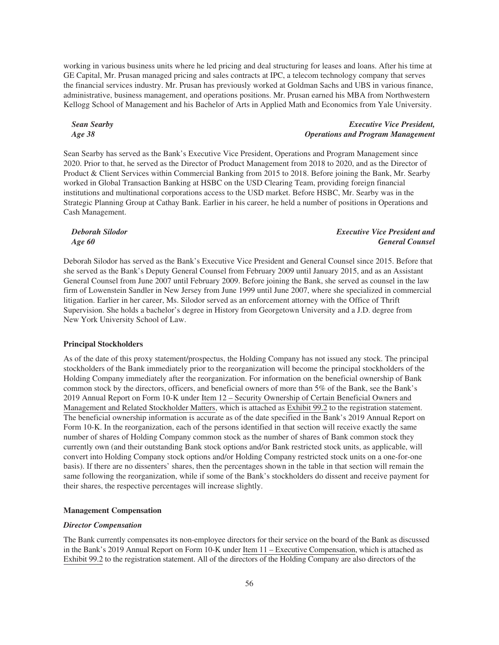working in various business units where he led pricing and deal structuring for leases and loans. After his time at GE Capital, Mr. Prusan managed pricing and sales contracts at IPC, a telecom technology company that serves the financial services industry. Mr. Prusan has previously worked at Goldman Sachs and UBS in various finance, administrative, business management, and operations positions. Mr. Prusan earned his MBA from Northwestern Kellogg School of Management and his Bachelor of Arts in Applied Math and Economics from Yale University.

*Sean Searby Age 38*

# *Executive Vice President, Operations and Program Management*

Sean Searby has served as the Bank's Executive Vice President, Operations and Program Management since 2020. Prior to that, he served as the Director of Product Management from 2018 to 2020, and as the Director of Product & Client Services within Commercial Banking from 2015 to 2018. Before joining the Bank, Mr. Searby worked in Global Transaction Banking at HSBC on the USD Clearing Team, providing foreign financial institutions and multinational corporations access to the USD market. Before HSBC, Mr. Searby was in the Strategic Planning Group at Cathay Bank. Earlier in his career, he held a number of positions in Operations and Cash Management.

*Deborah Silodor Age 60 Executive Vice President and General Counsel*

Deborah Silodor has served as the Bank's Executive Vice President and General Counsel since 2015. Before that she served as the Bank's Deputy General Counsel from February 2009 until January 2015, and as an Assistant General Counsel from June 2007 until February 2009. Before joining the Bank, she served as counsel in the law firm of Lowenstein Sandler in New Jersey from June 1999 until June 2007, where she specialized in commercial litigation. Earlier in her career, Ms. Silodor served as an enforcement attorney with the Office of Thrift Supervision. She holds a bachelor's degree in History from Georgetown University and a J.D. degree from New York University School of Law.

#### **Principal Stockholders**

As of the date of this proxy statement/prospectus, the Holding Company has not issued any stock. The principal stockholders of the Bank immediately prior to the reorganization will become the principal stockholders of the Holding Company immediately after the reorganization. For information on the beneficial ownership of Bank common stock by the directors, officers, and beneficial owners of more than 5% of the Bank, see the Bank's 2019 Annual Report on Form 10-K under Item 12 – Security Ownership of Certain Beneficial Owners and Management and Related Stockholder Matters, which is attached as Exhibit 99.2 to the registration statement. The beneficial ownership information is accurate as of the date specified in the Bank's 2019 Annual Report on Form 10-K. In the reorganization, each of the persons identified in that section will receive exactly the same number of shares of Holding Company common stock as the number of shares of Bank common stock they currently own (and their outstanding Bank stock options and/or Bank restricted stock units, as applicable, will convert into Holding Company stock options and/or Holding Company restricted stock units on a one-for-one basis). If there are no dissenters' shares, then the percentages shown in the table in that section will remain the same following the reorganization, while if some of the Bank's stockholders do dissent and receive payment for their shares, the respective percentages will increase slightly.

### **Management Compensation**

#### *Director Compensation*

The Bank currently compensates its non-employee directors for their service on the board of the Bank as discussed in the Bank's 2019 Annual Report on Form 10-K under Item 11 – Executive Compensation, which is attached as Exhibit 99.2 to the registration statement. All of the directors of the Holding Company are also directors of the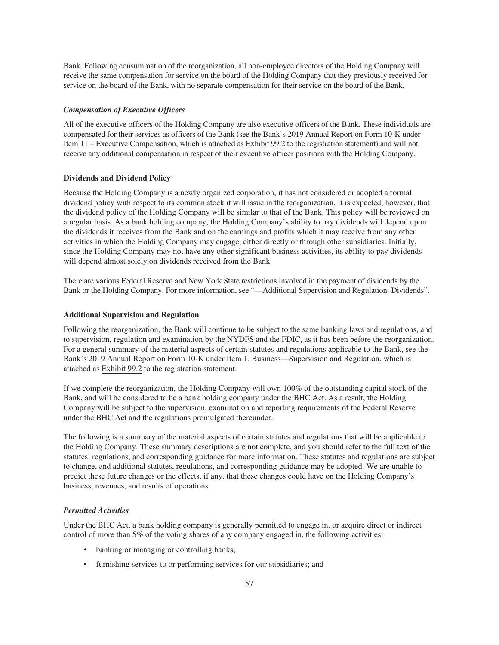Bank. Following consummation of the reorganization, all non-employee directors of the Holding Company will receive the same compensation for service on the board of the Holding Company that they previously received for service on the board of the Bank, with no separate compensation for their service on the board of the Bank.

#### *Compensation of Executive Officers*

All of the executive officers of the Holding Company are also executive officers of the Bank. These individuals are compensated for their services as officers of the Bank (see the Bank's 2019 Annual Report on Form 10-K under Item 11 – Executive Compensation, which is attached as Exhibit 99.2 to the registration statement) and will not receive any additional compensation in respect of their executive officer positions with the Holding Company.

#### **Dividends and Dividend Policy**

Because the Holding Company is a newly organized corporation, it has not considered or adopted a formal dividend policy with respect to its common stock it will issue in the reorganization. It is expected, however, that the dividend policy of the Holding Company will be similar to that of the Bank. This policy will be reviewed on a regular basis. As a bank holding company, the Holding Company's ability to pay dividends will depend upon the dividends it receives from the Bank and on the earnings and profits which it may receive from any other activities in which the Holding Company may engage, either directly or through other subsidiaries. Initially, since the Holding Company may not have any other significant business activities, its ability to pay dividends will depend almost solely on dividends received from the Bank.

There are various Federal Reserve and New York State restrictions involved in the payment of dividends by the Bank or the Holding Company. For more information, see "—Additional Supervision and Regulation–Dividends".

#### **Additional Supervision and Regulation**

Following the reorganization, the Bank will continue to be subject to the same banking laws and regulations, and to supervision, regulation and examination by the NYDFS and the FDIC, as it has been before the reorganization. For a general summary of the material aspects of certain statutes and regulations applicable to the Bank, see the Bank's 2019 Annual Report on Form 10-K under Item 1. Business—Supervision and Regulation, which is attached as Exhibit 99.2 to the registration statement.

If we complete the reorganization, the Holding Company will own 100% of the outstanding capital stock of the Bank, and will be considered to be a bank holding company under the BHC Act. As a result, the Holding Company will be subject to the supervision, examination and reporting requirements of the Federal Reserve under the BHC Act and the regulations promulgated thereunder.

The following is a summary of the material aspects of certain statutes and regulations that will be applicable to the Holding Company. These summary descriptions are not complete, and you should refer to the full text of the statutes, regulations, and corresponding guidance for more information. These statutes and regulations are subject to change, and additional statutes, regulations, and corresponding guidance may be adopted. We are unable to predict these future changes or the effects, if any, that these changes could have on the Holding Company's business, revenues, and results of operations.

# *Permitted Activities*

Under the BHC Act, a bank holding company is generally permitted to engage in, or acquire direct or indirect control of more than 5% of the voting shares of any company engaged in, the following activities:

- banking or managing or controlling banks;
- furnishing services to or performing services for our subsidiaries; and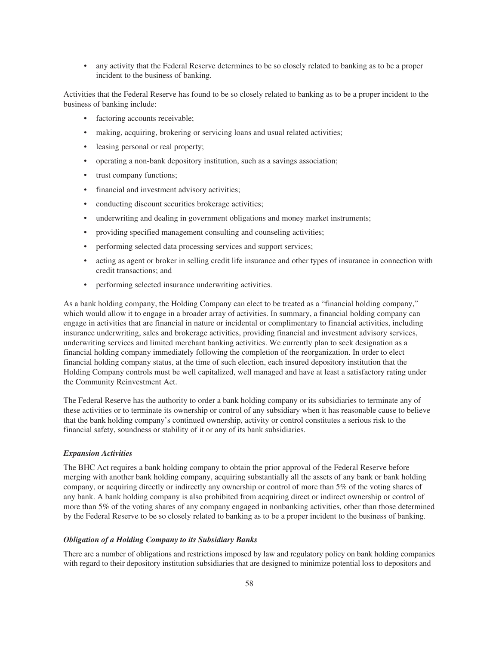• any activity that the Federal Reserve determines to be so closely related to banking as to be a proper incident to the business of banking.

Activities that the Federal Reserve has found to be so closely related to banking as to be a proper incident to the business of banking include:

- factoring accounts receivable;
- making, acquiring, brokering or servicing loans and usual related activities;
- leasing personal or real property;
- operating a non-bank depository institution, such as a savings association;
- trust company functions;
- financial and investment advisory activities;
- conducting discount securities brokerage activities;
- underwriting and dealing in government obligations and money market instruments;
- providing specified management consulting and counseling activities;
- performing selected data processing services and support services;
- acting as agent or broker in selling credit life insurance and other types of insurance in connection with credit transactions; and
- performing selected insurance underwriting activities.

As a bank holding company, the Holding Company can elect to be treated as a "financial holding company," which would allow it to engage in a broader array of activities. In summary, a financial holding company can engage in activities that are financial in nature or incidental or complimentary to financial activities, including insurance underwriting, sales and brokerage activities, providing financial and investment advisory services, underwriting services and limited merchant banking activities. We currently plan to seek designation as a financial holding company immediately following the completion of the reorganization. In order to elect financial holding company status, at the time of such election, each insured depository institution that the Holding Company controls must be well capitalized, well managed and have at least a satisfactory rating under the Community Reinvestment Act.

The Federal Reserve has the authority to order a bank holding company or its subsidiaries to terminate any of these activities or to terminate its ownership or control of any subsidiary when it has reasonable cause to believe that the bank holding company's continued ownership, activity or control constitutes a serious risk to the financial safety, soundness or stability of it or any of its bank subsidiaries.

#### *Expansion Activities*

The BHC Act requires a bank holding company to obtain the prior approval of the Federal Reserve before merging with another bank holding company, acquiring substantially all the assets of any bank or bank holding company, or acquiring directly or indirectly any ownership or control of more than 5% of the voting shares of any bank. A bank holding company is also prohibited from acquiring direct or indirect ownership or control of more than 5% of the voting shares of any company engaged in nonbanking activities, other than those determined by the Federal Reserve to be so closely related to banking as to be a proper incident to the business of banking.

#### *Obligation of a Holding Company to its Subsidiary Banks*

There are a number of obligations and restrictions imposed by law and regulatory policy on bank holding companies with regard to their depository institution subsidiaries that are designed to minimize potential loss to depositors and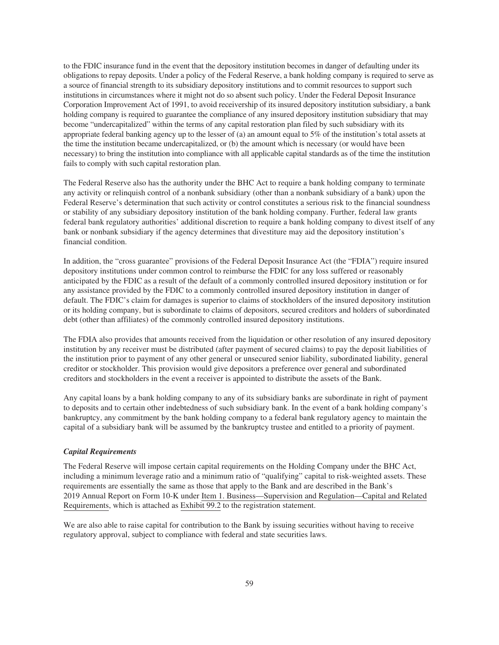to the FDIC insurance fund in the event that the depository institution becomes in danger of defaulting under its obligations to repay deposits. Under a policy of the Federal Reserve, a bank holding company is required to serve as a source of financial strength to its subsidiary depository institutions and to commit resources to support such institutions in circumstances where it might not do so absent such policy. Under the Federal Deposit Insurance Corporation Improvement Act of 1991, to avoid receivership of its insured depository institution subsidiary, a bank holding company is required to guarantee the compliance of any insured depository institution subsidiary that may become "undercapitalized" within the terms of any capital restoration plan filed by such subsidiary with its appropriate federal banking agency up to the lesser of (a) an amount equal to 5% of the institution's total assets at the time the institution became undercapitalized, or (b) the amount which is necessary (or would have been necessary) to bring the institution into compliance with all applicable capital standards as of the time the institution fails to comply with such capital restoration plan.

The Federal Reserve also has the authority under the BHC Act to require a bank holding company to terminate any activity or relinquish control of a nonbank subsidiary (other than a nonbank subsidiary of a bank) upon the Federal Reserve's determination that such activity or control constitutes a serious risk to the financial soundness or stability of any subsidiary depository institution of the bank holding company. Further, federal law grants federal bank regulatory authorities' additional discretion to require a bank holding company to divest itself of any bank or nonbank subsidiary if the agency determines that divestiture may aid the depository institution's financial condition.

In addition, the "cross guarantee" provisions of the Federal Deposit Insurance Act (the "FDIA") require insured depository institutions under common control to reimburse the FDIC for any loss suffered or reasonably anticipated by the FDIC as a result of the default of a commonly controlled insured depository institution or for any assistance provided by the FDIC to a commonly controlled insured depository institution in danger of default. The FDIC's claim for damages is superior to claims of stockholders of the insured depository institution or its holding company, but is subordinate to claims of depositors, secured creditors and holders of subordinated debt (other than affiliates) of the commonly controlled insured depository institutions.

The FDIA also provides that amounts received from the liquidation or other resolution of any insured depository institution by any receiver must be distributed (after payment of secured claims) to pay the deposit liabilities of the institution prior to payment of any other general or unsecured senior liability, subordinated liability, general creditor or stockholder. This provision would give depositors a preference over general and subordinated creditors and stockholders in the event a receiver is appointed to distribute the assets of the Bank.

Any capital loans by a bank holding company to any of its subsidiary banks are subordinate in right of payment to deposits and to certain other indebtedness of such subsidiary bank. In the event of a bank holding company's bankruptcy, any commitment by the bank holding company to a federal bank regulatory agency to maintain the capital of a subsidiary bank will be assumed by the bankruptcy trustee and entitled to a priority of payment.

#### *Capital Requirements*

The Federal Reserve will impose certain capital requirements on the Holding Company under the BHC Act, including a minimum leverage ratio and a minimum ratio of "qualifying" capital to risk-weighted assets. These requirements are essentially the same as those that apply to the Bank and are described in the Bank's 2019 Annual Report on Form 10-K under Item 1. Business—Supervision and Regulation—Capital and Related Requirements, which is attached as Exhibit 99.2 to the registration statement.

We are also able to raise capital for contribution to the Bank by issuing securities without having to receive regulatory approval, subject to compliance with federal and state securities laws.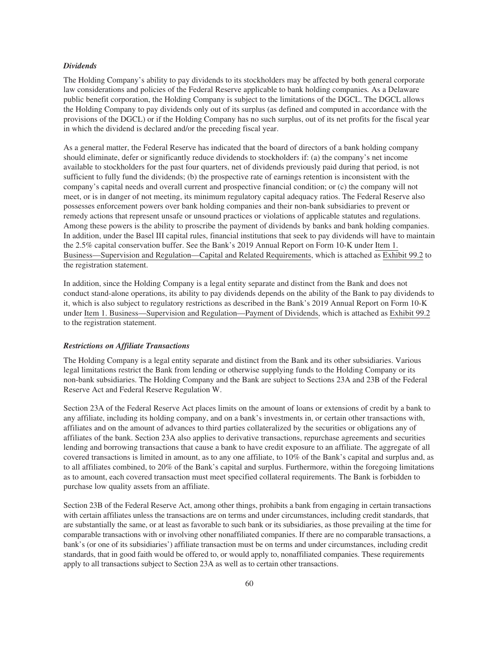#### *Dividends*

The Holding Company's ability to pay dividends to its stockholders may be affected by both general corporate law considerations and policies of the Federal Reserve applicable to bank holding companies*.* As a Delaware public benefit corporation, the Holding Company is subject to the limitations of the DGCL. The DGCL allows the Holding Company to pay dividends only out of its surplus (as defined and computed in accordance with the provisions of the DGCL) or if the Holding Company has no such surplus, out of its net profits for the fiscal year in which the dividend is declared and/or the preceding fiscal year.

As a general matter, the Federal Reserve has indicated that the board of directors of a bank holding company should eliminate, defer or significantly reduce dividends to stockholders if: (a) the company's net income available to stockholders for the past four quarters, net of dividends previously paid during that period, is not sufficient to fully fund the dividends; (b) the prospective rate of earnings retention is inconsistent with the company's capital needs and overall current and prospective financial condition; or (c) the company will not meet, or is in danger of not meeting, its minimum regulatory capital adequacy ratios. The Federal Reserve also possesses enforcement powers over bank holding companies and their non-bank subsidiaries to prevent or remedy actions that represent unsafe or unsound practices or violations of applicable statutes and regulations. Among these powers is the ability to proscribe the payment of dividends by banks and bank holding companies. In addition, under the Basel III capital rules, financial institutions that seek to pay dividends will have to maintain the 2.5% capital conservation buffer. See the Bank's 2019 Annual Report on Form 10-K under Item 1. Business—Supervision and Regulation—Capital and Related Requirements, which is attached as Exhibit 99.2 to the registration statement.

In addition, since the Holding Company is a legal entity separate and distinct from the Bank and does not conduct stand-alone operations, its ability to pay dividends depends on the ability of the Bank to pay dividends to it, which is also subject to regulatory restrictions as described in the Bank's 2019 Annual Report on Form 10-K under Item 1. Business—Supervision and Regulation—Payment of Dividends, which is attached as Exhibit 99.2 to the registration statement.

#### *Restrictions on Affiliate Transactions*

The Holding Company is a legal entity separate and distinct from the Bank and its other subsidiaries. Various legal limitations restrict the Bank from lending or otherwise supplying funds to the Holding Company or its non-bank subsidiaries. The Holding Company and the Bank are subject to Sections 23A and 23B of the Federal Reserve Act and Federal Reserve Regulation W.

Section 23A of the Federal Reserve Act places limits on the amount of loans or extensions of credit by a bank to any affiliate, including its holding company, and on a bank's investments in, or certain other transactions with, affiliates and on the amount of advances to third parties collateralized by the securities or obligations any of affiliates of the bank. Section 23A also applies to derivative transactions, repurchase agreements and securities lending and borrowing transactions that cause a bank to have credit exposure to an affiliate. The aggregate of all covered transactions is limited in amount, as to any one affiliate, to 10% of the Bank's capital and surplus and, as to all affiliates combined, to 20% of the Bank's capital and surplus. Furthermore, within the foregoing limitations as to amount, each covered transaction must meet specified collateral requirements. The Bank is forbidden to purchase low quality assets from an affiliate.

Section 23B of the Federal Reserve Act, among other things, prohibits a bank from engaging in certain transactions with certain affiliates unless the transactions are on terms and under circumstances, including credit standards, that are substantially the same, or at least as favorable to such bank or its subsidiaries, as those prevailing at the time for comparable transactions with or involving other nonaffiliated companies. If there are no comparable transactions, a bank's (or one of its subsidiaries') affiliate transaction must be on terms and under circumstances, including credit standards, that in good faith would be offered to, or would apply to, nonaffiliated companies. These requirements apply to all transactions subject to Section 23A as well as to certain other transactions.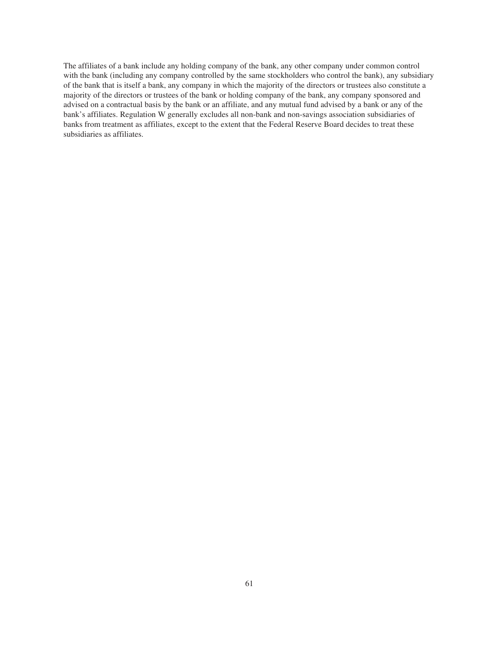The affiliates of a bank include any holding company of the bank, any other company under common control with the bank (including any company controlled by the same stockholders who control the bank), any subsidiary of the bank that is itself a bank, any company in which the majority of the directors or trustees also constitute a majority of the directors or trustees of the bank or holding company of the bank, any company sponsored and advised on a contractual basis by the bank or an affiliate, and any mutual fund advised by a bank or any of the bank's affiliates. Regulation W generally excludes all non-bank and non-savings association subsidiaries of banks from treatment as affiliates, except to the extent that the Federal Reserve Board decides to treat these subsidiaries as affiliates.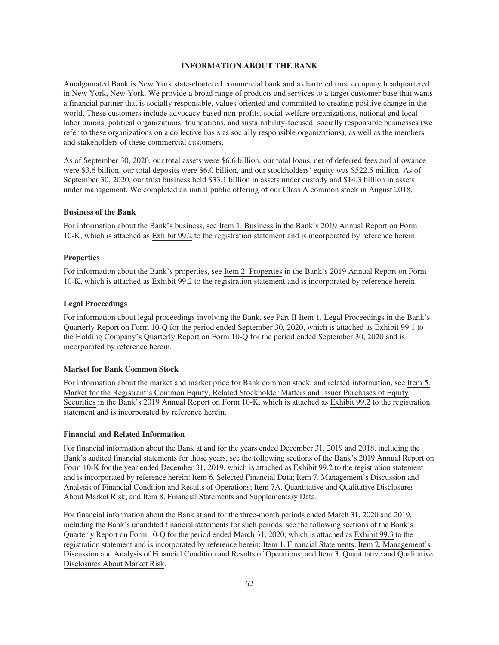#### **INFORMATION ABOUT THE BANK**

Amalgamated Bank is New York state-chartered commercial bank and a chartered trust company headquartered in New York, New York. We provide a broad range of products and services to a target customer base that wants a financial partner that is socially responsible, values-oriented and committed to creating positive change in the world. These customers include advocacy-based non-profits, social welfare organizations, national and local labor unions, political organizations, foundations, and sustainability-focused, socially responsible businesses (we refer to these organizations on a collective basis as socially responsible organizations), as well as the members and stakeholders of these commercial customers.

As of September 30, 2020, our total assets were \$6.6 billion, our total loans, net of deferred fees and allowance were \$3.6 billion, our total deposits were \$6.0 billion, and our stockholders' equity was \$522.5 million. As of September 30, 2020, our trust business held \$33.1 billion in assets under custody and \$14.3 billion in assets under management. We completed an initial public offering of our Class A common stock in August 2018.

# **Business of the Bank**

For information about the Bank's business, see Item 1. Business in the Bank's 2019 Annual Report on Form 10-K, which is attached as Exhibit 99.2 to the registration statement and is incorporated by reference herein.

#### **Properties**

For information about the Bank's properties, see Item 2. Properties in the Bank's 2019 Annual Report on Form 10-K, which is attached as Exhibit 99.2 to the registration statement and is incorporated by reference herein.

#### **Legal Proceedings**

For information about legal proceedings involving the Bank, see Part II Item 1. Legal Proceedings in the Bank's Quarterly Report on Form 10-Q for the period ended September 30, 2020, which is attached as Exhibit 99.1 to the Holding Company's Quarterly Report on Form 10-Q for the period ended September 30, 2020 and is incorporated by reference herein.

#### **Market for Bank Common Stock**

For information about the market and market price for Bank common stock, and related information, see Item 5. Market for the Registrant's Common Equity, Related Stockholder Matters and Issuer Purchases of Equity Securities in the Bank's 2019 Annual Report on Form 10-K, which is attached as Exhibit 99.2 to the registration statement and is incorporated by reference herein.

#### **Financial and Related Information**

For financial information about the Bank at and for the years ended December 31, 2019 and 2018, including the Bank's audited financial statements for those years, see the following sections of the Bank's 2019 Annual Report on Form 10-K for the year ended December 31, 2019, which is attached as Exhibit 99.2 to the registration statement and is incorporated by reference herein: Item 6. Selected Financial Data; Item 7. Management's Discussion and Analysis of Financial Condition and Results of Operations; Item 7A. Quantitative and Qualitative Disclosures About Market Risk; and Item 8. Financial Statements and Supplementary Data.

For financial information about the Bank at and for the three-month periods ended March 31, 2020 and 2019, including the Bank's unaudited financial statements for such periods, see the following sections of the Bank's Quarterly Report on Form 10-Q for the period ended March 31, 2020, which is attached as Exhibit 99.3 to the registration statement and is incorporated by reference herein: Item 1. Financial Statements; Item 2. Management's Discussion and Analysis of Financial Condition and Results of Operations; and Item 3. Quantitative and Qualitative Disclosures About Market Risk.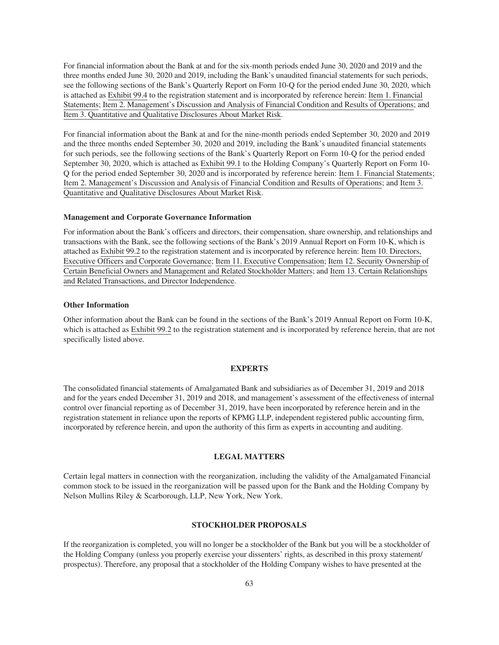For financial information about the Bank at and for the six-month periods ended June 30, 2020 and 2019 and the three months ended June 30, 2020 and 2019, including the Bank's unaudited financial statements for such periods, see the following sections of the Bank's Quarterly Report on Form 10-Q for the period ended June 30, 2020, which is attached as Exhibit 99.4 to the registration statement and is incorporated by reference herein: Item 1. Financial Statements; Item 2. Management's Discussion and Analysis of Financial Condition and Results of Operations; and Item 3. Quantitative and Qualitative Disclosures About Market Risk.

For financial information about the Bank at and for the nine-month periods ended September 30, 2020 and 2019 and the three months ended September 30, 2020 and 2019, including the Bank's unaudited financial statements for such periods, see the following sections of the Bank's Quarterly Report on Form 10-Q for the period ended September 30, 2020, which is attached as Exhibit 99.1 to the Holding Company's Quarterly Report on Form 10- Q for the period ended September 30, 2020 and is incorporated by reference herein: Item 1. Financial Statements; Item 2. Management's Discussion and Analysis of Financial Condition and Results of Operations; and Item 3. Quantitative and Qualitative Disclosures About Market Risk.

#### **Management and Corporate Governance Information**

For information about the Bank's officers and directors, their compensation, share ownership, and relationships and transactions with the Bank, see the following sections of the Bank's 2019 Annual Report on Form 10-K, which is attached as Exhibit 99.2 to the registration statement and is incorporated by reference herein: Item 10. Directors, Executive Officers and Corporate Governance; Item 11. Executive Compensation; Item 12. Security Ownership of Certain Beneficial Owners and Management and Related Stockholder Matters; and Item 13. Certain Relationships and Related Transactions, and Director Independence.

#### **Other Information**

Other information about the Bank can be found in the sections of the Bank's 2019 Annual Report on Form 10-K, which is attached as Exhibit 99.2 to the registration statement and is incorporated by reference herein, that are not specifically listed above.

#### **EXPERTS**

The consolidated financial statements of Amalgamated Bank and subsidiaries as of December 31, 2019 and 2018 and for the years ended December 31, 2019 and 2018, and management's assessment of the effectiveness of internal control over financial reporting as of December 31, 2019, have been incorporated by reference herein and in the registration statement in reliance upon the reports of KPMG LLP, independent registered public accounting firm, incorporated by reference herein, and upon the authority of this firm as experts in accounting and auditing.

# **LEGAL MATTERS**

Certain legal matters in connection with the reorganization, including the validity of the Amalgamated Financial common stock to be issued in the reorganization will be passed upon for the Bank and the Holding Company by Nelson Mullins Riley & Scarborough, LLP, New York, New York.

# **STOCKHOLDER PROPOSALS**

If the reorganization is completed, you will no longer be a stockholder of the Bank but you will be a stockholder of the Holding Company (unless you properly exercise your dissenters' rights, as described in this proxy statement/ prospectus). Therefore, any proposal that a stockholder of the Holding Company wishes to have presented at the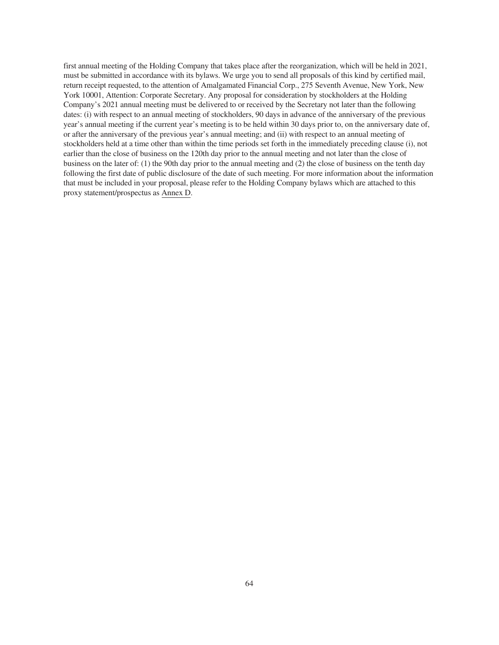first annual meeting of the Holding Company that takes place after the reorganization, which will be held in 2021, must be submitted in accordance with its bylaws. We urge you to send all proposals of this kind by certified mail, return receipt requested, to the attention of Amalgamated Financial Corp., 275 Seventh Avenue, New York, New York 10001, Attention: Corporate Secretary. Any proposal for consideration by stockholders at the Holding Company's 2021 annual meeting must be delivered to or received by the Secretary not later than the following dates: (i) with respect to an annual meeting of stockholders, 90 days in advance of the anniversary of the previous year's annual meeting if the current year's meeting is to be held within 30 days prior to, on the anniversary date of, or after the anniversary of the previous year's annual meeting; and (ii) with respect to an annual meeting of stockholders held at a time other than within the time periods set forth in the immediately preceding clause (i), not earlier than the close of business on the 120th day prior to the annual meeting and not later than the close of business on the later of: (1) the 90th day prior to the annual meeting and (2) the close of business on the tenth day following the first date of public disclosure of the date of such meeting. For more information about the information that must be included in your proposal, please refer to the Holding Company bylaws which are attached to this proxy statement/prospectus as Annex D.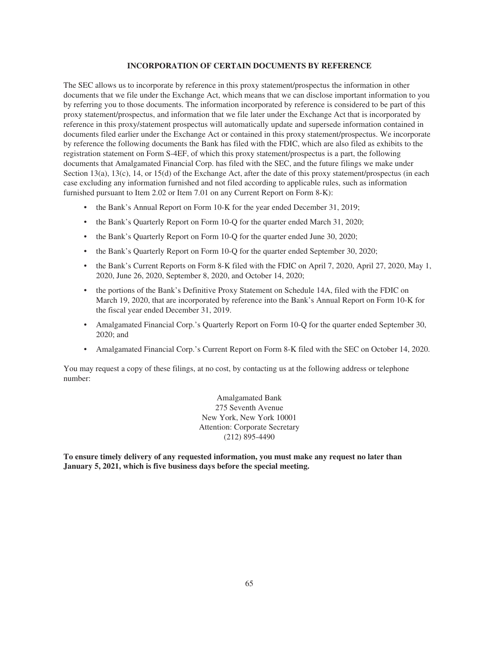#### **INCORPORATION OF CERTAIN DOCUMENTS BY REFERENCE**

The SEC allows us to incorporate by reference in this proxy statement/prospectus the information in other documents that we file under the Exchange Act, which means that we can disclose important information to you by referring you to those documents. The information incorporated by reference is considered to be part of this proxy statement/prospectus, and information that we file later under the Exchange Act that is incorporated by reference in this proxy/statement prospectus will automatically update and supersede information contained in documents filed earlier under the Exchange Act or contained in this proxy statement/prospectus. We incorporate by reference the following documents the Bank has filed with the FDIC, which are also filed as exhibits to the registration statement on Form S-4EF, of which this proxy statement/prospectus is a part, the following documents that Amalgamated Financial Corp. has filed with the SEC, and the future filings we make under Section 13(a), 13(c), 14, or 15(d) of the Exchange Act, after the date of this proxy statement/prospectus (in each case excluding any information furnished and not filed according to applicable rules, such as information furnished pursuant to Item 2.02 or Item 7.01 on any Current Report on Form 8-K):

- the Bank's Annual Report on Form 10-K for the year ended December 31, 2019;
- the Bank's Quarterly Report on Form 10-Q for the quarter ended March 31, 2020;
- the Bank's Quarterly Report on Form 10-Q for the quarter ended June 30, 2020;
- the Bank's Quarterly Report on Form 10-Q for the quarter ended September 30, 2020;
- the Bank's Current Reports on Form 8-K filed with the FDIC on April 7, 2020, April 27, 2020, May 1, 2020, June 26, 2020, September 8, 2020, and October 14, 2020;
- the portions of the Bank's Definitive Proxy Statement on Schedule 14A, filed with the FDIC on March 19, 2020, that are incorporated by reference into the Bank's Annual Report on Form 10-K for the fiscal year ended December 31, 2019.
- Amalgamated Financial Corp.'s Quarterly Report on Form 10-Q for the quarter ended September 30, 2020; and
- Amalgamated Financial Corp.'s Current Report on Form 8-K filed with the SEC on October 14, 2020.

You may request a copy of these filings, at no cost, by contacting us at the following address or telephone number:

> Amalgamated Bank 275 Seventh Avenue New York, New York 10001 Attention: Corporate Secretary (212) 895-4490

**To ensure timely delivery of any requested information, you must make any request no later than January 5, 2021, which is five business days before the special meeting.**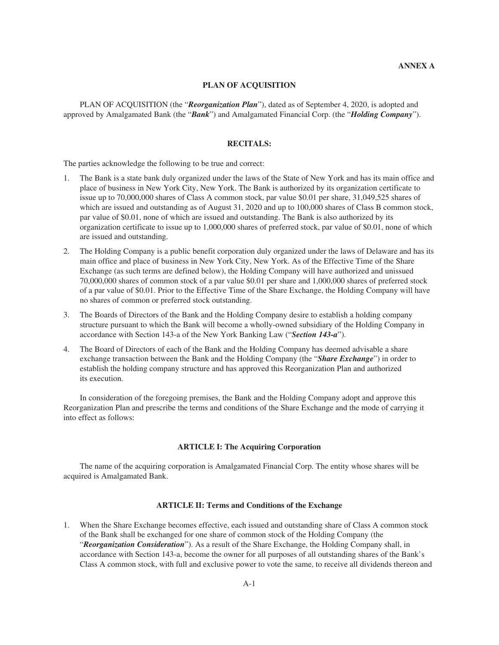# **PLAN OF ACQUISITION**

PLAN OF ACQUISITION (the "*Reorganization Plan*"), dated as of September 4, 2020, is adopted and approved by Amalgamated Bank (the "*Bank*") and Amalgamated Financial Corp. (the "*Holding Company*").

### **RECITALS:**

The parties acknowledge the following to be true and correct:

- 1. The Bank is a state bank duly organized under the laws of the State of New York and has its main office and place of business in New York City, New York. The Bank is authorized by its organization certificate to issue up to 70,000,000 shares of Class A common stock, par value \$0.01 per share, 31,049,525 shares of which are issued and outstanding as of August 31, 2020 and up to 100,000 shares of Class B common stock, par value of \$0.01, none of which are issued and outstanding. The Bank is also authorized by its organization certificate to issue up to 1,000,000 shares of preferred stock, par value of \$0.01, none of which are issued and outstanding.
- 2. The Holding Company is a public benefit corporation duly organized under the laws of Delaware and has its main office and place of business in New York City, New York. As of the Effective Time of the Share Exchange (as such terms are defined below), the Holding Company will have authorized and unissued 70,000,000 shares of common stock of a par value \$0.01 per share and 1,000,000 shares of preferred stock of a par value of \$0.01. Prior to the Effective Time of the Share Exchange, the Holding Company will have no shares of common or preferred stock outstanding.
- 3. The Boards of Directors of the Bank and the Holding Company desire to establish a holding company structure pursuant to which the Bank will become a wholly-owned subsidiary of the Holding Company in accordance with Section 143-a of the New York Banking Law ("*Section 143-a*").
- 4. The Board of Directors of each of the Bank and the Holding Company has deemed advisable a share exchange transaction between the Bank and the Holding Company (the "*Share Exchange*") in order to establish the holding company structure and has approved this Reorganization Plan and authorized its execution.

In consideration of the foregoing premises, the Bank and the Holding Company adopt and approve this Reorganization Plan and prescribe the terms and conditions of the Share Exchange and the mode of carrying it into effect as follows:

#### **ARTICLE I: The Acquiring Corporation**

The name of the acquiring corporation is Amalgamated Financial Corp. The entity whose shares will be acquired is Amalgamated Bank.

# **ARTICLE II: Terms and Conditions of the Exchange**

1. When the Share Exchange becomes effective, each issued and outstanding share of Class A common stock of the Bank shall be exchanged for one share of common stock of the Holding Company (the "*Reorganization Consideration*"). As a result of the Share Exchange, the Holding Company shall, in accordance with Section 143-a, become the owner for all purposes of all outstanding shares of the Bank's Class A common stock, with full and exclusive power to vote the same, to receive all dividends thereon and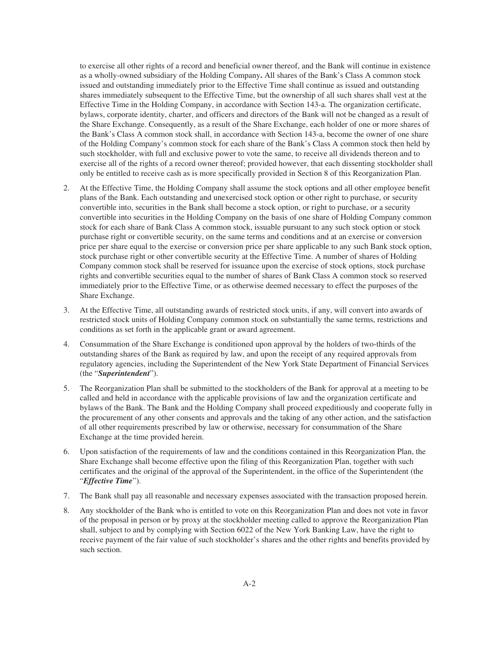to exercise all other rights of a record and beneficial owner thereof, and the Bank will continue in existence as a wholly-owned subsidiary of the Holding Company**.** All shares of the Bank's Class A common stock issued and outstanding immediately prior to the Effective Time shall continue as issued and outstanding shares immediately subsequent to the Effective Time, but the ownership of all such shares shall vest at the Effective Time in the Holding Company, in accordance with Section 143-a. The organization certificate, bylaws, corporate identity, charter, and officers and directors of the Bank will not be changed as a result of the Share Exchange. Consequently, as a result of the Share Exchange, each holder of one or more shares of the Bank's Class A common stock shall, in accordance with Section 143-a, become the owner of one share of the Holding Company's common stock for each share of the Bank's Class A common stock then held by such stockholder, with full and exclusive power to vote the same, to receive all dividends thereon and to exercise all of the rights of a record owner thereof; provided however, that each dissenting stockholder shall only be entitled to receive cash as is more specifically provided in Section 8 of this Reorganization Plan.

- 2. At the Effective Time, the Holding Company shall assume the stock options and all other employee benefit plans of the Bank. Each outstanding and unexercised stock option or other right to purchase, or security convertible into, securities in the Bank shall become a stock option, or right to purchase, or a security convertible into securities in the Holding Company on the basis of one share of Holding Company common stock for each share of Bank Class A common stock, issuable pursuant to any such stock option or stock purchase right or convertible security, on the same terms and conditions and at an exercise or conversion price per share equal to the exercise or conversion price per share applicable to any such Bank stock option, stock purchase right or other convertible security at the Effective Time. A number of shares of Holding Company common stock shall be reserved for issuance upon the exercise of stock options, stock purchase rights and convertible securities equal to the number of shares of Bank Class A common stock so reserved immediately prior to the Effective Time, or as otherwise deemed necessary to effect the purposes of the Share Exchange.
- 3. At the Effective Time, all outstanding awards of restricted stock units, if any, will convert into awards of restricted stock units of Holding Company common stock on substantially the same terms, restrictions and conditions as set forth in the applicable grant or award agreement.
- 4. Consummation of the Share Exchange is conditioned upon approval by the holders of two-thirds of the outstanding shares of the Bank as required by law, and upon the receipt of any required approvals from regulatory agencies, including the Superintendent of the New York State Department of Financial Services (the "*Superintendent*").
- 5. The Reorganization Plan shall be submitted to the stockholders of the Bank for approval at a meeting to be called and held in accordance with the applicable provisions of law and the organization certificate and bylaws of the Bank. The Bank and the Holding Company shall proceed expeditiously and cooperate fully in the procurement of any other consents and approvals and the taking of any other action, and the satisfaction of all other requirements prescribed by law or otherwise, necessary for consummation of the Share Exchange at the time provided herein.
- 6. Upon satisfaction of the requirements of law and the conditions contained in this Reorganization Plan, the Share Exchange shall become effective upon the filing of this Reorganization Plan, together with such certificates and the original of the approval of the Superintendent, in the office of the Superintendent (the "*Effective Time*").
- 7. The Bank shall pay all reasonable and necessary expenses associated with the transaction proposed herein.
- 8. Any stockholder of the Bank who is entitled to vote on this Reorganization Plan and does not vote in favor of the proposal in person or by proxy at the stockholder meeting called to approve the Reorganization Plan shall, subject to and by complying with Section 6022 of the New York Banking Law, have the right to receive payment of the fair value of such stockholder's shares and the other rights and benefits provided by such section.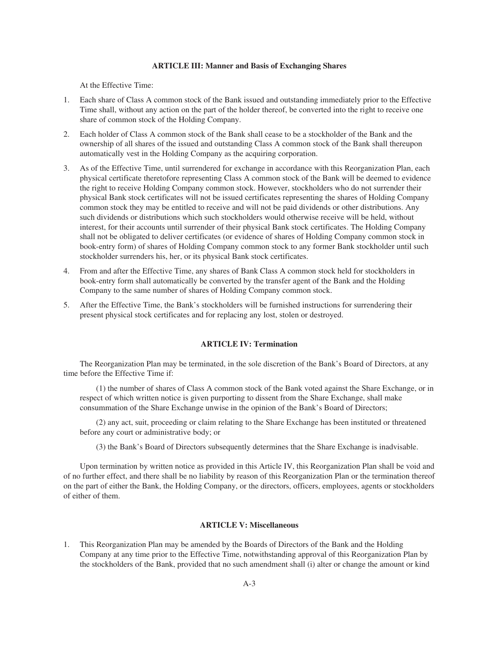### **ARTICLE III: Manner and Basis of Exchanging Shares**

At the Effective Time:

- 1. Each share of Class A common stock of the Bank issued and outstanding immediately prior to the Effective Time shall, without any action on the part of the holder thereof, be converted into the right to receive one share of common stock of the Holding Company.
- 2. Each holder of Class A common stock of the Bank shall cease to be a stockholder of the Bank and the ownership of all shares of the issued and outstanding Class A common stock of the Bank shall thereupon automatically vest in the Holding Company as the acquiring corporation.
- 3. As of the Effective Time, until surrendered for exchange in accordance with this Reorganization Plan, each physical certificate theretofore representing Class A common stock of the Bank will be deemed to evidence the right to receive Holding Company common stock. However, stockholders who do not surrender their physical Bank stock certificates will not be issued certificates representing the shares of Holding Company common stock they may be entitled to receive and will not be paid dividends or other distributions. Any such dividends or distributions which such stockholders would otherwise receive will be held, without interest, for their accounts until surrender of their physical Bank stock certificates. The Holding Company shall not be obligated to deliver certificates (or evidence of shares of Holding Company common stock in book-entry form) of shares of Holding Company common stock to any former Bank stockholder until such stockholder surrenders his, her, or its physical Bank stock certificates.
- 4. From and after the Effective Time, any shares of Bank Class A common stock held for stockholders in book-entry form shall automatically be converted by the transfer agent of the Bank and the Holding Company to the same number of shares of Holding Company common stock.
- 5. After the Effective Time, the Bank's stockholders will be furnished instructions for surrendering their present physical stock certificates and for replacing any lost, stolen or destroyed.

## **ARTICLE IV: Termination**

The Reorganization Plan may be terminated, in the sole discretion of the Bank's Board of Directors, at any time before the Effective Time if:

(1) the number of shares of Class A common stock of the Bank voted against the Share Exchange, or in respect of which written notice is given purporting to dissent from the Share Exchange, shall make consummation of the Share Exchange unwise in the opinion of the Bank's Board of Directors;

(2) any act, suit, proceeding or claim relating to the Share Exchange has been instituted or threatened before any court or administrative body; or

(3) the Bank's Board of Directors subsequently determines that the Share Exchange is inadvisable.

Upon termination by written notice as provided in this Article IV, this Reorganization Plan shall be void and of no further effect, and there shall be no liability by reason of this Reorganization Plan or the termination thereof on the part of either the Bank, the Holding Company, or the directors, officers, employees, agents or stockholders of either of them.

# **ARTICLE V: Miscellaneous**

1. This Reorganization Plan may be amended by the Boards of Directors of the Bank and the Holding Company at any time prior to the Effective Time, notwithstanding approval of this Reorganization Plan by the stockholders of the Bank, provided that no such amendment shall (i) alter or change the amount or kind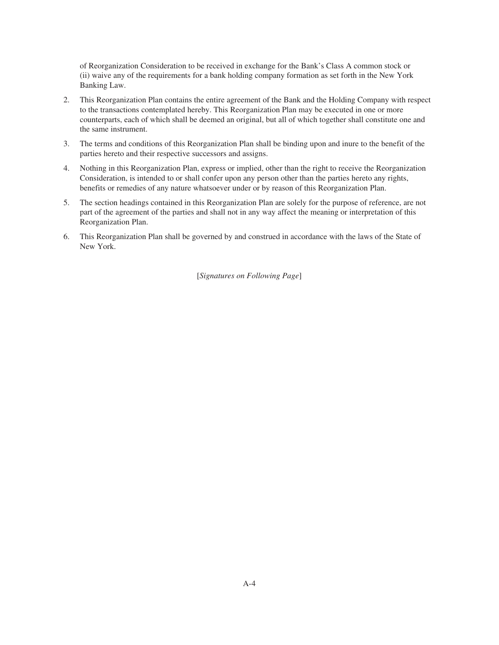of Reorganization Consideration to be received in exchange for the Bank's Class A common stock or (ii) waive any of the requirements for a bank holding company formation as set forth in the New York Banking Law.

- 2. This Reorganization Plan contains the entire agreement of the Bank and the Holding Company with respect to the transactions contemplated hereby. This Reorganization Plan may be executed in one or more counterparts, each of which shall be deemed an original, but all of which together shall constitute one and the same instrument.
- 3. The terms and conditions of this Reorganization Plan shall be binding upon and inure to the benefit of the parties hereto and their respective successors and assigns.
- 4. Nothing in this Reorganization Plan, express or implied, other than the right to receive the Reorganization Consideration, is intended to or shall confer upon any person other than the parties hereto any rights, benefits or remedies of any nature whatsoever under or by reason of this Reorganization Plan.
- 5. The section headings contained in this Reorganization Plan are solely for the purpose of reference, are not part of the agreement of the parties and shall not in any way affect the meaning or interpretation of this Reorganization Plan.
- 6. This Reorganization Plan shall be governed by and construed in accordance with the laws of the State of New York.

[*Signatures on Following Page*]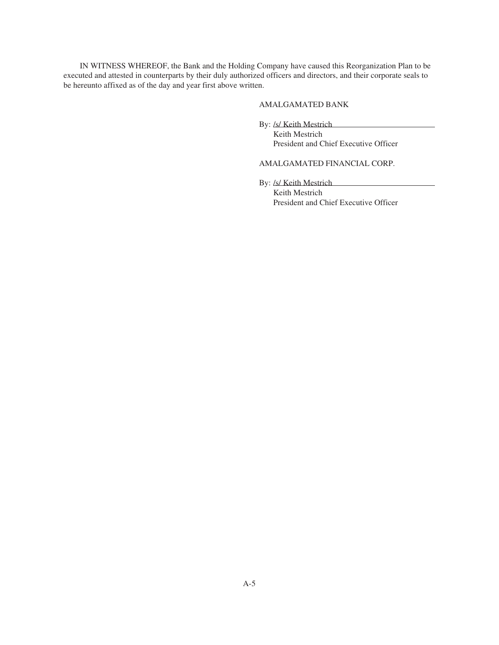IN WITNESS WHEREOF, the Bank and the Holding Company have caused this Reorganization Plan to be executed and attested in counterparts by their duly authorized officers and directors, and their corporate seals to be hereunto affixed as of the day and year first above written.

## AMALGAMATED BANK

By: /s/ Keith Mestrich

Keith Mestrich President and Chief Executive Officer

# AMALGAMATED FINANCIAL CORP.

By: /s/ Keith Mestrich Keith Mestrich President and Chief Executive Officer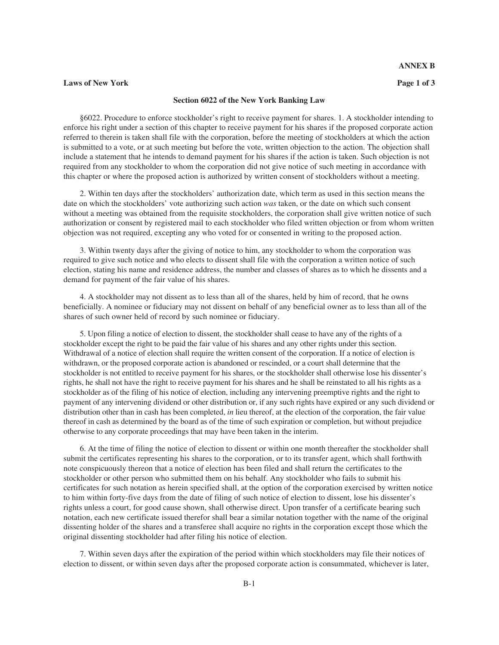### **Laws of New York Page 1 of 3**

### **Section 6022 of the New York Banking Law**

§6022. Procedure to enforce stockholder's right to receive payment for shares. 1. A stockholder intending to enforce his right under a section of this chapter to receive payment for his shares if the proposed corporate action referred to therein is taken shall file with the corporation, before the meeting of stockholders at which the action is submitted to a vote, or at such meeting but before the vote, written objection to the action. The objection shall include a statement that he intends to demand payment for his shares if the action is taken. Such objection is not required from any stockholder to whom the corporation did not give notice of such meeting in accordance with this chapter or where the proposed action is authorized by written consent of stockholders without a meeting.

2. Within ten days after the stockholders' authorization date, which term as used in this section means the date on which the stockholders' vote authorizing such action *was* taken, or the date on which such consent without a meeting was obtained from the requisite stockholders, the corporation shall give written notice of such authorization or consent by registered mail to each stockholder who filed written objection or from whom written objection was not required, excepting any who voted for or consented in writing to the proposed action.

3. Within twenty days after the giving of notice to him, any stockholder to whom the corporation was required to give such notice and who elects to dissent shall file with the corporation a written notice of such election, stating his name and residence address, the number and classes of shares as to which he dissents and a demand for payment of the fair value of his shares.

4. A stockholder may not dissent as to less than all of the shares, held by him of record, that he owns beneficially. A nominee or fiduciary may not dissent on behalf of any beneficial owner as to less than all of the shares of such owner held of record by such nominee or fiduciary.

5. Upon filing a notice of election to dissent, the stockholder shall cease to have any of the rights of a stockholder except the right to be paid the fair value of his shares and any other rights under this section. Withdrawal of a notice of election shall require the written consent of the corporation. If a notice of election is withdrawn, or the proposed corporate action is abandoned or rescinded, or a court shall determine that the stockholder is not entitled to receive payment for his shares, or the stockholder shall otherwise lose his dissenter's rights, he shall not have the right to receive payment for his shares and he shall be reinstated to all his rights as a stockholder as of the filing of his notice of election, including any intervening preemptive rights and the right to payment of any intervening dividend or other distribution or, if any such rights have expired or any such dividend or distribution other than in cash has been completed, *in* lieu thereof, at the election of the corporation, the fair value thereof in cash as determined by the board as of the time of such expiration or completion, but without prejudice otherwise to any corporate proceedings that may have been taken in the interim.

6. At the time of filing the notice of election to dissent or within one month thereafter the stockholder shall submit the certificates representing his shares to the corporation, or to its transfer agent, which shall forthwith note conspicuously thereon that a notice of election has been filed and shall return the certificates to the stockholder or other person who submitted them on his behalf. Any stockholder who fails to submit his certificates for such notation as herein specified shall, at the option of the corporation exercised by written notice to him within forty-five days from the date of filing of such notice of election to dissent, lose his dissenter's rights unless a court, for good cause shown, shall otherwise direct. Upon transfer of a certificate bearing such notation, each new certificate issued therefor shall bear a similar notation together with the name of the original dissenting holder of the shares and a transferee shall acquire no rights in the corporation except those which the original dissenting stockholder had after filing his notice of election.

7. Within seven days after the expiration of the period within which stockholders may file their notices of election to dissent, or within seven days after the proposed corporate action is consummated, whichever is later,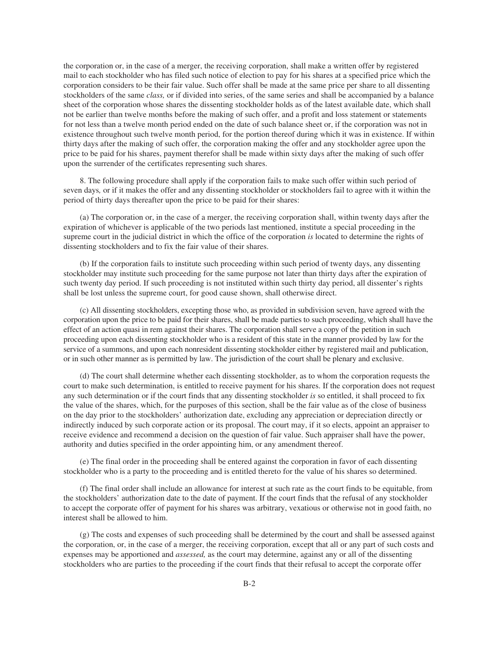the corporation or, in the case of a merger, the receiving corporation, shall make a written offer by registered mail to each stockholder who has filed such notice of election to pay for his shares at a specified price which the corporation considers to be their fair value. Such offer shall be made at the same price per share to all dissenting stockholders of the same *class,* or if divided into series, of the same series and shall be accompanied by a balance sheet of the corporation whose shares the dissenting stockholder holds as of the latest available date, which shall not be earlier than twelve months before the making of such offer, and a profit and loss statement or statements for not less than a twelve month period ended on the date of such balance sheet or, if the corporation was not in existence throughout such twelve month period, for the portion thereof during which it was in existence. If within thirty days after the making of such offer, the corporation making the offer and any stockholder agree upon the price to be paid for his shares, payment therefor shall be made within sixty days after the making of such offer upon the surrender of the certificates representing such shares.

8. The following procedure shall apply if the corporation fails to make such offer within such period of seven days*,* or if it makes the offer and any dissenting stockholder or stockholders fail to agree with it within the period of thirty days thereafter upon the price to be paid for their shares:

(a) The corporation or, in the case of a merger, the receiving corporation shall, within twenty days after the expiration of whichever is applicable of the two periods last mentioned, institute a special proceeding in the supreme court in the judicial district in which the office of the corporation *is* located to determine the rights of dissenting stockholders and to fix the fair value of their shares.

(b) If the corporation fails to institute such proceeding within such period of twenty days, any dissenting stockholder may institute such proceeding for the same purpose not later than thirty days after the expiration of such twenty day period. If such proceeding is not instituted within such thirty day period, all dissenter's rights shall be lost unless the supreme court, for good cause shown, shall otherwise direct.

(c) All dissenting stockholders, excepting those who, as provided in subdivision seven, have agreed with the corporation upon the price to be paid for their shares, shall be made parties to such proceeding, which shall have the effect of an action quasi in rem against their shares. The corporation shall serve a copy of the petition in such proceeding upon each dissenting stockholder who is a resident of this state in the manner provided by law for the service of a summons, and upon each nonresident dissenting stockholder either by registered mail and publication, or in such other manner as is permitted by law. The jurisdiction of the court shall be plenary and exclusive.

(d) The court shall determine whether each dissenting stockholder, as to whom the corporation requests the court to make such determination, is entitled to receive payment for his shares. If the corporation does not request any such determination or if the court finds that any dissenting stockholder *is* so entitled, it shall proceed to fix the value of the shares, which, for the purposes of this section, shall be the fair value as of the close of business on the day prior to the stockholders' authorization date, excluding any appreciation or depreciation directly or indirectly induced by such corporate action or its proposal. The court may, if it so elects, appoint an appraiser to receive evidence and recommend a decision on the question of fair value. Such appraiser shall have the power, authority and duties specified in the order appointing him, or any amendment thereof.

(e) The final order in the proceeding shall be entered against the corporation in favor of each dissenting stockholder who is a party to the proceeding and is entitled thereto for the value of his shares so determined.

(f) The final order shall include an allowance for interest at such rate as the court finds to be equitable, from the stockholders' authorization date to the date of payment. If the court finds that the refusal of any stockholder to accept the corporate offer of payment for his shares was arbitrary, vexatious or otherwise not in good faith, no interest shall be allowed to him.

(g) The costs and expenses of such proceeding shall be determined by the court and shall be assessed against the corporation, or, in the case of a merger, the receiving corporation, except that all or any part of such costs and expenses may be apportioned and *assessed,* as the court may determine, against any or all of the dissenting stockholders who are parties to the proceeding if the court finds that their refusal to accept the corporate offer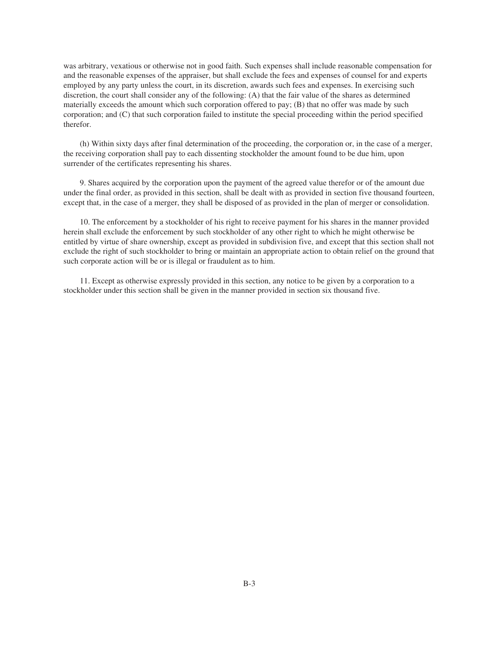was arbitrary, vexatious or otherwise not in good faith. Such expenses shall include reasonable compensation for and the reasonable expenses of the appraiser, but shall exclude the fees and expenses of counsel for and experts employed by any party unless the court, in its discretion, awards such fees and expenses. In exercising such discretion, the court shall consider any of the following: (A) that the fair value of the shares as determined materially exceeds the amount which such corporation offered to pay; (B) that no offer was made by such corporation; and (C) that such corporation failed to institute the special proceeding within the period specified therefor.

(h) Within sixty days after final determination of the proceeding, the corporation or, in the case of a merger, the receiving corporation shall pay to each dissenting stockholder the amount found to be due him, upon surrender of the certificates representing his shares.

9. Shares acquired by the corporation upon the payment of the agreed value therefor or of the amount due under the final order, as provided in this section, shall be dealt with as provided in section five thousand fourteen, except that, in the case of a merger, they shall be disposed of as provided in the plan of merger or consolidation.

10. The enforcement by a stockholder of his right to receive payment for his shares in the manner provided herein shall exclude the enforcement by such stockholder of any other right to which he might otherwise be entitled by virtue of share ownership, except as provided in subdivision five, and except that this section shall not exclude the right of such stockholder to bring or maintain an appropriate action to obtain relief on the ground that such corporate action will be or is illegal or fraudulent as to him.

11. Except as otherwise expressly provided in this section, any notice to be given by a corporation to a stockholder under this section shall be given in the manner provided in section six thousand five.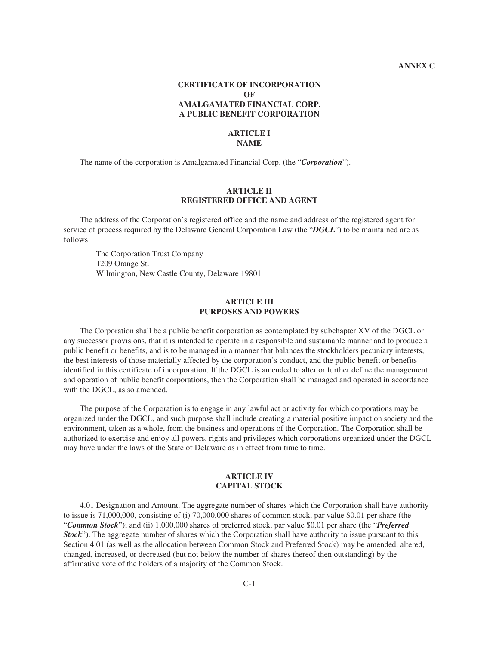# **CERTIFICATE OF INCORPORATION OF AMALGAMATED FINANCIAL CORP. A PUBLIC BENEFIT CORPORATION**

## **ARTICLE I NAME**

The name of the corporation is Amalgamated Financial Corp. (the "*Corporation*").

### **ARTICLE II REGISTERED OFFICE AND AGENT**

The address of the Corporation's registered office and the name and address of the registered agent for service of process required by the Delaware General Corporation Law (the "*DGCL*") to be maintained are as follows:

The Corporation Trust Company 1209 Orange St. Wilmington, New Castle County, Delaware 19801

# **ARTICLE III PURPOSES AND POWERS**

The Corporation shall be a public benefit corporation as contemplated by subchapter XV of the DGCL or any successor provisions, that it is intended to operate in a responsible and sustainable manner and to produce a public benefit or benefits, and is to be managed in a manner that balances the stockholders pecuniary interests, the best interests of those materially affected by the corporation's conduct, and the public benefit or benefits identified in this certificate of incorporation. If the DGCL is amended to alter or further define the management and operation of public benefit corporations, then the Corporation shall be managed and operated in accordance with the DGCL, as so amended.

The purpose of the Corporation is to engage in any lawful act or activity for which corporations may be organized under the DGCL, and such purpose shall include creating a material positive impact on society and the environment, taken as a whole, from the business and operations of the Corporation. The Corporation shall be authorized to exercise and enjoy all powers, rights and privileges which corporations organized under the DGCL may have under the laws of the State of Delaware as in effect from time to time.

# **ARTICLE IV CAPITAL STOCK**

4.01 Designation and Amount. The aggregate number of shares which the Corporation shall have authority to issue is 71,000,000, consisting of (i) 70,000,000 shares of common stock, par value \$0.01 per share (the "*Common Stock*"); and (ii) 1,000,000 shares of preferred stock, par value \$0.01 per share (the "*Preferred Stock*"). The aggregate number of shares which the Corporation shall have authority to issue pursuant to this Section 4.01 (as well as the allocation between Common Stock and Preferred Stock) may be amended, altered, changed, increased, or decreased (but not below the number of shares thereof then outstanding) by the affirmative vote of the holders of a majority of the Common Stock.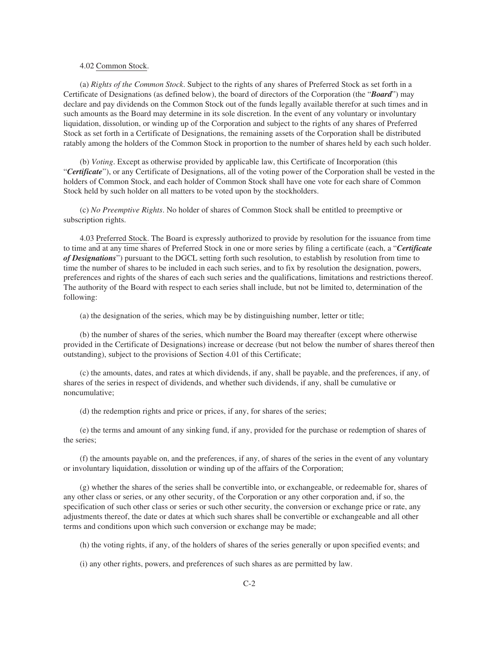### 4.02 Common Stock.

(a) *Rights of the Common Stock*. Subject to the rights of any shares of Preferred Stock as set forth in a Certificate of Designations (as defined below), the board of directors of the Corporation (the "*Board*") may declare and pay dividends on the Common Stock out of the funds legally available therefor at such times and in such amounts as the Board may determine in its sole discretion. In the event of any voluntary or involuntary liquidation, dissolution, or winding up of the Corporation and subject to the rights of any shares of Preferred Stock as set forth in a Certificate of Designations, the remaining assets of the Corporation shall be distributed ratably among the holders of the Common Stock in proportion to the number of shares held by each such holder.

(b) *Voting*. Except as otherwise provided by applicable law, this Certificate of Incorporation (this "*Certificate*"), or any Certificate of Designations, all of the voting power of the Corporation shall be vested in the holders of Common Stock, and each holder of Common Stock shall have one vote for each share of Common Stock held by such holder on all matters to be voted upon by the stockholders.

(c) *No Preemptive Rights*. No holder of shares of Common Stock shall be entitled to preemptive or subscription rights.

4.03 Preferred Stock. The Board is expressly authorized to provide by resolution for the issuance from time to time and at any time shares of Preferred Stock in one or more series by filing a certificate (each, a "*Certificate of Designations*") pursuant to the DGCL setting forth such resolution, to establish by resolution from time to time the number of shares to be included in each such series, and to fix by resolution the designation, powers, preferences and rights of the shares of each such series and the qualifications, limitations and restrictions thereof. The authority of the Board with respect to each series shall include, but not be limited to, determination of the following:

(a) the designation of the series, which may be by distinguishing number, letter or title;

(b) the number of shares of the series, which number the Board may thereafter (except where otherwise provided in the Certificate of Designations) increase or decrease (but not below the number of shares thereof then outstanding), subject to the provisions of Section 4.01 of this Certificate;

(c) the amounts, dates, and rates at which dividends, if any, shall be payable, and the preferences, if any, of shares of the series in respect of dividends, and whether such dividends, if any, shall be cumulative or noncumulative;

(d) the redemption rights and price or prices, if any, for shares of the series;

(e) the terms and amount of any sinking fund, if any, provided for the purchase or redemption of shares of the series;

(f) the amounts payable on, and the preferences, if any, of shares of the series in the event of any voluntary or involuntary liquidation, dissolution or winding up of the affairs of the Corporation;

(g) whether the shares of the series shall be convertible into, or exchangeable, or redeemable for, shares of any other class or series, or any other security, of the Corporation or any other corporation and, if so, the specification of such other class or series or such other security, the conversion or exchange price or rate, any adjustments thereof, the date or dates at which such shares shall be convertible or exchangeable and all other terms and conditions upon which such conversion or exchange may be made;

(h) the voting rights, if any, of the holders of shares of the series generally or upon specified events; and

(i) any other rights, powers, and preferences of such shares as are permitted by law.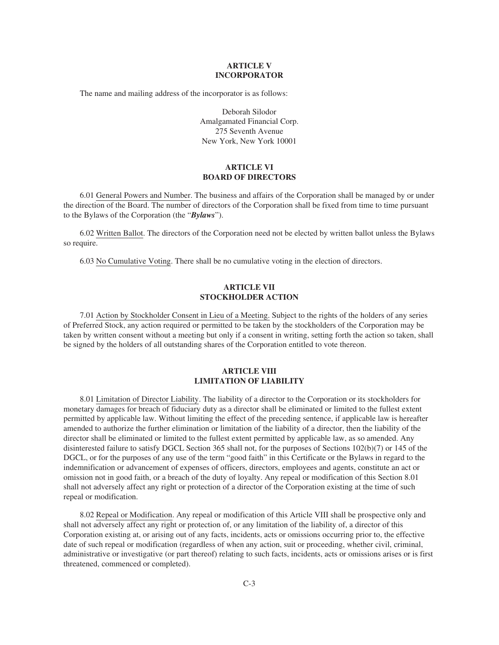## **ARTICLE V INCORPORATOR**

The name and mailing address of the incorporator is as follows:

Deborah Silodor Amalgamated Financial Corp. 275 Seventh Avenue New York, New York 10001

# **ARTICLE VI BOARD OF DIRECTORS**

6.01 General Powers and Number. The business and affairs of the Corporation shall be managed by or under the direction of the Board. The number of directors of the Corporation shall be fixed from time to time pursuant to the Bylaws of the Corporation (the "*Bylaws*").

6.02 Written Ballot. The directors of the Corporation need not be elected by written ballot unless the Bylaws so require.

6.03 No Cumulative Voting. There shall be no cumulative voting in the election of directors.

# **ARTICLE VII STOCKHOLDER ACTION**

7.01 Action by Stockholder Consent in Lieu of a Meeting. Subject to the rights of the holders of any series of Preferred Stock, any action required or permitted to be taken by the stockholders of the Corporation may be taken by written consent without a meeting but only if a consent in writing, setting forth the action so taken, shall be signed by the holders of all outstanding shares of the Corporation entitled to vote thereon.

# **ARTICLE VIII LIMITATION OF LIABILITY**

8.01 Limitation of Director Liability. The liability of a director to the Corporation or its stockholders for monetary damages for breach of fiduciary duty as a director shall be eliminated or limited to the fullest extent permitted by applicable law. Without limiting the effect of the preceding sentence, if applicable law is hereafter amended to authorize the further elimination or limitation of the liability of a director, then the liability of the director shall be eliminated or limited to the fullest extent permitted by applicable law, as so amended. Any disinterested failure to satisfy DGCL Section 365 shall not, for the purposes of Sections 102(b)(7) or 145 of the DGCL, or for the purposes of any use of the term "good faith" in this Certificate or the Bylaws in regard to the indemnification or advancement of expenses of officers, directors, employees and agents, constitute an act or omission not in good faith, or a breach of the duty of loyalty. Any repeal or modification of this Section 8.01 shall not adversely affect any right or protection of a director of the Corporation existing at the time of such repeal or modification.

8.02 Repeal or Modification. Any repeal or modification of this Article VIII shall be prospective only and shall not adversely affect any right or protection of, or any limitation of the liability of, a director of this Corporation existing at, or arising out of any facts, incidents, acts or omissions occurring prior to, the effective date of such repeal or modification (regardless of when any action, suit or proceeding, whether civil, criminal, administrative or investigative (or part thereof) relating to such facts, incidents, acts or omissions arises or is first threatened, commenced or completed).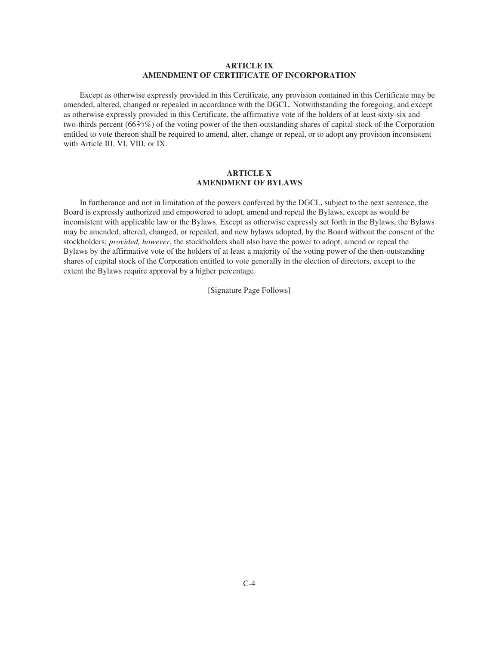## **ARTICLE IX AMENDMENT OF CERTIFICATE OF INCORPORATION**

Except as otherwise expressly provided in this Certificate, any provision contained in this Certificate may be amended, altered, changed or repealed in accordance with the DGCL. Notwithstanding the foregoing, and except as otherwise expressly provided in this Certificate, the affirmative vote of the holders of at least sixty-six and two-thirds percent (662⁄3%) of the voting power of the then-outstanding shares of capital stock of the Corporation entitled to vote thereon shall be required to amend, alter, change or repeal, or to adopt any provision inconsistent with Article III, VI, VIII, or IX.

## **ARTICLE X AMENDMENT OF BYLAWS**

In furtherance and not in limitation of the powers conferred by the DGCL, subject to the next sentence, the Board is expressly authorized and empowered to adopt, amend and repeal the Bylaws, except as would be inconsistent with applicable law or the Bylaws. Except as otherwise expressly set forth in the Bylaws, the Bylaws may be amended, altered, changed, or repealed, and new bylaws adopted, by the Board without the consent of the stockholders; *provided, however*, the stockholders shall also have the power to adopt, amend or repeal the Bylaws by the affirmative vote of the holders of at least a majority of the voting power of the then-outstanding shares of capital stock of the Corporation entitled to vote generally in the election of directors, except to the extent the Bylaws require approval by a higher percentage.

[Signature Page Follows]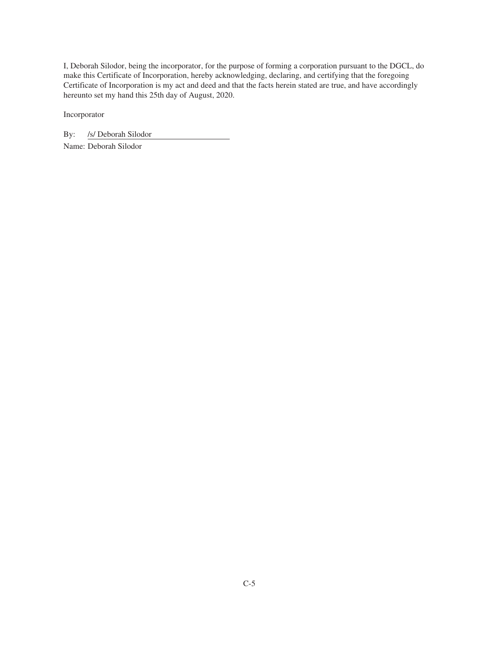I, Deborah Silodor, being the incorporator, for the purpose of forming a corporation pursuant to the DGCL, do make this Certificate of Incorporation, hereby acknowledging, declaring, and certifying that the foregoing Certificate of Incorporation is my act and deed and that the facts herein stated are true, and have accordingly hereunto set my hand this 25th day of August, 2020.

Incorporator

By: /s/ Deborah Silodor

Name: Deborah Silodor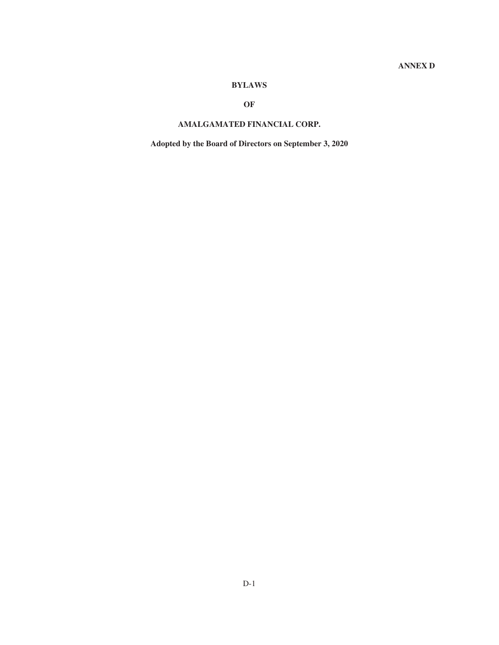# **BYLAWS**

# **OF**

# **AMALGAMATED FINANCIAL CORP.**

**Adopted by the Board of Directors on September 3, 2020**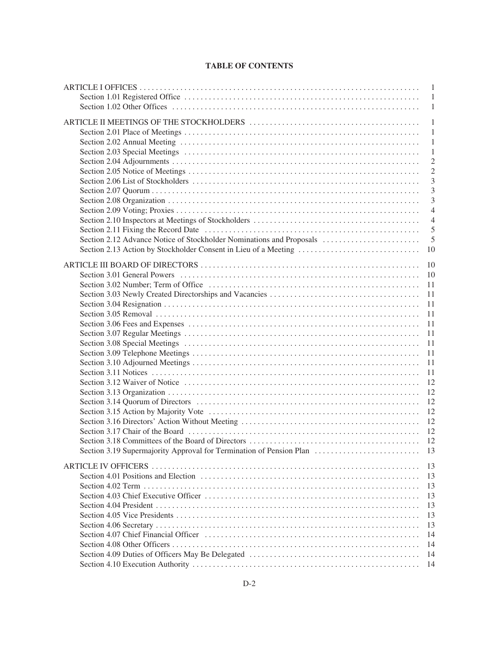# **TABLE OF CONTENTS**

|                                                                      | $\mathbf{1}$   |
|----------------------------------------------------------------------|----------------|
|                                                                      | $\overline{1}$ |
|                                                                      | $\mathbf{1}$   |
|                                                                      |                |
|                                                                      | $\mathbf{1}$   |
|                                                                      | $\mathbf{1}$   |
|                                                                      | $\mathbf{1}$   |
|                                                                      | $\mathbf{1}$   |
|                                                                      | $\overline{2}$ |
|                                                                      | $\overline{2}$ |
|                                                                      | 3              |
|                                                                      | 3              |
|                                                                      | 3              |
|                                                                      | $\overline{4}$ |
|                                                                      | $\overline{4}$ |
|                                                                      | 5              |
| Section 2.12 Advance Notice of Stockholder Nominations and Proposals | 5              |
| Section 2.13 Action by Stockholder Consent in Lieu of a Meeting      | 10             |
|                                                                      |                |
|                                                                      | 10             |
|                                                                      | 10             |
|                                                                      | 11             |
|                                                                      | 11             |
|                                                                      | 11             |
|                                                                      | 11             |
|                                                                      | 11             |
|                                                                      | 11             |
|                                                                      | 11             |
|                                                                      | 11             |
|                                                                      | 11             |
|                                                                      | 11             |
|                                                                      | 12             |
|                                                                      | 12             |
|                                                                      | 12             |
|                                                                      | 12             |
|                                                                      | 12             |
|                                                                      | 12             |
|                                                                      |                |
|                                                                      |                |
| Section 3.19 Supermajority Approval for Termination of Pension Plan  | 13             |
|                                                                      | 13             |
|                                                                      | 13             |
|                                                                      | 13             |
|                                                                      | 13             |
|                                                                      | 13             |
|                                                                      | 13             |
|                                                                      | 13             |
|                                                                      | 14             |
|                                                                      | 14             |
|                                                                      |                |
|                                                                      | 14             |
|                                                                      | -14            |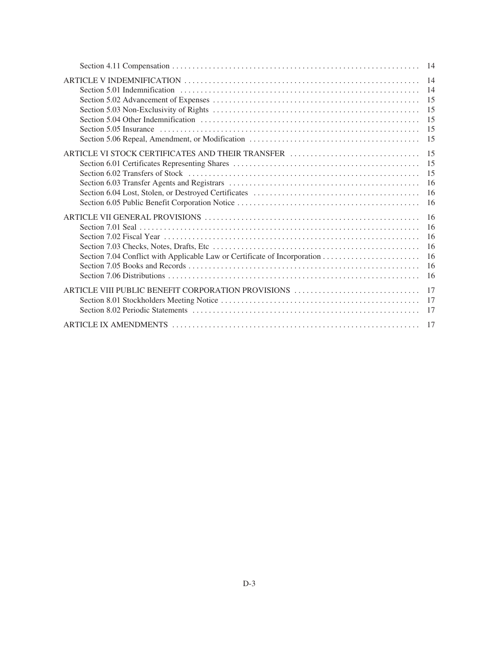|                                                                                                                                                 | 14 |
|-------------------------------------------------------------------------------------------------------------------------------------------------|----|
|                                                                                                                                                 | 14 |
|                                                                                                                                                 | 15 |
|                                                                                                                                                 | 15 |
|                                                                                                                                                 | 15 |
|                                                                                                                                                 | 15 |
|                                                                                                                                                 | 15 |
| ARTICLE VI STOCK CERTIFICATES AND THEIR TRANSFER                                                                                                | 15 |
|                                                                                                                                                 | 15 |
|                                                                                                                                                 | 15 |
|                                                                                                                                                 | 16 |
|                                                                                                                                                 | 16 |
|                                                                                                                                                 | 16 |
|                                                                                                                                                 | 16 |
| Section 7.01 Seal $\ldots$ $\ldots$ $\ldots$ $\ldots$ $\ldots$ $\ldots$ $\ldots$ $\ldots$ $\ldots$ $\ldots$ $\ldots$ $\ldots$ $\ldots$ $\ldots$ | 16 |
|                                                                                                                                                 | 16 |
|                                                                                                                                                 | 16 |
|                                                                                                                                                 | 16 |
|                                                                                                                                                 | 16 |
|                                                                                                                                                 | 16 |
| ARTICLE VIII PUBLIC BENEFIT CORPORATION PROVISIONS                                                                                              | 17 |
|                                                                                                                                                 | 17 |
|                                                                                                                                                 | 17 |
|                                                                                                                                                 |    |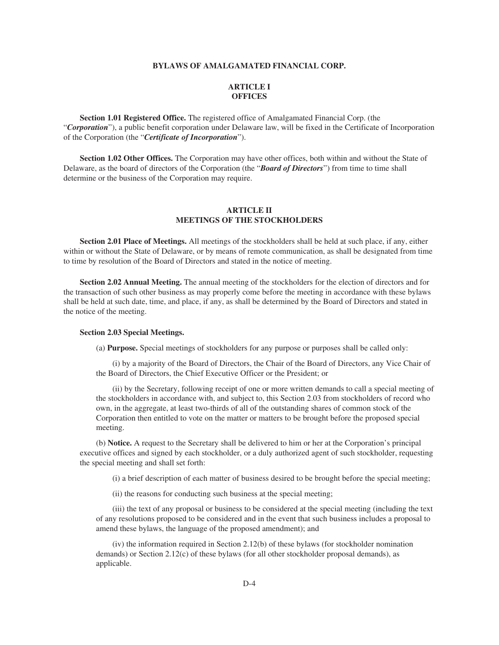### **BYLAWS OF AMALGAMATED FINANCIAL CORP.**

# **ARTICLE I OFFICES**

**Section 1.01 Registered Office.** The registered office of Amalgamated Financial Corp. (the "*Corporation*"), a public benefit corporation under Delaware law, will be fixed in the Certificate of Incorporation of the Corporation (the "*Certificate of Incorporation*").

**Section 1.02 Other Offices.** The Corporation may have other offices, both within and without the State of Delaware, as the board of directors of the Corporation (the "*Board of Directors*") from time to time shall determine or the business of the Corporation may require.

# **ARTICLE II MEETINGS OF THE STOCKHOLDERS**

**Section 2.01 Place of Meetings.** All meetings of the stockholders shall be held at such place, if any, either within or without the State of Delaware, or by means of remote communication, as shall be designated from time to time by resolution of the Board of Directors and stated in the notice of meeting.

**Section 2.02 Annual Meeting.** The annual meeting of the stockholders for the election of directors and for the transaction of such other business as may properly come before the meeting in accordance with these bylaws shall be held at such date, time, and place, if any, as shall be determined by the Board of Directors and stated in the notice of the meeting.

### **Section 2.03 Special Meetings.**

(a) **Purpose.** Special meetings of stockholders for any purpose or purposes shall be called only:

(i) by a majority of the Board of Directors, the Chair of the Board of Directors, any Vice Chair of the Board of Directors, the Chief Executive Officer or the President; or

(ii) by the Secretary, following receipt of one or more written demands to call a special meeting of the stockholders in accordance with, and subject to, this Section 2.03 from stockholders of record who own, in the aggregate, at least two-thirds of all of the outstanding shares of common stock of the Corporation then entitled to vote on the matter or matters to be brought before the proposed special meeting.

(b) **Notice.** A request to the Secretary shall be delivered to him or her at the Corporation's principal executive offices and signed by each stockholder, or a duly authorized agent of such stockholder, requesting the special meeting and shall set forth:

(i) a brief description of each matter of business desired to be brought before the special meeting;

(ii) the reasons for conducting such business at the special meeting;

(iii) the text of any proposal or business to be considered at the special meeting (including the text of any resolutions proposed to be considered and in the event that such business includes a proposal to amend these bylaws, the language of the proposed amendment); and

(iv) the information required in Section 2.12(b) of these bylaws (for stockholder nomination demands) or Section 2.12(c) of these bylaws (for all other stockholder proposal demands), as applicable.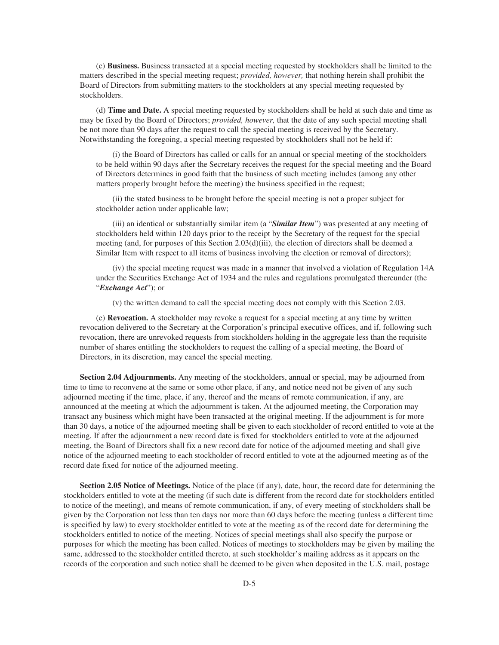(c) **Business.** Business transacted at a special meeting requested by stockholders shall be limited to the matters described in the special meeting request; *provided, however,* that nothing herein shall prohibit the Board of Directors from submitting matters to the stockholders at any special meeting requested by stockholders.

(d) **Time and Date.** A special meeting requested by stockholders shall be held at such date and time as may be fixed by the Board of Directors; *provided, however,* that the date of any such special meeting shall be not more than 90 days after the request to call the special meeting is received by the Secretary. Notwithstanding the foregoing, a special meeting requested by stockholders shall not be held if:

(i) the Board of Directors has called or calls for an annual or special meeting of the stockholders to be held within 90 days after the Secretary receives the request for the special meeting and the Board of Directors determines in good faith that the business of such meeting includes (among any other matters properly brought before the meeting) the business specified in the request;

(ii) the stated business to be brought before the special meeting is not a proper subject for stockholder action under applicable law;

(iii) an identical or substantially similar item (a "*Similar Item*") was presented at any meeting of stockholders held within 120 days prior to the receipt by the Secretary of the request for the special meeting (and, for purposes of this Section 2.03(d)(iii), the election of directors shall be deemed a Similar Item with respect to all items of business involving the election or removal of directors);

(iv) the special meeting request was made in a manner that involved a violation of Regulation 14A under the Securities Exchange Act of 1934 and the rules and regulations promulgated thereunder (the "*Exchange Act*"); or

(v) the written demand to call the special meeting does not comply with this Section 2.03.

(e) **Revocation.** A stockholder may revoke a request for a special meeting at any time by written revocation delivered to the Secretary at the Corporation's principal executive offices, and if, following such revocation, there are unrevoked requests from stockholders holding in the aggregate less than the requisite number of shares entitling the stockholders to request the calling of a special meeting, the Board of Directors, in its discretion, may cancel the special meeting.

**Section 2.04 Adjournments.** Any meeting of the stockholders, annual or special, may be adjourned from time to time to reconvene at the same or some other place, if any, and notice need not be given of any such adjourned meeting if the time, place, if any, thereof and the means of remote communication, if any, are announced at the meeting at which the adjournment is taken. At the adjourned meeting, the Corporation may transact any business which might have been transacted at the original meeting. If the adjournment is for more than 30 days, a notice of the adjourned meeting shall be given to each stockholder of record entitled to vote at the meeting. If after the adjournment a new record date is fixed for stockholders entitled to vote at the adjourned meeting, the Board of Directors shall fix a new record date for notice of the adjourned meeting and shall give notice of the adjourned meeting to each stockholder of record entitled to vote at the adjourned meeting as of the record date fixed for notice of the adjourned meeting.

**Section 2.05 Notice of Meetings.** Notice of the place (if any), date, hour, the record date for determining the stockholders entitled to vote at the meeting (if such date is different from the record date for stockholders entitled to notice of the meeting), and means of remote communication, if any, of every meeting of stockholders shall be given by the Corporation not less than ten days nor more than 60 days before the meeting (unless a different time is specified by law) to every stockholder entitled to vote at the meeting as of the record date for determining the stockholders entitled to notice of the meeting. Notices of special meetings shall also specify the purpose or purposes for which the meeting has been called. Notices of meetings to stockholders may be given by mailing the same, addressed to the stockholder entitled thereto, at such stockholder's mailing address as it appears on the records of the corporation and such notice shall be deemed to be given when deposited in the U.S. mail, postage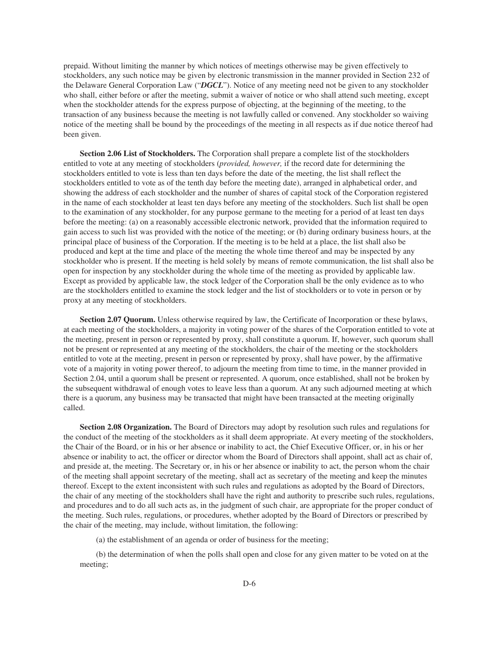prepaid. Without limiting the manner by which notices of meetings otherwise may be given effectively to stockholders, any such notice may be given by electronic transmission in the manner provided in Section 232 of the Delaware General Corporation Law ("*DGCL*"). Notice of any meeting need not be given to any stockholder who shall, either before or after the meeting, submit a waiver of notice or who shall attend such meeting, except when the stockholder attends for the express purpose of objecting, at the beginning of the meeting, to the transaction of any business because the meeting is not lawfully called or convened. Any stockholder so waiving notice of the meeting shall be bound by the proceedings of the meeting in all respects as if due notice thereof had been given.

**Section 2.06 List of Stockholders.** The Corporation shall prepare a complete list of the stockholders entitled to vote at any meeting of stockholders (*provided, however,* if the record date for determining the stockholders entitled to vote is less than ten days before the date of the meeting, the list shall reflect the stockholders entitled to vote as of the tenth day before the meeting date), arranged in alphabetical order, and showing the address of each stockholder and the number of shares of capital stock of the Corporation registered in the name of each stockholder at least ten days before any meeting of the stockholders. Such list shall be open to the examination of any stockholder, for any purpose germane to the meeting for a period of at least ten days before the meeting: (a) on a reasonably accessible electronic network, provided that the information required to gain access to such list was provided with the notice of the meeting; or (b) during ordinary business hours, at the principal place of business of the Corporation. If the meeting is to be held at a place, the list shall also be produced and kept at the time and place of the meeting the whole time thereof and may be inspected by any stockholder who is present. If the meeting is held solely by means of remote communication, the list shall also be open for inspection by any stockholder during the whole time of the meeting as provided by applicable law. Except as provided by applicable law, the stock ledger of the Corporation shall be the only evidence as to who are the stockholders entitled to examine the stock ledger and the list of stockholders or to vote in person or by proxy at any meeting of stockholders.

**Section 2.07 Quorum.** Unless otherwise required by law, the Certificate of Incorporation or these bylaws, at each meeting of the stockholders, a majority in voting power of the shares of the Corporation entitled to vote at the meeting, present in person or represented by proxy, shall constitute a quorum. If, however, such quorum shall not be present or represented at any meeting of the stockholders, the chair of the meeting or the stockholders entitled to vote at the meeting, present in person or represented by proxy, shall have power, by the affirmative vote of a majority in voting power thereof, to adjourn the meeting from time to time, in the manner provided in Section 2.04, until a quorum shall be present or represented. A quorum, once established, shall not be broken by the subsequent withdrawal of enough votes to leave less than a quorum. At any such adjourned meeting at which there is a quorum, any business may be transacted that might have been transacted at the meeting originally called.

**Section 2.08 Organization.** The Board of Directors may adopt by resolution such rules and regulations for the conduct of the meeting of the stockholders as it shall deem appropriate. At every meeting of the stockholders, the Chair of the Board, or in his or her absence or inability to act, the Chief Executive Officer, or, in his or her absence or inability to act, the officer or director whom the Board of Directors shall appoint, shall act as chair of, and preside at, the meeting. The Secretary or, in his or her absence or inability to act, the person whom the chair of the meeting shall appoint secretary of the meeting, shall act as secretary of the meeting and keep the minutes thereof. Except to the extent inconsistent with such rules and regulations as adopted by the Board of Directors, the chair of any meeting of the stockholders shall have the right and authority to prescribe such rules, regulations, and procedures and to do all such acts as, in the judgment of such chair, are appropriate for the proper conduct of the meeting. Such rules, regulations, or procedures, whether adopted by the Board of Directors or prescribed by the chair of the meeting, may include, without limitation, the following:

(a) the establishment of an agenda or order of business for the meeting;

(b) the determination of when the polls shall open and close for any given matter to be voted on at the meeting;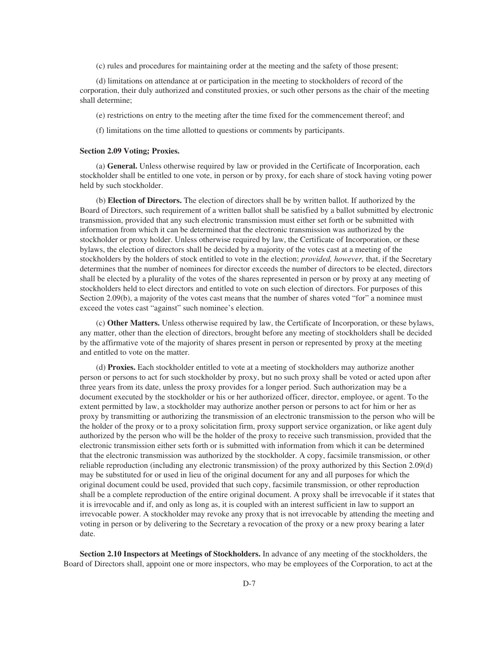(c) rules and procedures for maintaining order at the meeting and the safety of those present;

(d) limitations on attendance at or participation in the meeting to stockholders of record of the corporation, their duly authorized and constituted proxies, or such other persons as the chair of the meeting shall determine;

(e) restrictions on entry to the meeting after the time fixed for the commencement thereof; and

(f) limitations on the time allotted to questions or comments by participants.

#### **Section 2.09 Voting; Proxies.**

(a) **General.** Unless otherwise required by law or provided in the Certificate of Incorporation, each stockholder shall be entitled to one vote, in person or by proxy, for each share of stock having voting power held by such stockholder.

(b) **Election of Directors.** The election of directors shall be by written ballot. If authorized by the Board of Directors, such requirement of a written ballot shall be satisfied by a ballot submitted by electronic transmission, provided that any such electronic transmission must either set forth or be submitted with information from which it can be determined that the electronic transmission was authorized by the stockholder or proxy holder. Unless otherwise required by law, the Certificate of Incorporation, or these bylaws, the election of directors shall be decided by a majority of the votes cast at a meeting of the stockholders by the holders of stock entitled to vote in the election; *provided, however,* that, if the Secretary determines that the number of nominees for director exceeds the number of directors to be elected, directors shall be elected by a plurality of the votes of the shares represented in person or by proxy at any meeting of stockholders held to elect directors and entitled to vote on such election of directors. For purposes of this Section 2.09(b), a majority of the votes cast means that the number of shares voted "for" a nominee must exceed the votes cast "against" such nominee's election.

(c) **Other Matters.** Unless otherwise required by law, the Certificate of Incorporation, or these bylaws, any matter, other than the election of directors, brought before any meeting of stockholders shall be decided by the affirmative vote of the majority of shares present in person or represented by proxy at the meeting and entitled to vote on the matter.

(d) **Proxies.** Each stockholder entitled to vote at a meeting of stockholders may authorize another person or persons to act for such stockholder by proxy, but no such proxy shall be voted or acted upon after three years from its date, unless the proxy provides for a longer period. Such authorization may be a document executed by the stockholder or his or her authorized officer, director, employee, or agent. To the extent permitted by law, a stockholder may authorize another person or persons to act for him or her as proxy by transmitting or authorizing the transmission of an electronic transmission to the person who will be the holder of the proxy or to a proxy solicitation firm, proxy support service organization, or like agent duly authorized by the person who will be the holder of the proxy to receive such transmission, provided that the electronic transmission either sets forth or is submitted with information from which it can be determined that the electronic transmission was authorized by the stockholder. A copy, facsimile transmission, or other reliable reproduction (including any electronic transmission) of the proxy authorized by this Section 2.09(d) may be substituted for or used in lieu of the original document for any and all purposes for which the original document could be used, provided that such copy, facsimile transmission, or other reproduction shall be a complete reproduction of the entire original document. A proxy shall be irrevocable if it states that it is irrevocable and if, and only as long as, it is coupled with an interest sufficient in law to support an irrevocable power. A stockholder may revoke any proxy that is not irrevocable by attending the meeting and voting in person or by delivering to the Secretary a revocation of the proxy or a new proxy bearing a later date.

**Section 2.10 Inspectors at Meetings of Stockholders.** In advance of any meeting of the stockholders, the Board of Directors shall, appoint one or more inspectors, who may be employees of the Corporation, to act at the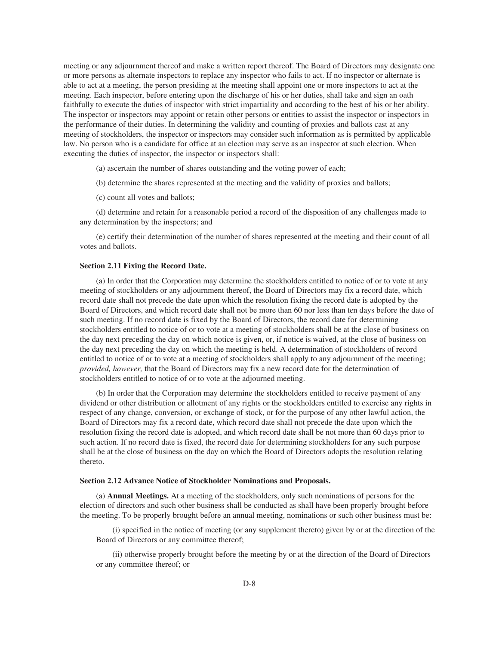meeting or any adjournment thereof and make a written report thereof. The Board of Directors may designate one or more persons as alternate inspectors to replace any inspector who fails to act. If no inspector or alternate is able to act at a meeting, the person presiding at the meeting shall appoint one or more inspectors to act at the meeting. Each inspector, before entering upon the discharge of his or her duties, shall take and sign an oath faithfully to execute the duties of inspector with strict impartiality and according to the best of his or her ability. The inspector or inspectors may appoint or retain other persons or entities to assist the inspector or inspectors in the performance of their duties. In determining the validity and counting of proxies and ballots cast at any meeting of stockholders, the inspector or inspectors may consider such information as is permitted by applicable law. No person who is a candidate for office at an election may serve as an inspector at such election. When executing the duties of inspector, the inspector or inspectors shall:

(a) ascertain the number of shares outstanding and the voting power of each;

(b) determine the shares represented at the meeting and the validity of proxies and ballots;

(c) count all votes and ballots;

(d) determine and retain for a reasonable period a record of the disposition of any challenges made to any determination by the inspectors; and

(e) certify their determination of the number of shares represented at the meeting and their count of all votes and ballots.

### **Section 2.11 Fixing the Record Date.**

(a) In order that the Corporation may determine the stockholders entitled to notice of or to vote at any meeting of stockholders or any adjournment thereof, the Board of Directors may fix a record date, which record date shall not precede the date upon which the resolution fixing the record date is adopted by the Board of Directors, and which record date shall not be more than 60 nor less than ten days before the date of such meeting. If no record date is fixed by the Board of Directors, the record date for determining stockholders entitled to notice of or to vote at a meeting of stockholders shall be at the close of business on the day next preceding the day on which notice is given, or, if notice is waived, at the close of business on the day next preceding the day on which the meeting is held. A determination of stockholders of record entitled to notice of or to vote at a meeting of stockholders shall apply to any adjournment of the meeting; *provided, however,* that the Board of Directors may fix a new record date for the determination of stockholders entitled to notice of or to vote at the adjourned meeting.

(b) In order that the Corporation may determine the stockholders entitled to receive payment of any dividend or other distribution or allotment of any rights or the stockholders entitled to exercise any rights in respect of any change, conversion, or exchange of stock, or for the purpose of any other lawful action, the Board of Directors may fix a record date, which record date shall not precede the date upon which the resolution fixing the record date is adopted, and which record date shall be not more than 60 days prior to such action. If no record date is fixed, the record date for determining stockholders for any such purpose shall be at the close of business on the day on which the Board of Directors adopts the resolution relating thereto.

#### **Section 2.12 Advance Notice of Stockholder Nominations and Proposals.**

(a) **Annual Meetings.** At a meeting of the stockholders, only such nominations of persons for the election of directors and such other business shall be conducted as shall have been properly brought before the meeting. To be properly brought before an annual meeting, nominations or such other business must be:

(i) specified in the notice of meeting (or any supplement thereto) given by or at the direction of the Board of Directors or any committee thereof;

(ii) otherwise properly brought before the meeting by or at the direction of the Board of Directors or any committee thereof; or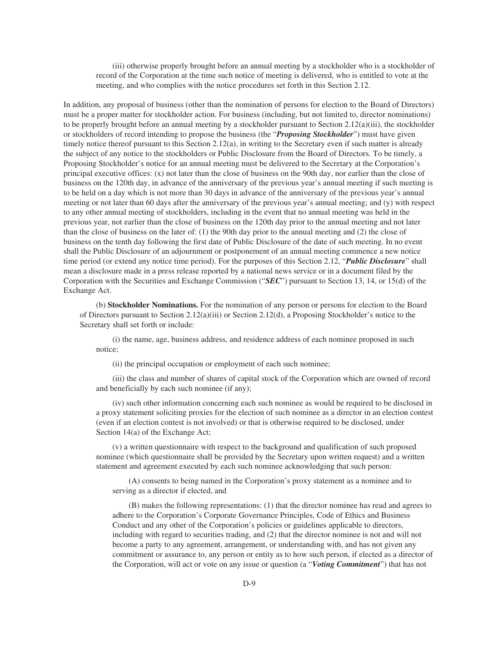(iii) otherwise properly brought before an annual meeting by a stockholder who is a stockholder of record of the Corporation at the time such notice of meeting is delivered, who is entitled to vote at the meeting, and who complies with the notice procedures set forth in this Section 2.12.

In addition, any proposal of business (other than the nomination of persons for election to the Board of Directors) must be a proper matter for stockholder action. For business (including, but not limited to, director nominations) to be properly brought before an annual meeting by a stockholder pursuant to Section 2.12(a)(iii), the stockholder or stockholders of record intending to propose the business (the "*Proposing Stockholder*") must have given timely notice thereof pursuant to this Section 2.12(a), in writing to the Secretary even if such matter is already the subject of any notice to the stockholders or Public Disclosure from the Board of Directors. To be timely, a Proposing Stockholder's notice for an annual meeting must be delivered to the Secretary at the Corporation's principal executive offices: (x) not later than the close of business on the 90th day, nor earlier than the close of business on the 120th day, in advance of the anniversary of the previous year's annual meeting if such meeting is to be held on a day which is not more than 30 days in advance of the anniversary of the previous year's annual meeting or not later than 60 days after the anniversary of the previous year's annual meeting; and (y) with respect to any other annual meeting of stockholders, including in the event that no annual meeting was held in the previous year, not earlier than the close of business on the 120th day prior to the annual meeting and not later than the close of business on the later of: (1) the 90th day prior to the annual meeting and (2) the close of business on the tenth day following the first date of Public Disclosure of the date of such meeting. In no event shall the Public Disclosure of an adjournment or postponement of an annual meeting commence a new notice time period (or extend any notice time period). For the purposes of this Section 2.12, "*Public Disclosure*" shall mean a disclosure made in a press release reported by a national news service or in a document filed by the Corporation with the Securities and Exchange Commission ("*SEC*") pursuant to Section 13, 14, or 15(d) of the Exchange Act.

(b) **Stockholder Nominations.** For the nomination of any person or persons for election to the Board of Directors pursuant to Section 2.12(a)(iii) or Section 2.12(d), a Proposing Stockholder's notice to the Secretary shall set forth or include:

(i) the name, age, business address, and residence address of each nominee proposed in such notice;

(ii) the principal occupation or employment of each such nominee;

(iii) the class and number of shares of capital stock of the Corporation which are owned of record and beneficially by each such nominee (if any);

(iv) such other information concerning each such nominee as would be required to be disclosed in a proxy statement soliciting proxies for the election of such nominee as a director in an election contest (even if an election contest is not involved) or that is otherwise required to be disclosed, under Section 14(a) of the Exchange Act;

(v) a written questionnaire with respect to the background and qualification of such proposed nominee (which questionnaire shall be provided by the Secretary upon written request) and a written statement and agreement executed by each such nominee acknowledging that such person:

(A) consents to being named in the Corporation's proxy statement as a nominee and to serving as a director if elected, and

(B) makes the following representations: (1) that the director nominee has read and agrees to adhere to the Corporation's Corporate Governance Principles, Code of Ethics and Business Conduct and any other of the Corporation's policies or guidelines applicable to directors, including with regard to securities trading, and (2) that the director nominee is not and will not become a party to any agreement, arrangement, or understanding with, and has not given any commitment or assurance to, any person or entity as to how such person, if elected as a director of the Corporation, will act or vote on any issue or question (a "*Voting Commitment*") that has not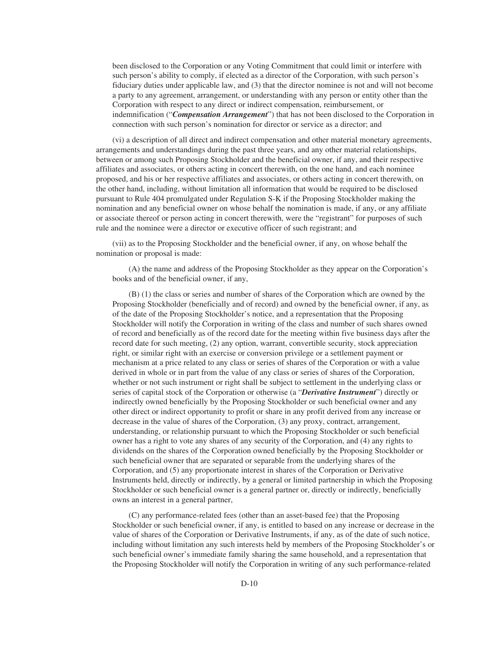been disclosed to the Corporation or any Voting Commitment that could limit or interfere with such person's ability to comply, if elected as a director of the Corporation, with such person's fiduciary duties under applicable law, and (3) that the director nominee is not and will not become a party to any agreement, arrangement, or understanding with any person or entity other than the Corporation with respect to any direct or indirect compensation, reimbursement, or indemnification ("*Compensation Arrangement*") that has not been disclosed to the Corporation in connection with such person's nomination for director or service as a director; and

(vi) a description of all direct and indirect compensation and other material monetary agreements, arrangements and understandings during the past three years, and any other material relationships, between or among such Proposing Stockholder and the beneficial owner, if any, and their respective affiliates and associates, or others acting in concert therewith, on the one hand, and each nominee proposed, and his or her respective affiliates and associates, or others acting in concert therewith, on the other hand, including, without limitation all information that would be required to be disclosed pursuant to Rule 404 promulgated under Regulation S-K if the Proposing Stockholder making the nomination and any beneficial owner on whose behalf the nomination is made, if any, or any affiliate or associate thereof or person acting in concert therewith, were the "registrant" for purposes of such rule and the nominee were a director or executive officer of such registrant; and

(vii) as to the Proposing Stockholder and the beneficial owner, if any, on whose behalf the nomination or proposal is made:

(A) the name and address of the Proposing Stockholder as they appear on the Corporation's books and of the beneficial owner, if any,

(B) (1) the class or series and number of shares of the Corporation which are owned by the Proposing Stockholder (beneficially and of record) and owned by the beneficial owner, if any, as of the date of the Proposing Stockholder's notice, and a representation that the Proposing Stockholder will notify the Corporation in writing of the class and number of such shares owned of record and beneficially as of the record date for the meeting within five business days after the record date for such meeting, (2) any option, warrant, convertible security, stock appreciation right, or similar right with an exercise or conversion privilege or a settlement payment or mechanism at a price related to any class or series of shares of the Corporation or with a value derived in whole or in part from the value of any class or series of shares of the Corporation, whether or not such instrument or right shall be subject to settlement in the underlying class or series of capital stock of the Corporation or otherwise (a "*Derivative Instrument*") directly or indirectly owned beneficially by the Proposing Stockholder or such beneficial owner and any other direct or indirect opportunity to profit or share in any profit derived from any increase or decrease in the value of shares of the Corporation, (3) any proxy, contract, arrangement, understanding, or relationship pursuant to which the Proposing Stockholder or such beneficial owner has a right to vote any shares of any security of the Corporation, and (4) any rights to dividends on the shares of the Corporation owned beneficially by the Proposing Stockholder or such beneficial owner that are separated or separable from the underlying shares of the Corporation, and (5) any proportionate interest in shares of the Corporation or Derivative Instruments held, directly or indirectly, by a general or limited partnership in which the Proposing Stockholder or such beneficial owner is a general partner or, directly or indirectly, beneficially owns an interest in a general partner,

(C) any performance-related fees (other than an asset-based fee) that the Proposing Stockholder or such beneficial owner, if any, is entitled to based on any increase or decrease in the value of shares of the Corporation or Derivative Instruments, if any, as of the date of such notice, including without limitation any such interests held by members of the Proposing Stockholder's or such beneficial owner's immediate family sharing the same household, and a representation that the Proposing Stockholder will notify the Corporation in writing of any such performance-related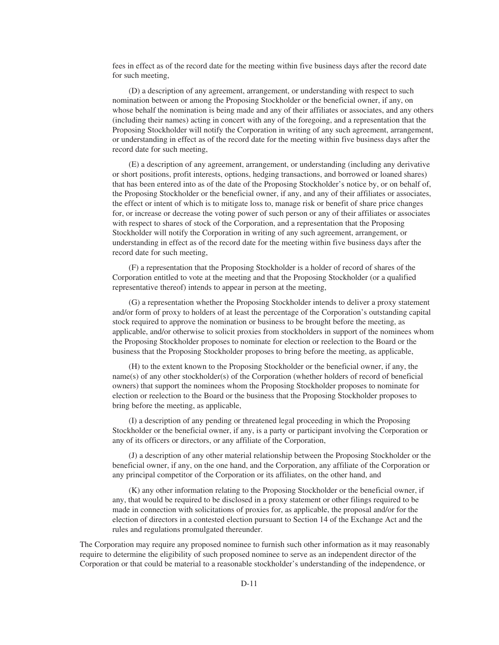fees in effect as of the record date for the meeting within five business days after the record date for such meeting,

(D) a description of any agreement, arrangement, or understanding with respect to such nomination between or among the Proposing Stockholder or the beneficial owner, if any, on whose behalf the nomination is being made and any of their affiliates or associates, and any others (including their names) acting in concert with any of the foregoing, and a representation that the Proposing Stockholder will notify the Corporation in writing of any such agreement, arrangement, or understanding in effect as of the record date for the meeting within five business days after the record date for such meeting,

(E) a description of any agreement, arrangement, or understanding (including any derivative or short positions, profit interests, options, hedging transactions, and borrowed or loaned shares) that has been entered into as of the date of the Proposing Stockholder's notice by, or on behalf of, the Proposing Stockholder or the beneficial owner, if any, and any of their affiliates or associates, the effect or intent of which is to mitigate loss to, manage risk or benefit of share price changes for, or increase or decrease the voting power of such person or any of their affiliates or associates with respect to shares of stock of the Corporation, and a representation that the Proposing Stockholder will notify the Corporation in writing of any such agreement, arrangement, or understanding in effect as of the record date for the meeting within five business days after the record date for such meeting,

(F) a representation that the Proposing Stockholder is a holder of record of shares of the Corporation entitled to vote at the meeting and that the Proposing Stockholder (or a qualified representative thereof) intends to appear in person at the meeting,

(G) a representation whether the Proposing Stockholder intends to deliver a proxy statement and/or form of proxy to holders of at least the percentage of the Corporation's outstanding capital stock required to approve the nomination or business to be brought before the meeting, as applicable, and/or otherwise to solicit proxies from stockholders in support of the nominees whom the Proposing Stockholder proposes to nominate for election or reelection to the Board or the business that the Proposing Stockholder proposes to bring before the meeting, as applicable,

(H) to the extent known to the Proposing Stockholder or the beneficial owner, if any, the name(s) of any other stockholder(s) of the Corporation (whether holders of record of beneficial owners) that support the nominees whom the Proposing Stockholder proposes to nominate for election or reelection to the Board or the business that the Proposing Stockholder proposes to bring before the meeting, as applicable,

(I) a description of any pending or threatened legal proceeding in which the Proposing Stockholder or the beneficial owner, if any, is a party or participant involving the Corporation or any of its officers or directors, or any affiliate of the Corporation,

(J) a description of any other material relationship between the Proposing Stockholder or the beneficial owner, if any, on the one hand, and the Corporation, any affiliate of the Corporation or any principal competitor of the Corporation or its affiliates, on the other hand, and

(K) any other information relating to the Proposing Stockholder or the beneficial owner, if any, that would be required to be disclosed in a proxy statement or other filings required to be made in connection with solicitations of proxies for, as applicable, the proposal and/or for the election of directors in a contested election pursuant to Section 14 of the Exchange Act and the rules and regulations promulgated thereunder.

The Corporation may require any proposed nominee to furnish such other information as it may reasonably require to determine the eligibility of such proposed nominee to serve as an independent director of the Corporation or that could be material to a reasonable stockholder's understanding of the independence, or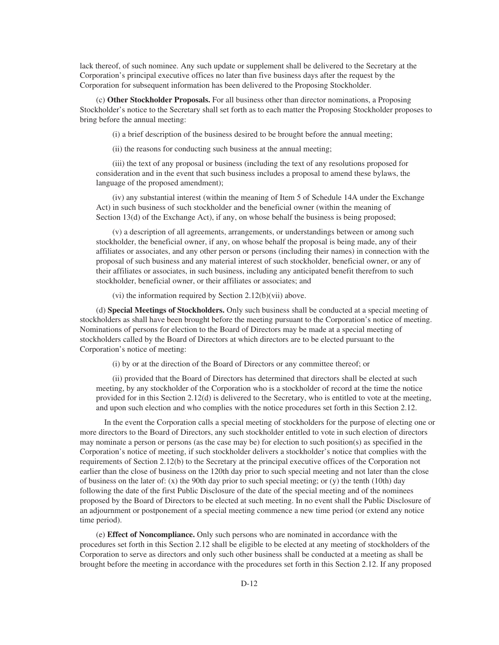lack thereof, of such nominee. Any such update or supplement shall be delivered to the Secretary at the Corporation's principal executive offices no later than five business days after the request by the Corporation for subsequent information has been delivered to the Proposing Stockholder.

(c) **Other Stockholder Proposals.** For all business other than director nominations, a Proposing Stockholder's notice to the Secretary shall set forth as to each matter the Proposing Stockholder proposes to bring before the annual meeting:

(i) a brief description of the business desired to be brought before the annual meeting;

(ii) the reasons for conducting such business at the annual meeting;

(iii) the text of any proposal or business (including the text of any resolutions proposed for consideration and in the event that such business includes a proposal to amend these bylaws, the language of the proposed amendment);

(iv) any substantial interest (within the meaning of Item 5 of Schedule 14A under the Exchange Act) in such business of such stockholder and the beneficial owner (within the meaning of Section 13(d) of the Exchange Act), if any, on whose behalf the business is being proposed;

(v) a description of all agreements, arrangements, or understandings between or among such stockholder, the beneficial owner, if any, on whose behalf the proposal is being made, any of their affiliates or associates, and any other person or persons (including their names) in connection with the proposal of such business and any material interest of such stockholder, beneficial owner, or any of their affiliates or associates, in such business, including any anticipated benefit therefrom to such stockholder, beneficial owner, or their affiliates or associates; and

(vi) the information required by Section 2.12(b)(vii) above.

(d) **Special Meetings of Stockholders.** Only such business shall be conducted at a special meeting of stockholders as shall have been brought before the meeting pursuant to the Corporation's notice of meeting. Nominations of persons for election to the Board of Directors may be made at a special meeting of stockholders called by the Board of Directors at which directors are to be elected pursuant to the Corporation's notice of meeting:

(i) by or at the direction of the Board of Directors or any committee thereof; or

(ii) provided that the Board of Directors has determined that directors shall be elected at such meeting, by any stockholder of the Corporation who is a stockholder of record at the time the notice provided for in this Section 2.12(d) is delivered to the Secretary, who is entitled to vote at the meeting, and upon such election and who complies with the notice procedures set forth in this Section 2.12.

In the event the Corporation calls a special meeting of stockholders for the purpose of electing one or more directors to the Board of Directors, any such stockholder entitled to vote in such election of directors may nominate a person or persons (as the case may be) for election to such position(s) as specified in the Corporation's notice of meeting, if such stockholder delivers a stockholder's notice that complies with the requirements of Section 2.12(b) to the Secretary at the principal executive offices of the Corporation not earlier than the close of business on the 120th day prior to such special meeting and not later than the close of business on the later of: (x) the 90th day prior to such special meeting; or (y) the tenth (10th) day following the date of the first Public Disclosure of the date of the special meeting and of the nominees proposed by the Board of Directors to be elected at such meeting. In no event shall the Public Disclosure of an adjournment or postponement of a special meeting commence a new time period (or extend any notice time period).

(e) **Effect of Noncompliance.** Only such persons who are nominated in accordance with the procedures set forth in this Section 2.12 shall be eligible to be elected at any meeting of stockholders of the Corporation to serve as directors and only such other business shall be conducted at a meeting as shall be brought before the meeting in accordance with the procedures set forth in this Section 2.12. If any proposed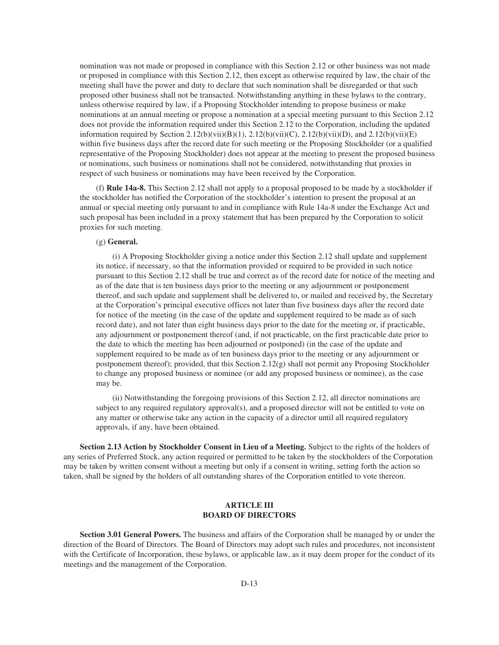nomination was not made or proposed in compliance with this Section 2.12 or other business was not made or proposed in compliance with this Section 2.12, then except as otherwise required by law, the chair of the meeting shall have the power and duty to declare that such nomination shall be disregarded or that such proposed other business shall not be transacted. Notwithstanding anything in these bylaws to the contrary, unless otherwise required by law, if a Proposing Stockholder intending to propose business or make nominations at an annual meeting or propose a nomination at a special meeting pursuant to this Section 2.12 does not provide the information required under this Section 2.12 to the Corporation, including the updated information required by Section 2.12(b)(vii)(B)(1), 2.12(b)(vii)(C), 2.12(b)(vii)(D), and 2.12(b)(vii)(E) within five business days after the record date for such meeting or the Proposing Stockholder (or a qualified representative of the Proposing Stockholder) does not appear at the meeting to present the proposed business or nominations, such business or nominations shall not be considered, notwithstanding that proxies in respect of such business or nominations may have been received by the Corporation.

(f) **Rule 14a-8.** This Section 2.12 shall not apply to a proposal proposed to be made by a stockholder if the stockholder has notified the Corporation of the stockholder's intention to present the proposal at an annual or special meeting only pursuant to and in compliance with Rule 14a-8 under the Exchange Act and such proposal has been included in a proxy statement that has been prepared by the Corporation to solicit proxies for such meeting.

## (g) **General.**

(i) A Proposing Stockholder giving a notice under this Section 2.12 shall update and supplement its notice, if necessary, so that the information provided or required to be provided in such notice pursuant to this Section 2.12 shall be true and correct as of the record date for notice of the meeting and as of the date that is ten business days prior to the meeting or any adjournment or postponement thereof, and such update and supplement shall be delivered to, or mailed and received by, the Secretary at the Corporation's principal executive offices not later than five business days after the record date for notice of the meeting (in the case of the update and supplement required to be made as of such record date), and not later than eight business days prior to the date for the meeting or, if practicable, any adjournment or postponement thereof (and, if not practicable, on the first practicable date prior to the date to which the meeting has been adjourned or postponed) (in the case of the update and supplement required to be made as of ten business days prior to the meeting or any adjournment or postponement thereof); provided, that this Section 2.12(g) shall not permit any Proposing Stockholder to change any proposed business or nominee (or add any proposed business or nominee), as the case may be.

(ii) Notwithstanding the foregoing provisions of this Section 2.12, all director nominations are subject to any required regulatory approval(s), and a proposed director will not be entitled to vote on any matter or otherwise take any action in the capacity of a director until all required regulatory approvals, if any, have been obtained.

**Section 2.13 Action by Stockholder Consent in Lieu of a Meeting.** Subject to the rights of the holders of any series of Preferred Stock, any action required or permitted to be taken by the stockholders of the Corporation may be taken by written consent without a meeting but only if a consent in writing, setting forth the action so taken, shall be signed by the holders of all outstanding shares of the Corporation entitled to vote thereon.

## **ARTICLE III BOARD OF DIRECTORS**

**Section 3.01 General Powers.** The business and affairs of the Corporation shall be managed by or under the direction of the Board of Directors. The Board of Directors may adopt such rules and procedures, not inconsistent with the Certificate of Incorporation, these bylaws, or applicable law, as it may deem proper for the conduct of its meetings and the management of the Corporation.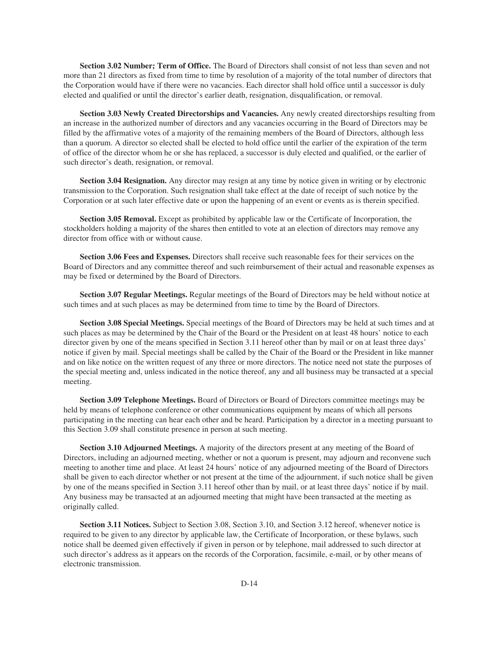**Section 3.02 Number; Term of Office.** The Board of Directors shall consist of not less than seven and not more than 21 directors as fixed from time to time by resolution of a majority of the total number of directors that the Corporation would have if there were no vacancies. Each director shall hold office until a successor is duly elected and qualified or until the director's earlier death, resignation, disqualification, or removal.

**Section 3.03 Newly Created Directorships and Vacancies.** Any newly created directorships resulting from an increase in the authorized number of directors and any vacancies occurring in the Board of Directors may be filled by the affirmative votes of a majority of the remaining members of the Board of Directors, although less than a quorum. A director so elected shall be elected to hold office until the earlier of the expiration of the term of office of the director whom he or she has replaced, a successor is duly elected and qualified, or the earlier of such director's death, resignation, or removal.

**Section 3.04 Resignation.** Any director may resign at any time by notice given in writing or by electronic transmission to the Corporation. Such resignation shall take effect at the date of receipt of such notice by the Corporation or at such later effective date or upon the happening of an event or events as is therein specified.

**Section 3.05 Removal.** Except as prohibited by applicable law or the Certificate of Incorporation, the stockholders holding a majority of the shares then entitled to vote at an election of directors may remove any director from office with or without cause.

**Section 3.06 Fees and Expenses.** Directors shall receive such reasonable fees for their services on the Board of Directors and any committee thereof and such reimbursement of their actual and reasonable expenses as may be fixed or determined by the Board of Directors.

**Section 3.07 Regular Meetings.** Regular meetings of the Board of Directors may be held without notice at such times and at such places as may be determined from time to time by the Board of Directors.

**Section 3.08 Special Meetings.** Special meetings of the Board of Directors may be held at such times and at such places as may be determined by the Chair of the Board or the President on at least 48 hours' notice to each director given by one of the means specified in Section 3.11 hereof other than by mail or on at least three days' notice if given by mail. Special meetings shall be called by the Chair of the Board or the President in like manner and on like notice on the written request of any three or more directors. The notice need not state the purposes of the special meeting and, unless indicated in the notice thereof, any and all business may be transacted at a special meeting.

**Section 3.09 Telephone Meetings.** Board of Directors or Board of Directors committee meetings may be held by means of telephone conference or other communications equipment by means of which all persons participating in the meeting can hear each other and be heard. Participation by a director in a meeting pursuant to this Section 3.09 shall constitute presence in person at such meeting.

**Section 3.10 Adjourned Meetings.** A majority of the directors present at any meeting of the Board of Directors, including an adjourned meeting, whether or not a quorum is present, may adjourn and reconvene such meeting to another time and place. At least 24 hours' notice of any adjourned meeting of the Board of Directors shall be given to each director whether or not present at the time of the adjournment, if such notice shall be given by one of the means specified in Section 3.11 hereof other than by mail, or at least three days' notice if by mail. Any business may be transacted at an adjourned meeting that might have been transacted at the meeting as originally called.

**Section 3.11 Notices.** Subject to Section 3.08, Section 3.10, and Section 3.12 hereof, whenever notice is required to be given to any director by applicable law, the Certificate of Incorporation, or these bylaws, such notice shall be deemed given effectively if given in person or by telephone, mail addressed to such director at such director's address as it appears on the records of the Corporation, facsimile, e-mail, or by other means of electronic transmission.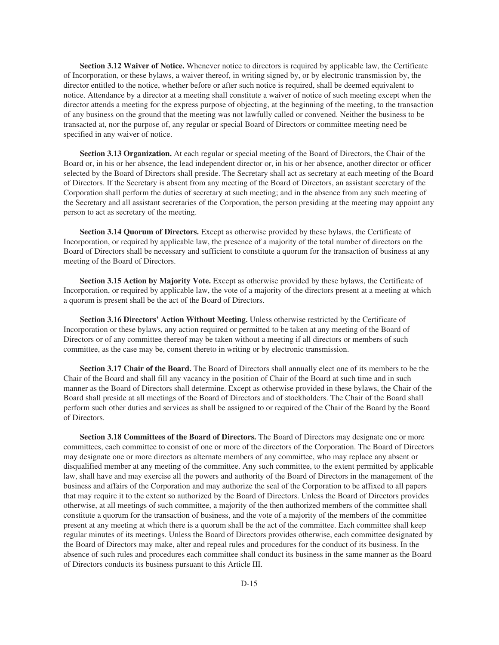**Section 3.12 Waiver of Notice.** Whenever notice to directors is required by applicable law, the Certificate of Incorporation, or these bylaws, a waiver thereof, in writing signed by, or by electronic transmission by, the director entitled to the notice, whether before or after such notice is required, shall be deemed equivalent to notice. Attendance by a director at a meeting shall constitute a waiver of notice of such meeting except when the director attends a meeting for the express purpose of objecting, at the beginning of the meeting, to the transaction of any business on the ground that the meeting was not lawfully called or convened. Neither the business to be transacted at, nor the purpose of, any regular or special Board of Directors or committee meeting need be specified in any waiver of notice.

**Section 3.13 Organization.** At each regular or special meeting of the Board of Directors, the Chair of the Board or, in his or her absence, the lead independent director or, in his or her absence, another director or officer selected by the Board of Directors shall preside. The Secretary shall act as secretary at each meeting of the Board of Directors. If the Secretary is absent from any meeting of the Board of Directors, an assistant secretary of the Corporation shall perform the duties of secretary at such meeting; and in the absence from any such meeting of the Secretary and all assistant secretaries of the Corporation, the person presiding at the meeting may appoint any person to act as secretary of the meeting.

**Section 3.14 Quorum of Directors.** Except as otherwise provided by these bylaws, the Certificate of Incorporation, or required by applicable law, the presence of a majority of the total number of directors on the Board of Directors shall be necessary and sufficient to constitute a quorum for the transaction of business at any meeting of the Board of Directors.

**Section 3.15 Action by Majority Vote.** Except as otherwise provided by these bylaws, the Certificate of Incorporation, or required by applicable law, the vote of a majority of the directors present at a meeting at which a quorum is present shall be the act of the Board of Directors.

**Section 3.16 Directors' Action Without Meeting.** Unless otherwise restricted by the Certificate of Incorporation or these bylaws, any action required or permitted to be taken at any meeting of the Board of Directors or of any committee thereof may be taken without a meeting if all directors or members of such committee, as the case may be, consent thereto in writing or by electronic transmission.

**Section 3.17 Chair of the Board.** The Board of Directors shall annually elect one of its members to be the Chair of the Board and shall fill any vacancy in the position of Chair of the Board at such time and in such manner as the Board of Directors shall determine. Except as otherwise provided in these bylaws, the Chair of the Board shall preside at all meetings of the Board of Directors and of stockholders. The Chair of the Board shall perform such other duties and services as shall be assigned to or required of the Chair of the Board by the Board of Directors.

**Section 3.18 Committees of the Board of Directors.** The Board of Directors may designate one or more committees, each committee to consist of one or more of the directors of the Corporation. The Board of Directors may designate one or more directors as alternate members of any committee, who may replace any absent or disqualified member at any meeting of the committee. Any such committee, to the extent permitted by applicable law, shall have and may exercise all the powers and authority of the Board of Directors in the management of the business and affairs of the Corporation and may authorize the seal of the Corporation to be affixed to all papers that may require it to the extent so authorized by the Board of Directors. Unless the Board of Directors provides otherwise, at all meetings of such committee, a majority of the then authorized members of the committee shall constitute a quorum for the transaction of business, and the vote of a majority of the members of the committee present at any meeting at which there is a quorum shall be the act of the committee. Each committee shall keep regular minutes of its meetings. Unless the Board of Directors provides otherwise, each committee designated by the Board of Directors may make, alter and repeal rules and procedures for the conduct of its business. In the absence of such rules and procedures each committee shall conduct its business in the same manner as the Board of Directors conducts its business pursuant to this Article III.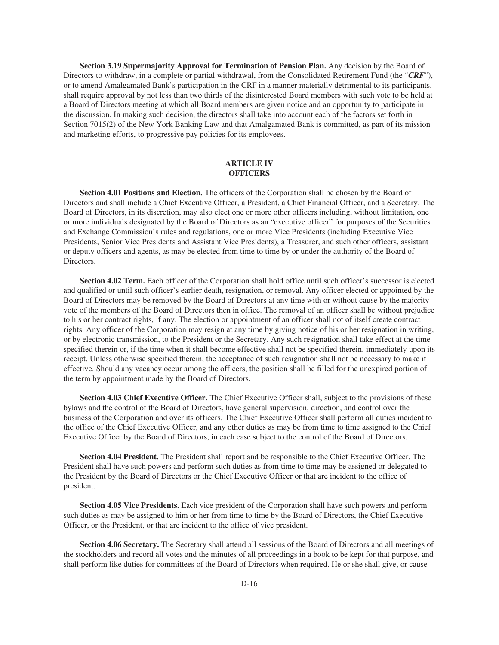**Section 3.19 Supermajority Approval for Termination of Pension Plan.** Any decision by the Board of Directors to withdraw, in a complete or partial withdrawal, from the Consolidated Retirement Fund (the "*CRF*"), or to amend Amalgamated Bank's participation in the CRF in a manner materially detrimental to its participants, shall require approval by not less than two thirds of the disinterested Board members with such vote to be held at a Board of Directors meeting at which all Board members are given notice and an opportunity to participate in the discussion. In making such decision, the directors shall take into account each of the factors set forth in Section 7015(2) of the New York Banking Law and that Amalgamated Bank is committed, as part of its mission and marketing efforts, to progressive pay policies for its employees.

## **ARTICLE IV OFFICERS**

**Section 4.01 Positions and Election.** The officers of the Corporation shall be chosen by the Board of Directors and shall include a Chief Executive Officer, a President, a Chief Financial Officer, and a Secretary. The Board of Directors, in its discretion, may also elect one or more other officers including, without limitation, one or more individuals designated by the Board of Directors as an "executive officer" for purposes of the Securities and Exchange Commission's rules and regulations, one or more Vice Presidents (including Executive Vice Presidents, Senior Vice Presidents and Assistant Vice Presidents), a Treasurer, and such other officers, assistant or deputy officers and agents, as may be elected from time to time by or under the authority of the Board of Directors.

**Section 4.02 Term.** Each officer of the Corporation shall hold office until such officer's successor is elected and qualified or until such officer's earlier death, resignation, or removal. Any officer elected or appointed by the Board of Directors may be removed by the Board of Directors at any time with or without cause by the majority vote of the members of the Board of Directors then in office. The removal of an officer shall be without prejudice to his or her contract rights, if any. The election or appointment of an officer shall not of itself create contract rights. Any officer of the Corporation may resign at any time by giving notice of his or her resignation in writing, or by electronic transmission, to the President or the Secretary. Any such resignation shall take effect at the time specified therein or, if the time when it shall become effective shall not be specified therein, immediately upon its receipt. Unless otherwise specified therein, the acceptance of such resignation shall not be necessary to make it effective. Should any vacancy occur among the officers, the position shall be filled for the unexpired portion of the term by appointment made by the Board of Directors.

**Section 4.03 Chief Executive Officer.** The Chief Executive Officer shall, subject to the provisions of these bylaws and the control of the Board of Directors, have general supervision, direction, and control over the business of the Corporation and over its officers. The Chief Executive Officer shall perform all duties incident to the office of the Chief Executive Officer, and any other duties as may be from time to time assigned to the Chief Executive Officer by the Board of Directors, in each case subject to the control of the Board of Directors.

**Section 4.04 President.** The President shall report and be responsible to the Chief Executive Officer. The President shall have such powers and perform such duties as from time to time may be assigned or delegated to the President by the Board of Directors or the Chief Executive Officer or that are incident to the office of president.

**Section 4.05 Vice Presidents.** Each vice president of the Corporation shall have such powers and perform such duties as may be assigned to him or her from time to time by the Board of Directors, the Chief Executive Officer, or the President, or that are incident to the office of vice president.

**Section 4.06 Secretary.** The Secretary shall attend all sessions of the Board of Directors and all meetings of the stockholders and record all votes and the minutes of all proceedings in a book to be kept for that purpose, and shall perform like duties for committees of the Board of Directors when required. He or she shall give, or cause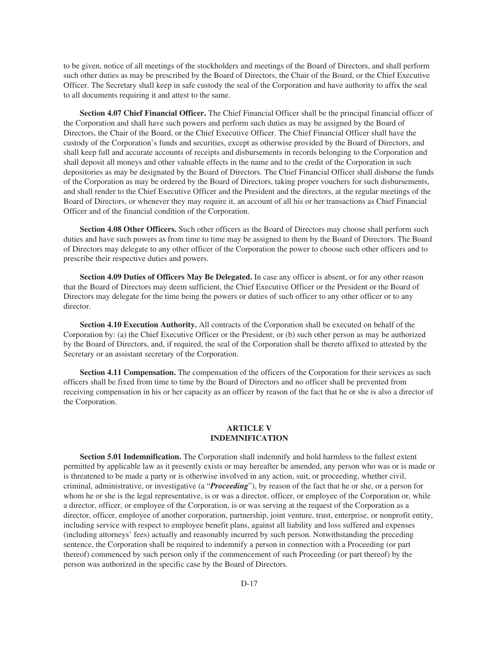to be given, notice of all meetings of the stockholders and meetings of the Board of Directors, and shall perform such other duties as may be prescribed by the Board of Directors, the Chair of the Board, or the Chief Executive Officer. The Secretary shall keep in safe custody the seal of the Corporation and have authority to affix the seal to all documents requiring it and attest to the same.

**Section 4.07 Chief Financial Officer.** The Chief Financial Officer shall be the principal financial officer of the Corporation and shall have such powers and perform such duties as may be assigned by the Board of Directors, the Chair of the Board, or the Chief Executive Officer. The Chief Financial Officer shall have the custody of the Corporation's funds and securities, except as otherwise provided by the Board of Directors, and shall keep full and accurate accounts of receipts and disbursements in records belonging to the Corporation and shall deposit all moneys and other valuable effects in the name and to the credit of the Corporation in such depositories as may be designated by the Board of Directors. The Chief Financial Officer shall disburse the funds of the Corporation as may be ordered by the Board of Directors, taking proper vouchers for such disbursements, and shall render to the Chief Executive Officer and the President and the directors, at the regular meetings of the Board of Directors, or whenever they may require it, an account of all his or her transactions as Chief Financial Officer and of the financial condition of the Corporation.

**Section 4.08 Other Officers.** Such other officers as the Board of Directors may choose shall perform such duties and have such powers as from time to time may be assigned to them by the Board of Directors. The Board of Directors may delegate to any other officer of the Corporation the power to choose such other officers and to prescribe their respective duties and powers.

**Section 4.09 Duties of Officers May Be Delegated.** In case any officer is absent, or for any other reason that the Board of Directors may deem sufficient, the Chief Executive Officer or the President or the Board of Directors may delegate for the time being the powers or duties of such officer to any other officer or to any director.

**Section 4.10 Execution Authority.** All contracts of the Corporation shall be executed on behalf of the Corporation by: (a) the Chief Executive Officer or the President; or (b) such other person as may be authorized by the Board of Directors, and, if required, the seal of the Corporation shall be thereto affixed to attested by the Secretary or an assistant secretary of the Corporation.

**Section 4.11 Compensation.** The compensation of the officers of the Corporation for their services as such officers shall be fixed from time to time by the Board of Directors and no officer shall be prevented from receiving compensation in his or her capacity as an officer by reason of the fact that he or she is also a director of the Corporation.

# **ARTICLE V INDEMNIFICATION**

**Section 5.01 Indemnification.** The Corporation shall indemnify and hold harmless to the fullest extent permitted by applicable law as it presently exists or may hereafter be amended, any person who was or is made or is threatened to be made a party or is otherwise involved in any action, suit, or proceeding, whether civil, criminal, administrative, or investigative (a "*Proceeding*"), by reason of the fact that he or she, or a person for whom he or she is the legal representative, is or was a director, officer, or employee of the Corporation or, while a director, officer, or employee of the Corporation, is or was serving at the request of the Corporation as a director, officer, employee of another corporation, partnership, joint venture, trust, enterprise, or nonprofit entity, including service with respect to employee benefit plans, against all liability and loss suffered and expenses (including attorneys' fees) actually and reasonably incurred by such person. Notwithstanding the preceding sentence, the Corporation shall be required to indemnify a person in connection with a Proceeding (or part thereof) commenced by such person only if the commencement of such Proceeding (or part thereof) by the person was authorized in the specific case by the Board of Directors.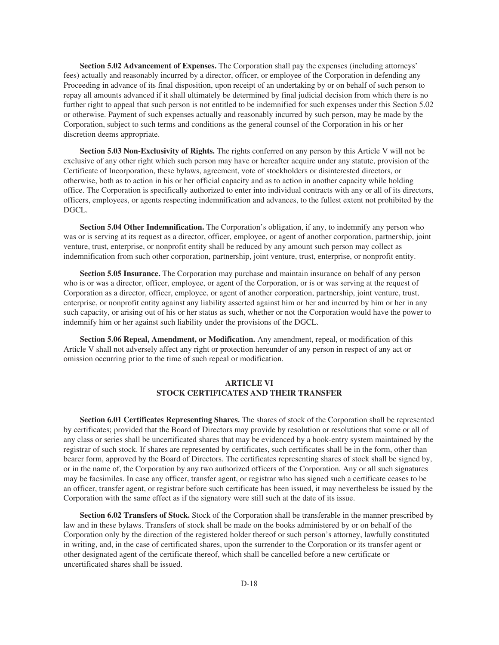**Section 5.02 Advancement of Expenses.** The Corporation shall pay the expenses (including attorneys' fees) actually and reasonably incurred by a director, officer, or employee of the Corporation in defending any Proceeding in advance of its final disposition, upon receipt of an undertaking by or on behalf of such person to repay all amounts advanced if it shall ultimately be determined by final judicial decision from which there is no further right to appeal that such person is not entitled to be indemnified for such expenses under this Section 5.02 or otherwise. Payment of such expenses actually and reasonably incurred by such person, may be made by the Corporation, subject to such terms and conditions as the general counsel of the Corporation in his or her discretion deems appropriate.

**Section 5.03 Non-Exclusivity of Rights.** The rights conferred on any person by this Article V will not be exclusive of any other right which such person may have or hereafter acquire under any statute, provision of the Certificate of Incorporation, these bylaws, agreement, vote of stockholders or disinterested directors, or otherwise, both as to action in his or her official capacity and as to action in another capacity while holding office. The Corporation is specifically authorized to enter into individual contracts with any or all of its directors, officers, employees, or agents respecting indemnification and advances, to the fullest extent not prohibited by the DGCL.

**Section 5.04 Other Indemnification.** The Corporation's obligation, if any, to indemnify any person who was or is serving at its request as a director, officer, employee, or agent of another corporation, partnership, joint venture, trust, enterprise, or nonprofit entity shall be reduced by any amount such person may collect as indemnification from such other corporation, partnership, joint venture, trust, enterprise, or nonprofit entity.

**Section 5.05 Insurance.** The Corporation may purchase and maintain insurance on behalf of any person who is or was a director, officer, employee, or agent of the Corporation, or is or was serving at the request of Corporation as a director, officer, employee, or agent of another corporation, partnership, joint venture, trust, enterprise, or nonprofit entity against any liability asserted against him or her and incurred by him or her in any such capacity, or arising out of his or her status as such, whether or not the Corporation would have the power to indemnify him or her against such liability under the provisions of the DGCL.

**Section 5.06 Repeal, Amendment, or Modification.** Any amendment, repeal, or modification of this Article V shall not adversely affect any right or protection hereunder of any person in respect of any act or omission occurring prior to the time of such repeal or modification.

# **ARTICLE VI STOCK CERTIFICATES AND THEIR TRANSFER**

**Section 6.01 Certificates Representing Shares.** The shares of stock of the Corporation shall be represented by certificates; provided that the Board of Directors may provide by resolution or resolutions that some or all of any class or series shall be uncertificated shares that may be evidenced by a book-entry system maintained by the registrar of such stock. If shares are represented by certificates, such certificates shall be in the form, other than bearer form, approved by the Board of Directors. The certificates representing shares of stock shall be signed by, or in the name of, the Corporation by any two authorized officers of the Corporation. Any or all such signatures may be facsimiles. In case any officer, transfer agent, or registrar who has signed such a certificate ceases to be an officer, transfer agent, or registrar before such certificate has been issued, it may nevertheless be issued by the Corporation with the same effect as if the signatory were still such at the date of its issue.

**Section 6.02 Transfers of Stock.** Stock of the Corporation shall be transferable in the manner prescribed by law and in these bylaws. Transfers of stock shall be made on the books administered by or on behalf of the Corporation only by the direction of the registered holder thereof or such person's attorney, lawfully constituted in writing, and, in the case of certificated shares, upon the surrender to the Corporation or its transfer agent or other designated agent of the certificate thereof, which shall be cancelled before a new certificate or uncertificated shares shall be issued.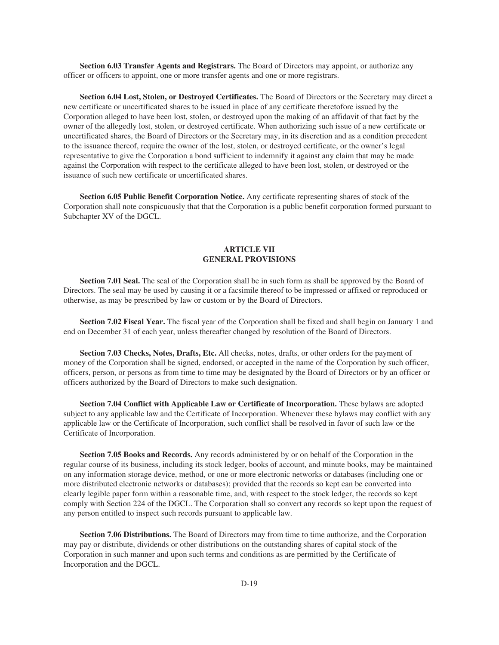**Section 6.03 Transfer Agents and Registrars.** The Board of Directors may appoint, or authorize any officer or officers to appoint, one or more transfer agents and one or more registrars.

**Section 6.04 Lost, Stolen, or Destroyed Certificates.** The Board of Directors or the Secretary may direct a new certificate or uncertificated shares to be issued in place of any certificate theretofore issued by the Corporation alleged to have been lost, stolen, or destroyed upon the making of an affidavit of that fact by the owner of the allegedly lost, stolen, or destroyed certificate. When authorizing such issue of a new certificate or uncertificated shares, the Board of Directors or the Secretary may, in its discretion and as a condition precedent to the issuance thereof, require the owner of the lost, stolen, or destroyed certificate, or the owner's legal representative to give the Corporation a bond sufficient to indemnify it against any claim that may be made against the Corporation with respect to the certificate alleged to have been lost, stolen, or destroyed or the issuance of such new certificate or uncertificated shares.

**Section 6.05 Public Benefit Corporation Notice.** Any certificate representing shares of stock of the Corporation shall note conspicuously that that the Corporation is a public benefit corporation formed pursuant to Subchapter XV of the DGCL.

# **ARTICLE VII GENERAL PROVISIONS**

**Section 7.01 Seal.** The seal of the Corporation shall be in such form as shall be approved by the Board of Directors. The seal may be used by causing it or a facsimile thereof to be impressed or affixed or reproduced or otherwise, as may be prescribed by law or custom or by the Board of Directors.

**Section 7.02 Fiscal Year.** The fiscal year of the Corporation shall be fixed and shall begin on January 1 and end on December 31 of each year, unless thereafter changed by resolution of the Board of Directors.

**Section 7.03 Checks, Notes, Drafts, Etc.** All checks, notes, drafts, or other orders for the payment of money of the Corporation shall be signed, endorsed, or accepted in the name of the Corporation by such officer, officers, person, or persons as from time to time may be designated by the Board of Directors or by an officer or officers authorized by the Board of Directors to make such designation.

**Section 7.04 Conflict with Applicable Law or Certificate of Incorporation.** These bylaws are adopted subject to any applicable law and the Certificate of Incorporation. Whenever these bylaws may conflict with any applicable law or the Certificate of Incorporation, such conflict shall be resolved in favor of such law or the Certificate of Incorporation.

**Section 7.05 Books and Records.** Any records administered by or on behalf of the Corporation in the regular course of its business, including its stock ledger, books of account, and minute books, may be maintained on any information storage device, method, or one or more electronic networks or databases (including one or more distributed electronic networks or databases); provided that the records so kept can be converted into clearly legible paper form within a reasonable time, and, with respect to the stock ledger, the records so kept comply with Section 224 of the DGCL. The Corporation shall so convert any records so kept upon the request of any person entitled to inspect such records pursuant to applicable law.

**Section 7.06 Distributions.** The Board of Directors may from time to time authorize, and the Corporation may pay or distribute, dividends or other distributions on the outstanding shares of capital stock of the Corporation in such manner and upon such terms and conditions as are permitted by the Certificate of Incorporation and the DGCL.